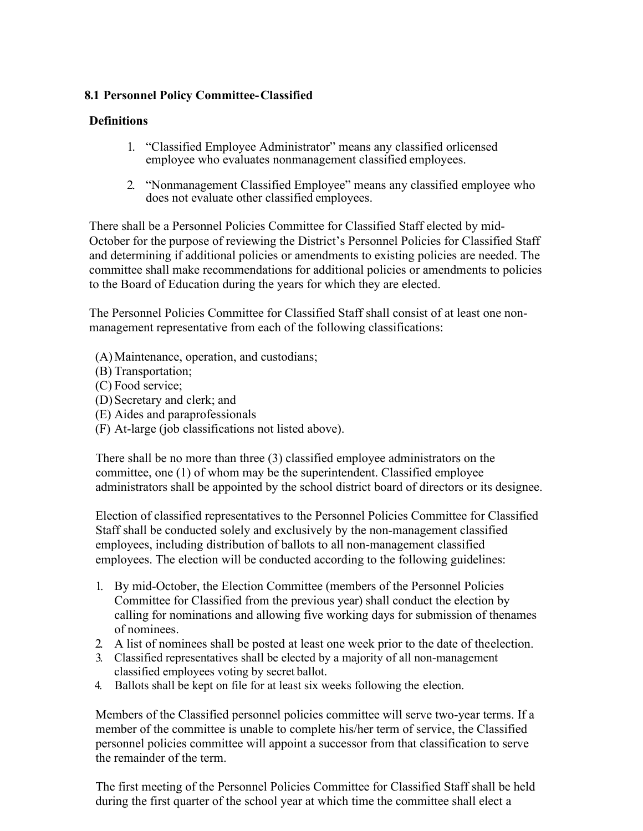## **8.1 Personnel Policy Committee-Classified**

## **Definitions**

- 1. "Classified Employee Administrator" means any classified orlicensed employee who evaluates nonmanagement classified employees.
- 2. "Nonmanagement Classified Employee" means any classified employee who does not evaluate other classified employees.

There shall be a Personnel Policies Committee for Classified Staff elected by mid-October for the purpose of reviewing the District's Personnel Policies for Classified Staff and determining if additional policies or amendments to existing policies are needed. The committee shall make recommendations for additional policies or amendments to policies to the Board of Education during the years for which they are elected.

The Personnel Policies Committee for Classified Staff shall consist of at least one nonmanagement representative from each of the following classifications:

- (A)Maintenance, operation, and custodians;
- (B) Transportation;
- (C) Food service;
- (D) Secretary and clerk; and
- (E) Aides and paraprofessionals
- (F) At-large (job classifications not listed above).

There shall be no more than three (3) classified employee administrators on the committee, one (1) of whom may be the superintendent. Classified employee administrators shall be appointed by the school district board of directors or its designee.

Election of classified representatives to the Personnel Policies Committee for Classified Staff shall be conducted solely and exclusively by the non-management classified employees, including distribution of ballots to all non-management classified employees. The election will be conducted according to the following guidelines:

- 1. By mid-October, the Election Committee (members of the Personnel Policies Committee for Classified from the previous year) shall conduct the election by calling for nominations and allowing five working days for submission of thenames of nominees.
- 2. A list of nominees shall be posted at least one week prior to the date of theelection.
- 3. Classified representatives shall be elected by a majority of all non-management classified employees voting by secret ballot.
- 4. Ballots shall be kept on file for at least six weeks following the election.

Members of the Classified personnel policies committee will serve two-year terms. If a member of the committee is unable to complete his/her term of service, the Classified personnel policies committee will appoint a successor from that classification to serve the remainder of the term.

The first meeting of the Personnel Policies Committee for Classified Staff shall be held during the first quarter of the school year at which time the committee shall elect a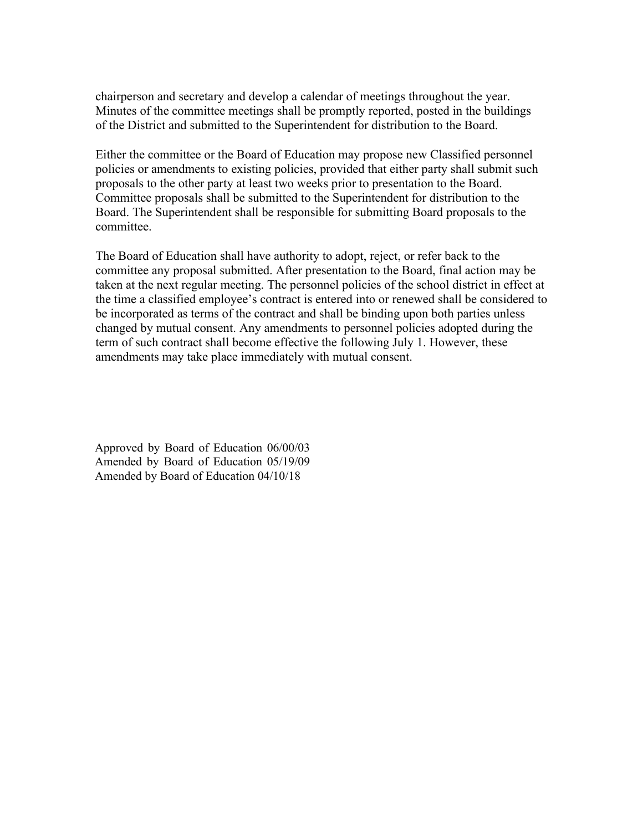chairperson and secretary and develop a calendar of meetings throughout the year. Minutes of the committee meetings shall be promptly reported, posted in the buildings of the District and submitted to the Superintendent for distribution to the Board.

Either the committee or the Board of Education may propose new Classified personnel policies or amendments to existing policies, provided that either party shall submit such proposals to the other party at least two weeks prior to presentation to the Board. Committee proposals shall be submitted to the Superintendent for distribution to the Board. The Superintendent shall be responsible for submitting Board proposals to the committee.

The Board of Education shall have authority to adopt, reject, or refer back to the committee any proposal submitted. After presentation to the Board, final action may be taken at the next regular meeting. The personnel policies of the school district in effect at the time a classified employee's contract is entered into or renewed shall be considered to be incorporated as terms of the contract and shall be binding upon both parties unless changed by mutual consent. Any amendments to personnel policies adopted during the term of such contract shall become effective the following July 1. However, these amendments may take place immediately with mutual consent.

Approved by Board of Education 06/00/03 Amended by Board of Education 05/19/09 Amended by Board of Education 04/10/18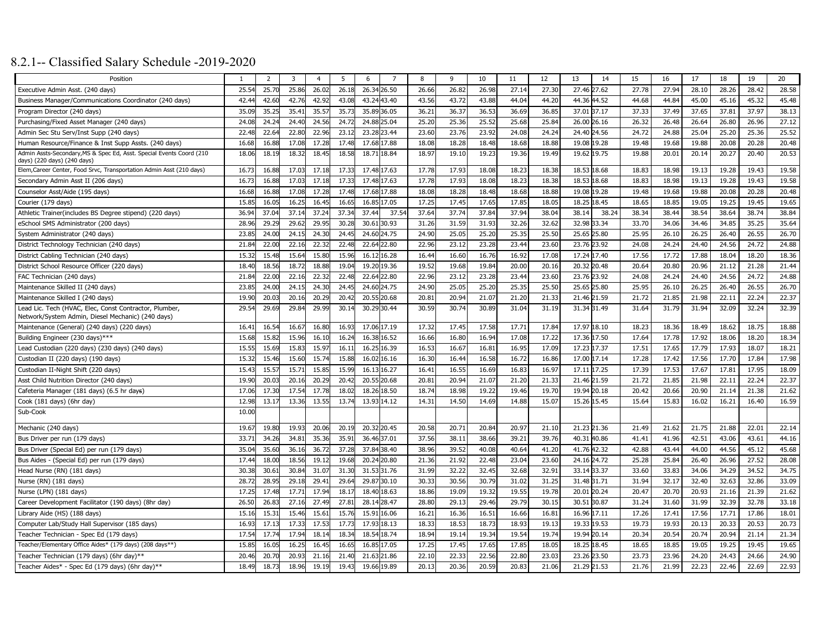# 8.2.1-- Classified Salary Schedule -2019-2020

| Position                                                                                            |       | 2     | 3     | $\overline{4}$ | 5     | -6          | 7           | 8     | 9     | 10    | 11    | 12    | 13          | 14          | 15    | 16    | 17    | 18    | 19    | 20    |
|-----------------------------------------------------------------------------------------------------|-------|-------|-------|----------------|-------|-------------|-------------|-------|-------|-------|-------|-------|-------------|-------------|-------|-------|-------|-------|-------|-------|
| Executive Admin Asst. (240 days)                                                                    | 25.54 | 25.7  | 25.86 | 26.02          | 26.18 | 26.34 26.50 |             | 26.66 | 26.82 | 26.98 | 27.14 | 27.30 | 27.46       | 27.62       | 27.78 | 27.94 | 28.10 | 28.26 | 28.42 | 28.58 |
| Business Manager/Communications Coordinator (240 days)                                              | 42.44 | 42.60 | 42.76 | 42.92          | 43.08 | 43.24 43.40 |             | 43.56 | 43.72 | 43.88 | 44.04 | 44.20 | 44.36 44.52 |             | 44.68 | 44.84 | 45.00 | 45.16 | 45.32 | 45.48 |
| Program Director (240 days)                                                                         | 35.09 | 35.2  | 35.41 | 35.57          | 35.73 | 35.89 36.05 |             | 36.21 | 36.37 | 36.53 | 36.69 | 36.85 | 37.01       | 37.17       | 37.33 | 37.49 | 37.65 | 37.81 | 37.97 | 38.13 |
| Purchasing/Fixed Asset Manager (240 days)                                                           | 24.08 | 24.2  | 24.4  | 24.56          | 24.7  | 24.88 25.04 |             | 25.20 | 25.36 | 25.52 | 25.68 | 25.84 | 26.00       | 26.16       | 26.32 | 26.48 | 26.64 | 26.80 | 26.96 | 27.12 |
| Admin Sec Stu Serv/Inst Supp (240 days)                                                             | 22.48 | 22.6  | 22.80 | 22.96          | 23.12 | 23.28 23.44 |             | 23.60 | 23.76 | 23.92 | 24.08 | 24.24 | 24.40 24.56 |             | 24.72 | 24.88 | 25.04 | 25.20 | 25.36 | 25.52 |
| Human Resource/Finance & Inst Supp Assts. (240 days)                                                | 16.68 | 16.88 | 17.08 | 17.28          | 17.48 | 17.68 17.88 |             | 18.08 | 18.28 | 18.48 | 18.68 | 18.88 |             | 19.08 19.28 | 19.48 | 19.68 | 19.88 | 20.08 | 20.28 | 20.48 |
| Admin Assts-Secondary, MS & Spec Ed, Asst. Special Events Coord (210                                | 18.06 | 18.19 | 18.32 | 18.45          | 18.58 | 18.71 18.84 |             | 18.97 | 19.10 | 19.23 | 19.36 | 19.49 | 19.62       | 19.75       | 19.88 | 20.01 | 20.14 | 20.27 | 20.40 | 20.53 |
| days) (220 days) (240 days)<br>Elem, Career Center, Food Srvc, Transportation Admin Asst (210 days) | 16.73 | 16.88 | 17.03 | 17.18          | 17.33 | 17.48 17.63 |             | 17.78 | 17.93 | 18.08 | 18.23 | 18.38 | 18.53       | 18.68       | 18.83 | 18.98 | 19.13 | 19.28 | 19.43 | 19.58 |
| Secondary Admin Asst II (206 days)                                                                  | 16.73 | 16.88 | 17.03 | 17.18          | 17.33 | 17.48 17.63 |             | 17.78 | 17.93 | 18.08 | 18.23 | 18.38 | 18.53       | 18.68       | 18.83 | 18.98 | 19.13 | 19.28 | 19.43 | 19.58 |
| Counselor Asst/Aide (195 days)                                                                      | 16.68 | 16.8  | 17.08 | 17.28          | 17.48 | 17.68 17.88 |             | 18.08 | 18.28 | 18.48 | 18.68 | 18.88 | 19.08       | 19.28       | 19.48 | 19.68 | 19.88 | 20.08 | 20.28 | 20.48 |
| Courier (179 days)                                                                                  | 15.8  | 16.0  | 16.2  | 16.45          | 16.65 |             | 16.85 17.05 | 17.25 | 17.45 | 17.65 | 17.85 | 18.05 | 18.25       | 18.45       | 18.65 | 18.85 | 19.05 | 19.25 | 19.45 | 19.65 |
| Athletic Trainer(includes BS Degree stipend) (220 days)                                             | 36.94 | 37.04 | 37.14 | 37.24          | 37.34 | 37.44       | 37.5        | 37.64 | 37.74 | 37.84 | 37.94 | 38.04 | 38.14       | 38.24       | 38.34 | 38.44 | 38.54 | 38.64 | 38.74 | 38.84 |
| eSchool SMS Administrator (200 days)                                                                | 28.96 | 29.2  | 29.62 | 29.95          | 30.28 | 30.61 30.93 |             | 31.26 | 31.59 | 31.93 | 32.26 | 32.62 | 32.98       | 33.34       | 33.70 | 34.06 | 34.46 | 34.85 | 35.25 | 35.64 |
| System Administrator (240 days)                                                                     | 23.85 | 24.00 | 24.15 | 24.30          | 24.45 | 24.60 24.75 |             | 24.90 | 25.05 | 25.20 | 25.35 | 25.50 | 25.65 25.80 |             | 25.95 | 26.10 | 26.25 | 26.40 | 26.55 | 26.70 |
| District Technology Technician (240 days)                                                           | 21.84 | 22.0  | 22.16 | 22.32          | 22.48 | 22.64       | 22.80       | 22.96 | 23.12 | 23.28 | 23.44 | 23.60 | 23.76       | 23.92       | 24.08 | 24.24 | 24.40 | 24.56 | 24.72 | 24.88 |
| District Cabling Technician (240 days)                                                              | 15.3  | 15.4  | 15.64 | 15.80          | 15.96 | 16.12       | 16.28       | 16.44 | 16.60 | 16.76 | 16.92 | 17.08 | 17.24       | 17.40       | 17.56 | 17.72 | 17.88 | 18.04 | 18.20 | 18.36 |
| District School Resource Officer (220 days)                                                         | 18.40 | 18.56 | 18.7  | 18.88          | 19.0  | 19.20       | 19.36       | 19.52 | 19.68 | 19.84 | 20.00 | 20.16 | 20.32       | 20.48       | 20.64 | 20.80 | 20.96 | 21.12 | 21.28 | 21.44 |
| FAC Technician (240 days)                                                                           | 21.84 | 22.0  | 22.16 | 22.32          | 22.48 |             | 22.64 22.80 | 22.96 | 23.12 | 23.28 | 23.44 | 23.60 |             | 23.76 23.92 | 24.08 | 24.24 | 24.40 | 24.56 | 24.72 | 24.88 |
| Maintenance Skilled II (240 days)                                                                   | 23.85 | 24.00 | 24.15 | 24.30          | 24.45 | 24.60 24.75 |             | 24.90 | 25.05 | 25.20 | 25.35 | 25.50 |             | 25.65 25.80 | 25.95 | 26.10 | 26.25 | 26.40 | 26.55 | 26.70 |
| Maintenance Skilled I (240 days)                                                                    | 19.90 | 20.03 | 20.16 | 20.29          | 20.42 | 20.5        | 20.68       | 20.81 | 20.94 | 21.07 | 21.20 | 21.33 | 21.46 21.59 |             | 21.72 | 21.85 | 21.98 | 22.11 | 22.24 | 22.37 |
| Lead Lic. Tech (HVAC, Elec, Const Contractor, Plumber,                                              | 29.54 | 29.69 | 29.84 | 29.99          | 30.14 |             | 30.29 30.44 | 30.59 | 30.74 | 30.89 | 31.04 | 31.19 | 31.34 31.49 |             | 31.64 | 31.79 | 31.94 | 32.09 | 32.24 | 32.39 |
| Network/System Admin, Diesel Mechanic) (240 days)                                                   |       |       |       |                |       |             |             |       |       |       |       |       |             |             |       |       |       |       |       |       |
| Maintenance (General) (240 days) (220 days)                                                         | 16.41 | 16.5  | 16.67 | 16.80          | 16.93 |             | 17.06 17.19 | 17.32 | 17.45 | 17.58 | 17.71 | 17.84 | 17.97 18.10 |             | 18.23 | 18.36 | 18.49 | 18.62 | 18.75 | 18.88 |
| Building Engineer (230 days)***                                                                     | 15.68 | 15.8  | 15.96 | 16.10          | 16.24 | 16.38 16.52 |             | 16.66 | 16.80 | 16.94 | 17.08 | 17.22 | 17.36       | 17.50       | 17.64 | 17.78 | 17.92 | 18.06 | 18.20 | 18.34 |
| Lead Custodian (220 days) (230 days) (240 days)                                                     | 15.55 | 15.6  | 15.83 | 15.97          | 16.1  | 16.25 16.39 |             | 16.53 | 16.67 | 16.81 | 16.95 | 17.09 | 17.23       | 17.37       | 17.51 | 17.65 | 17.79 | 17.93 | 18.07 | 18.21 |
| Custodian II (220 days) (190 days)                                                                  | 15.32 | 15.4  | 15.60 | 15.74          | 15.88 | 16.02       | 16.16       | 16.30 | 16.44 | 16.58 | 16.72 | 16.86 | 17.00       | 17.14       | 17.28 | 17.42 | 17.56 | 17.70 | 17.84 | 17.98 |
| Custodian II-Night Shift (220 days)                                                                 | 15.43 | 15.5  | 15.71 | 15.85          | 15.99 | 16.13 16.27 |             | 16.41 | 16.55 | 16.69 | 16.83 | 16.97 | 17.11       | 17.25       | 17.39 | 17.53 | 17.67 | 17.81 | 17.95 | 18.09 |
| Asst Child Nutrition Director (240 days)                                                            | 19.90 | 20.0  | 20.16 | 20.29          | 20.42 | 20.55 20.68 |             | 20.81 | 20.94 | 21.07 | 21.20 | 21.33 | 21.46 21.59 |             | 21.72 | 21.85 | 21.98 | 22.11 | 22.24 | 22.37 |
| Cafeteria Manager (181 days) (6.5 hr days)                                                          | 17.06 | 17.30 | 17.54 | 17.78          | 18.02 | 18.26       | 18.50       | 18.74 | 18.98 | 19.22 | 19.46 | 19.70 |             | 19.94 20.18 | 20.42 | 20.66 | 20.90 | 21.14 | 21.38 | 21.62 |
| Cook (181 days) (6hr day)                                                                           | 12.98 | 13.1  | 13.36 | 13.55          | 13.74 | 13.93 14.12 |             | 14.31 | 14.50 | 14.69 | 14.88 | 15.07 | 15.26 15.45 |             | 15.64 | 15.83 | 16.02 | 16.21 | 16.40 | 16.59 |
| Sub-Cook                                                                                            | 10.00 |       |       |                |       |             |             |       |       |       |       |       |             |             |       |       |       |       |       |       |
| Mechanic (240 days)                                                                                 | 19.67 | 19.80 | 19.93 | 20.06          | 20.19 | 20.32 20.45 |             | 20.58 | 20.71 | 20.84 | 20.97 | 21.10 | 21.23 21.36 |             | 21.49 | 21.62 | 21.75 | 21.88 | 22.01 | 22.14 |
| Bus Driver per run (179 days)                                                                       | 33.71 | 34.26 | 34.81 | 35.36          | 35.9  | 36.46 37.01 |             | 37.56 | 38.1  | 38.66 | 39.21 | 39.76 | 40.31       | 40.86       | 41.41 | 41.96 | 42.51 | 43.06 | 43.61 | 44.16 |
| Bus Driver (Special Ed) per run (179 days)                                                          | 35.04 | 35.6  | 36.16 | 36.72          | 37.28 | 37.84 38.40 |             | 38.96 | 39.52 | 40.08 | 40.64 | 41.20 | 41.76       | 42.32       | 42.88 | 43.44 | 44.00 | 44.56 | 45.12 | 45.68 |
| Bus Aides - (Special Ed) per run (179 days)                                                         | 17.44 | 18.00 | 18.56 | 19.12          | 19.68 | 20.24       | 20.80       | 21.36 | 21.92 | 22.48 | 23.04 | 23.60 |             | 24.16 24.72 | 25.28 | 25.84 | 26.40 | 26.96 | 27.52 | 28.08 |
| Head Nurse (RN) (181 days)                                                                          | 30.38 | 30.6  | 30.84 | 31.07          | 31.30 | 31.53 31.76 |             | 31.99 | 32.22 | 32.45 | 32.68 | 32.91 | 33.14 33.37 |             | 33.60 | 33.83 | 34.06 | 34.29 | 34.52 | 34.75 |
| Nurse (RN) (181 days)                                                                               | 28.72 | 28.95 | 29.18 | 29.41          | 29.64 | 29.87 30.10 |             | 30.33 | 30.56 | 30.79 | 31.02 | 31.25 | 31.48 31.71 |             | 31.94 | 32.17 | 32.40 | 32.63 | 32.86 | 33.09 |
| Nurse (LPN) (181 days)                                                                              | 17.25 | 17.48 | 17.71 | 17.94          | 18.1  | 18.40 18.63 |             | 18.86 | 19.09 | 19.32 | 19.55 | 19.78 | 20.01       | 20.24       | 20.47 | 20.70 | 20.93 | 21.16 | 21.39 | 21.62 |
| Career Development Facilitator (190 days) (8hr day)                                                 | 26.50 | 26.8  | 27.16 | 27.49          | 27.8  | 28.1        | 28.47       | 28.80 | 29.13 | 29.46 | 29.79 | 30.15 | 30.51       | 30.87       | 31.24 | 31.60 | 31.99 | 32.39 | 32.78 | 33.18 |
| Library Aide (HS) (188 days)                                                                        | 15.16 | 15.3  | 15.46 | 15.61          | 15.7  | 15.9        | 16.06       | 16.21 | 16.36 | 16.51 | 16.66 | 16.81 | 16.96       | 17.11       | 17.26 | 17.41 | 17.56 | 17.71 | 17.86 | 18.01 |
| Computer Lab/Study Hall Supervisor (185 days)                                                       | 16.93 | 17.1  | 17.33 | 17.53          | 17.73 |             | 17.93 18.13 | 18.33 | 18.53 | 18.73 | 18.93 | 19.13 | 19.33       | 19.53       | 19.73 | 19.93 | 20.13 | 20.33 | 20.53 | 20.73 |
| Teacher Technician - Spec Ed (179 days)                                                             | 17.54 | 17.7  | 17.94 | 18.14          | 18.34 | 18.54 18.74 |             | 18.94 | 19.14 | 19.34 | 19.54 | 19.74 | 19.94 20.14 |             | 20.34 | 20.54 | 20.74 | 20.94 | 21.14 | 21.34 |
| Teacher/Elementary Office Aides* (179 days) (208 days**)                                            | 15.85 | 16.0  | 16.2  | 16.45          | 16.65 | 16.85 17.05 |             | 17.25 | 17.45 | 17.65 | 17.85 | 18.05 | 18.25       | 18.45       | 18.65 | 18.85 | 19.05 | 19.25 | 19.45 | 19.65 |
| Teacher Technician (179 days) (6hr day)**                                                           | 20.46 | 20.7  | 20.93 | 21.16          | 21.4  | 21.63       | 21.86       | 22.10 | 22.33 | 22.56 | 22.80 | 23.03 | 23.26       | 23.50       | 23.73 | 23.96 | 24.20 | 24.43 | 24.66 | 24.90 |
| Teacher Aides* - Spec Ed (179 days) (6hr day)**                                                     | 18.49 | 18.7  | 18.96 | 19.19          | 19.4  | 19.66 19.89 |             | 20.13 | 20.36 | 20.59 | 20.83 | 21.06 | 21.29       | 21.53       | 21.76 | 21.99 | 22.23 | 22.46 | 22.69 | 22.93 |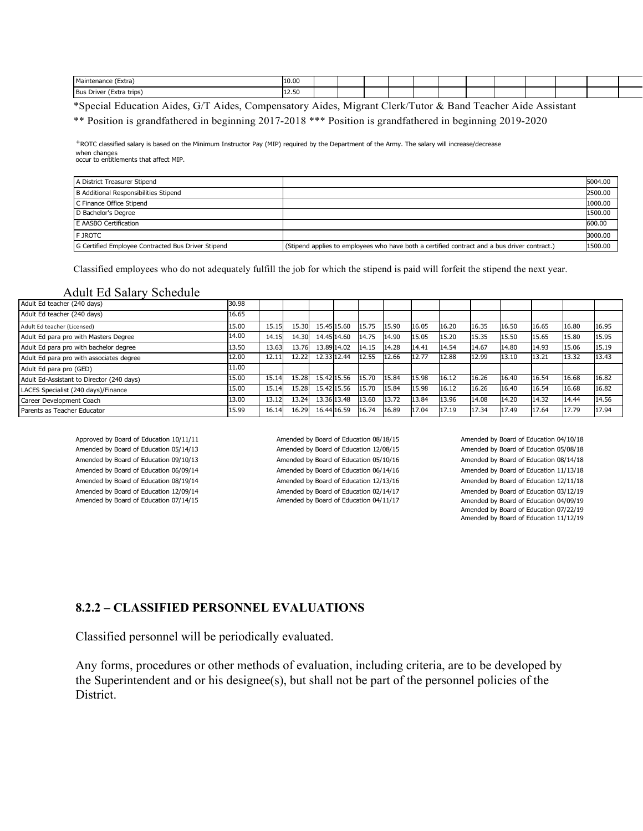| $\sim$<br>$\mathbf{A}$<br>(Extra)<br>Maintenance        | 10.00           |  |  |  |  |  |  |
|---------------------------------------------------------|-----------------|--|--|--|--|--|--|
| Bus  <br>trips<br>(Extra<br>$\sim$ $\sim$ $\sim$ $\sim$ | 12.50<br>$\sim$ |  |  |  |  |  |  |

\*Special Education Aides, G/T Aides, Compensatory Aides, Migrant Clerk/Tutor & Band Teacher Aide Assistant

\*\* Position is grandfathered in beginning 2017-2018 \*\*\* Position is grandfathered in beginning 2019-2020

⁺ROTC classified salary is based on the Minimum Instructor Pay (MIP) required by the Department of the Army. The salary will increase/decrease when changes occur to entitlements that affect MIP.

| A District Treasurer Stipend                       |                                                                                              | 5004.00 |
|----------------------------------------------------|----------------------------------------------------------------------------------------------|---------|
| B Additional Responsibilities Stipend              |                                                                                              | 2500.00 |
| C Finance Office Stipend                           |                                                                                              | 1000.00 |
| D Bachelor's Degree                                |                                                                                              | 1500.00 |
| E AASBO Certification                              |                                                                                              | 600.00  |
| <b>F JROTC</b>                                     |                                                                                              | 3000.00 |
| G Certified Employee Contracted Bus Driver Stipend | (Stipend applies to employees who have both a certified contract and a bus driver contract.) | 1500.00 |

Classified employees who do not adequately fulfill the job for which the stipend is paid will forfeit the stipend the next year.

#### Adult Ed Salary Schedule

| Adult Ed teacher (240 days)               | 30.98 |       |       |             |             |       |       |       |       |       |       |       |       |       |
|-------------------------------------------|-------|-------|-------|-------------|-------------|-------|-------|-------|-------|-------|-------|-------|-------|-------|
| Adult Ed teacher (240 days)               | 16.65 |       |       |             |             |       |       |       |       |       |       |       |       |       |
| Adult Ed teacher (Licensed)               | 15.00 | 15.15 | 15.30 | 15.45 15.60 |             | 15.75 | 15.90 | 16.05 | 16.20 | 16.35 | 16.50 | 16.65 | 16.80 | 16.95 |
| Adult Ed para pro with Masters Degree     | 14.00 | 14.15 | 14.30 | 14.45 14.60 |             | 14.75 | 14.90 | 15.05 | 15.20 | 15.35 | 15.50 | 15.65 | 15.80 | 15.95 |
| Adult Ed para pro with bachelor degree    | 13.50 | 13.63 | 13.76 | 13.89 14.02 |             | 14.15 | 14.28 | 14.41 | 14.54 | 14.67 | 14.80 | 14.93 | 15.06 | 15.19 |
| Adult Ed para pro with associates degree  | 12.00 | 12.11 | 12.22 | 12.33 12.44 |             | 12.55 | 12.66 | 12.77 | 12.88 | 12.99 | 13.10 | 13.21 | 13.32 | 13.43 |
| Adult Ed para pro (GED)                   | 11.00 |       |       |             |             |       |       |       |       |       |       |       |       |       |
| Adult Ed-Assistant to Director (240 days) | 15.00 | 15.14 | 15.28 | 15.42 15.56 |             | 15.70 | 15.84 | 15.98 | 16.12 | 16.26 | 16.40 | 16.54 | 16.68 | 16.82 |
| LACES Specialist (240 days)/Finance       | 15.00 | 15.14 | 15.28 | 15.42 15.56 |             | 15.70 | 15.84 | 15.98 | 16.12 | 16.26 | 16.40 | 16.54 | 16.68 | 16.82 |
| Career Development Coach                  | 13.00 | 13.12 | 13.24 | 13.36 13.48 |             | 13.60 | 13.72 | 13.84 | 13.96 | 14.08 | 14.20 | 14.32 | 14.44 | 14.56 |
| Parents as Teacher Educator               | 15.99 | 16.14 | 16.29 |             | 16.44 16.59 | 16.74 | 16.89 | 17.04 | 17.19 | 17.34 | 17.49 | 17.64 | 17.79 | 17.94 |

Amended by Board of Education 05/14/13 Amended by Board of Education 12/08/15 Amended by Board of Education 09/10/13 Amended by Board of Education 05/10/16 Amended by Board of Education 06/09/14 Amended by Board of Education 06/14/16 Amended by Board of Education 08/19/14 Amended by Board of Education 12/13/16 Amended by Board of Education 12/09/14 Amended by Board of Education 02/14/17<br>Amended by Board of Education 07/14/15 Amended by Board of Education 04/11/17

Approved by Board of Education 10/11/11 Amended by Board of Education 08/18/15 Amended by Board of Education 04/11/17

Amended by Board of Education 04/10/18 Amended by Board of Education 05/08/18 Amended by Board of Education 08/14/18 Amended by Board of Education 11/13/18 Amended by Board of Education 12/11/18 Amended by Board of Education 03/12/19 Amended by Board of Education 04/09/19 Amended by Board of Education 07/22/19 Amended by Board of Education 11/12/19

#### **8.2.2 – CLASSIFIED PERSONNEL EVALUATIONS**

Classified personnel will be periodically evaluated.

Any forms, procedures or other methods of evaluation, including criteria, are to be developed by the Superintendent and or his designee(s), but shall not be part of the personnel policies of the District.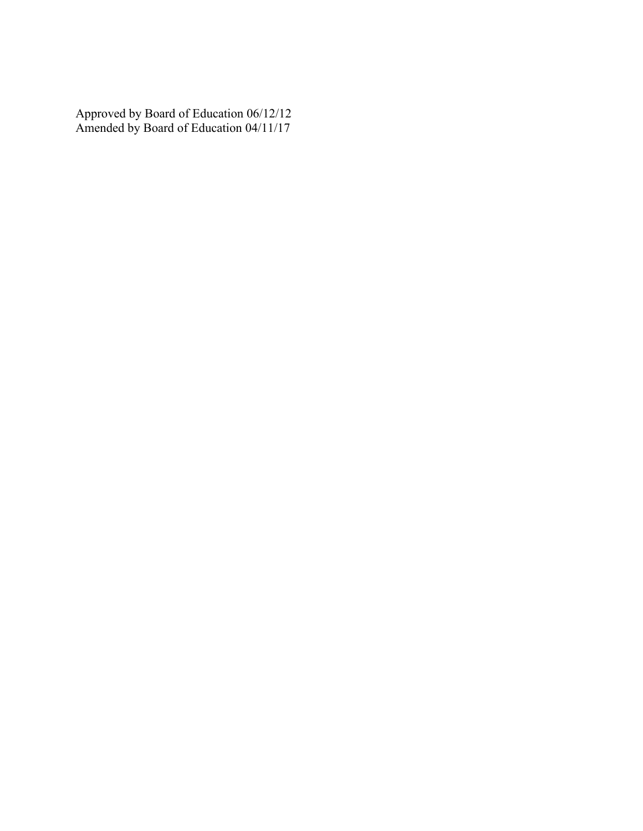Approved by Board of Education 06/12/12 Amended by Board of Education 04/11/17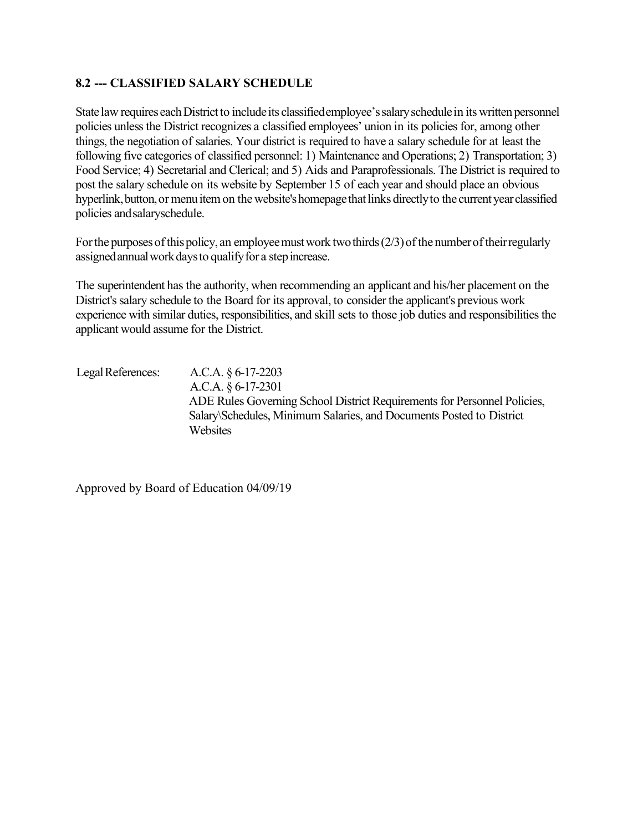## **8.2 --- CLASSIFIED SALARY SCHEDULE**

State law requires each District to include its classified employee's salary schedule in its written personnel policies unless the District recognizes a classified employees' union in its policies for, among other things, the negotiation of salaries. Your district is required to have a salary schedule for at least the following five categories of classified personnel: 1) Maintenance and Operations; 2) Transportation; 3) Food Service; 4) Secretarial and Clerical; and 5) Aids and Paraprofessionals. The District is required to post the salary schedule on its website by September 15 of each year and should place an obvious hyperlink, button, or menu item on the website's homepage that links directly to the current year classified policies andsalaryschedule.

For the purposes of this policy, an employee must work two thirds  $(2/3)$  of the number of their regularly assignedannualworkdaysto qualifyfor a stepincrease.

The superintendent has the authority, when recommending an applicant and his/her placement on the District's salary schedule to the Board for its approval, to consider the applicant's previous work experience with similar duties, responsibilities, and skill sets to those job duties and responsibilities the applicant would assume for the District.

LegalReferences: A.C.A. § 6-17-2203 A.C.A. § 6-17-2301 ADE Rules Governing School District Requirements for Personnel Policies, Salary\Schedules, Minimum Salaries, and Documents Posted to District **Websites**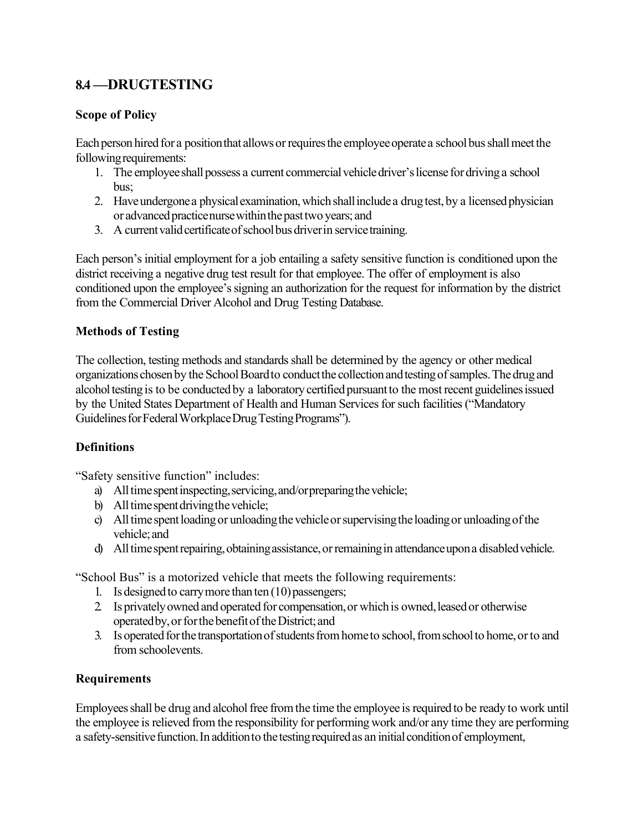## **8.4 —DRUGTESTING**

## **Scope of Policy**

Each person hired for a position that allows or requires the employee operate a school bus shall meet the following requirements:

- 1. The employee shall possess a current commercial vehicle driver's license for driving a school bus;
- 2. Have undergone a physical examination, which shall include a drug test, by a licensed physician or advanced practice nurse within the past two years; and
- 3. A current valid certificate of school bus driver in service training.

Each person's initial employment for a job entailing a safety sensitive function is conditioned upon the district receiving a negative drug test result for that employee. The offer of employment is also conditioned upon the employee's signing an authorization for the request for information by the district from the Commercial Driver Alcohol and Drug Testing Database.

## **Methods of Testing**

The collection, testing methods and standards shall be determined by the agency or other medical organizations chosen by the School Board to conduct the collection and testing of samples. The drug and alcohol testing is to be conducted by a laboratory certified pursuant to the most recent guidelines issued by the United States Department of Health and Human Services for such facilities ("Mandatory Guidelines for Federal Workplace Drug Testing Programs").

## **Definitions**

"Safety sensitive function" includes:

- a) All time spent inspecting, servicing, and/or preparing the vehicle;
- b) All time spent driving the vehicle;
- c) All time spent loading or unloading the vehicle or supervising the loading or unloading of the vehicle;and
- d) All time spent repairing, obtaining assistance, or remaining in attendance upon a disabled vehicle.

"School Bus" is a motorized vehicle that meets the following requirements:

- 1. Is designed to carry more than ten  $(10)$  passengers;
- 2. Is privately owned and operated for compensation, or which is owned, leased or otherwise operated by, or for the benefit of the District; and
- 3. Is operated for the transportation of students from home to school, from school to home, or to and from schoolevents.

## **Requirements**

Employees shall be drug and alcoholfree from the time the employee is required to be ready to work until the employee is relieved from the responsibility for performing work and/or any time they are performing a safety-sensitive function. In addition to the testing required as an initial condition of employment,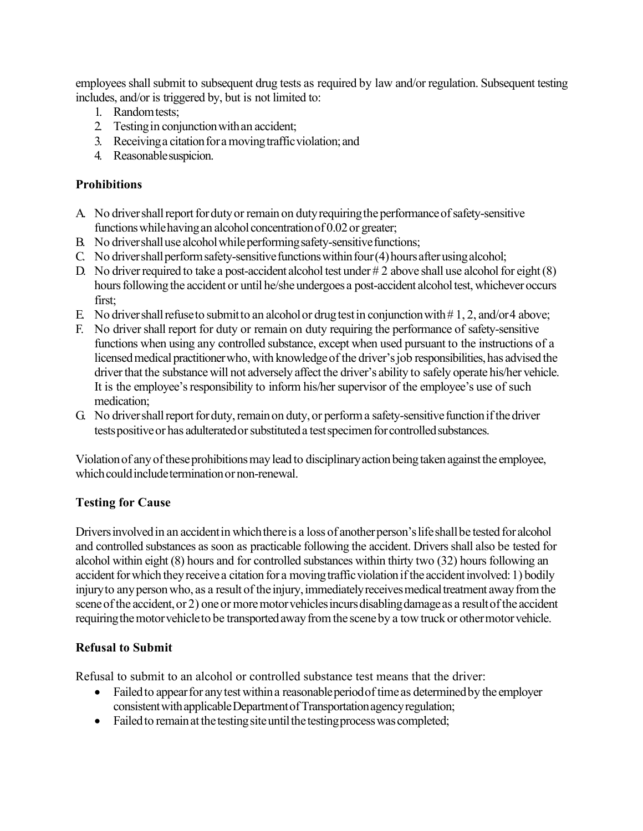employees shall submit to subsequent drug tests as required by law and/or regulation. Subsequent testing includes, and/or is triggered by, but is not limited to:

- 1. Randomtests;
- 2. Testingin conjunctionwithan accident;
- 3. Receiving a citation for a moving traffic violation; and
- 4. Reasonablesuspicion.

## **Prohibitions**

- A No driver shall report for duty or remain on duty requiring the performance of safety-sensitive functions while having an alcohol concentration of 0.02 or greater;
- B. No drivershall use alcohol while performing safety-sensitive functions;
- C. No drivershall perform safety-sensitive functions within four  $(4)$  hours after using alcohol;
- D. No driver required to take a post-accident alcohol test under  $# 2$  above shall use alcohol for eight (8) hours following the accident or until he/she undergoes a post-accident alcohol test, whichever occurs first;
- E. No driver shall refuse to submitto an alcohol or drug test in conjunction with  $\# 1, 2$ , and/or4 above;
- F. No driver shall report for duty or remain on duty requiring the performance of safety-sensitive functions when using any controlled substance, except when used pursuant to the instructions of a licensed medical practitioner who, with knowledge of the driver's job responsibilities, has advised the driver that the substance will not adversely affect the driver's ability to safely operate his/her vehicle. It is the employee's responsibility to inform his/her supervisor of the employee's use of such medication;
- G. No driver shall report for duty, remain on duty, or perform a safety-sensitive function if the driver tests positive or has adulterated or substituted a test specimen for controlled substances.

Violation of any of these prohibitions may lead to disciplinary action being taken against the employee, which could include termination or non-renewal.

## **Testing for Cause**

Drivers involved in an accident in which there is a loss of another person's life shall be tested for alcohol and controlled substances as soon as practicable following the accident. Drivers shall also be tested for alcohol within eight (8) hours and for controlled substances within thirty two (32) hours following an accident for which they receive a citation for a moving traffic violation if the accident involved: 1) bodily injury to any person who, as a result of the injury, immediately receives medical treatment away from the scene of the accident, or 2) one or more motor vehicles incurs disabling damage as a result of the accident requiring the motor vehicle to be transported away from the scene by a tow truck or othermotor vehicle.

## **Refusal to Submit**

Refusal to submit to an alcohol or controlled substance test means that the driver:

- Failed to appear for any test within a reasonable period of time as determined by the employer consistent with applicable Department of Transportation agency regulation;
- Failed to remain at the testing site until the testing process was completed;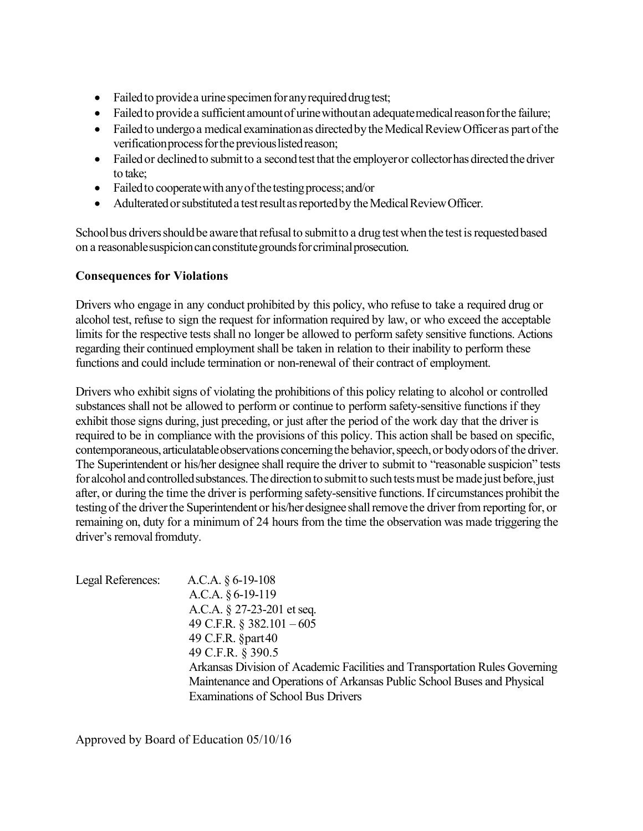- Failed to provide a urine specimen for any required drug test;
- Failed to provide a sufficient amount of urine without an adequate medical reason for the failure;
- Failed to undergo a medical examination as directed by the Medical Review Officer as part of the verification process for the previous listed reason;
- Failed or declined to submit to a second test that the employer or collector has directed the driver to take;
- Failed to cooperate with any of the testing process; and/or
- Adulterated or substituted a test result as reported by the Medical Review Officer.

School bus drivers should be aware that refusal to submitto a drug test when the test is requested based on a reasonable suspicion can constitute grounds for criminal prosecution.

## **Consequences for Violations**

Drivers who engage in any conduct prohibited by this policy, who refuse to take a required drug or alcohol test, refuse to sign the request for information required by law, or who exceed the acceptable limits for the respective tests shall no longer be allowed to perform safety sensitive functions. Actions regarding their continued employment shall be taken in relation to their inability to perform these functions and could include termination or non-renewal of their contract of employment.

Drivers who exhibit signs of violating the prohibitions of this policy relating to alcohol or controlled substances shall not be allowed to perform or continue to perform safety-sensitive functions if they exhibit those signs during, just preceding, or just after the period of the work day that the driver is required to be in compliance with the provisions of this policy. This action shall be based on specific, contemporaneous, articulatable observations concerning the behavior, speech, or body odors of the driver. The Superintendent or his/her designee shall require the driver to submit to "reasonable suspicion" tests for alcohol and controlled substances. The direction to submit to such tests must be made just before, just after, or during the time the driveris performing safety-sensitive functions.If circumstances prohibit the testing of the driver the Superintendent or his/her designee shall remove the driver from reporting for, or remaining on, duty for a minimum of 24 hours from the time the observation was made triggering the driver's removal fromduty.

| Legal References: | A.C.A. $\S 6$ -19-108                                                       |  |  |  |  |  |  |
|-------------------|-----------------------------------------------------------------------------|--|--|--|--|--|--|
|                   | A.C.A. $§6-19-119$                                                          |  |  |  |  |  |  |
|                   | A.C.A. $\S$ 27-23-201 et seq.                                               |  |  |  |  |  |  |
|                   | 49 C.F.R. $\S$ 382.101 - 605                                                |  |  |  |  |  |  |
|                   | 49 C.F.R. §part40                                                           |  |  |  |  |  |  |
|                   | 49 C.F.R. § 390.5                                                           |  |  |  |  |  |  |
|                   | Arkansas Division of Academic Facilities and Transportation Rules Governing |  |  |  |  |  |  |
|                   | Maintenance and Operations of Arkansas Public School Buses and Physical     |  |  |  |  |  |  |
|                   | <b>Examinations of School Bus Drivers</b>                                   |  |  |  |  |  |  |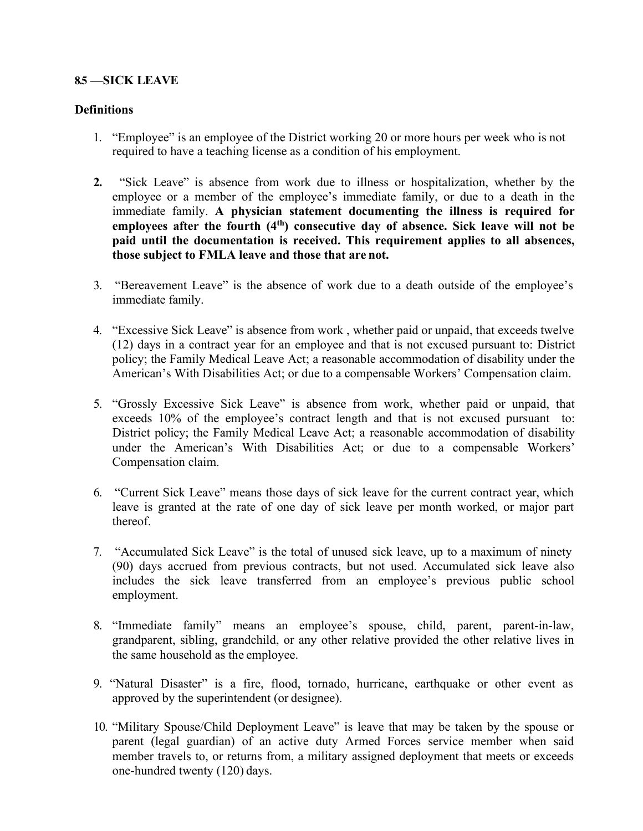#### **8.5 —SICK LEAVE**

#### **Definitions**

- 1. "Employee" is an employee of the District working 20 or more hours per week who is not required to have a teaching license as a condition of his employment.
- **2.** "Sick Leave" is absence from work due to illness or hospitalization, whether by the employee or a member of the employee's immediate family, or due to a death in the immediate family. **A physician statement documenting the illness is required for**  employees after the fourth (4<sup>th</sup>) consecutive day of absence. Sick leave will not be **paid until the documentation is received. This requirement applies to all absences, those subject to FMLA leave and those that are not.**
- 3. "Bereavement Leave" is the absence of work due to a death outside of the employee's immediate family.
- 4. "Excessive Sick Leave" is absence from work , whether paid or unpaid, that exceeds twelve (12) days in a contract year for an employee and that is not excused pursuant to: District policy; the Family Medical Leave Act; a reasonable accommodation of disability under the American's With Disabilities Act; or due to a compensable Workers' Compensation claim.
- 5. "Grossly Excessive Sick Leave" is absence from work, whether paid or unpaid, that exceeds 10% of the employee's contract length and that is not excused pursuant to: District policy; the Family Medical Leave Act; a reasonable accommodation of disability under the American's With Disabilities Act; or due to a compensable Workers' Compensation claim.
- 6. "Current Sick Leave" means those days of sick leave for the current contract year, which leave is granted at the rate of one day of sick leave per month worked, or major part thereof.
- 7. "Accumulated Sick Leave" is the total of unused sick leave, up to a maximum of ninety (90) days accrued from previous contracts, but not used. Accumulated sick leave also includes the sick leave transferred from an employee's previous public school employment.
- 8. "Immediate family" means an employee's spouse, child, parent, parent-in-law, grandparent, sibling, grandchild, or any other relative provided the other relative lives in the same household as the employee.
- 9. "Natural Disaster" is a fire, flood, tornado, hurricane, earthquake or other event as approved by the superintendent (or designee).
- 10. "Military Spouse/Child Deployment Leave" is leave that may be taken by the spouse or parent (legal guardian) of an active duty Armed Forces service member when said member travels to, or returns from, a military assigned deployment that meets or exceeds one-hundred twenty (120) days.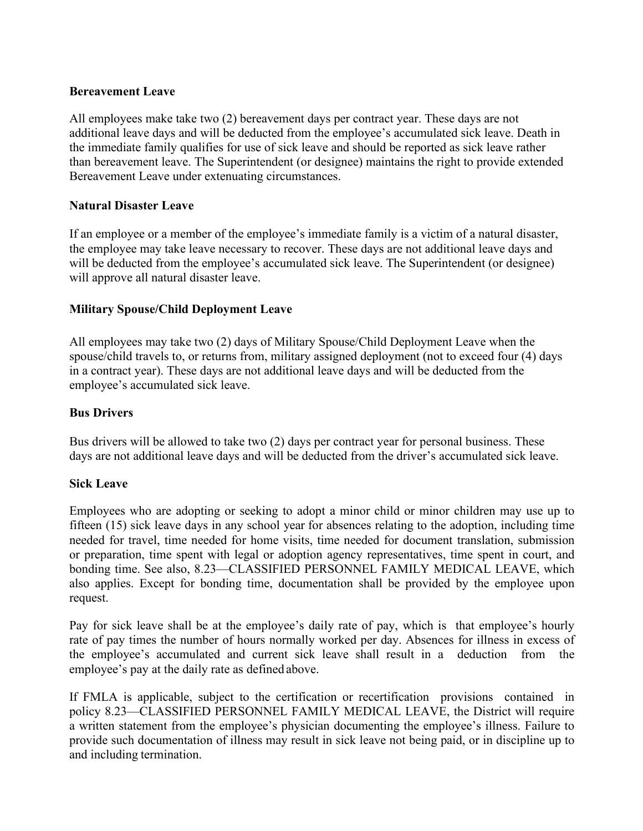#### **Bereavement Leave**

All employees make take two (2) bereavement days per contract year. These days are not additional leave days and will be deducted from the employee's accumulated sick leave. Death in the immediate family qualifies for use of sick leave and should be reported as sick leave rather than bereavement leave. The Superintendent (or designee) maintains the right to provide extended Bereavement Leave under extenuating circumstances.

#### **Natural Disaster Leave**

If an employee or a member of the employee's immediate family is a victim of a natural disaster, the employee may take leave necessary to recover. These days are not additional leave days and will be deducted from the employee's accumulated sick leave. The Superintendent (or designee) will approve all natural disaster leave.

#### **Military Spouse/Child Deployment Leave**

All employees may take two (2) days of Military Spouse/Child Deployment Leave when the spouse/child travels to, or returns from, military assigned deployment (not to exceed four (4) days in a contract year). These days are not additional leave days and will be deducted from the employee's accumulated sick leave.

#### **Bus Drivers**

Bus drivers will be allowed to take two (2) days per contract year for personal business. These days are not additional leave days and will be deducted from the driver's accumulated sick leave.

#### **Sick Leave**

Employees who are adopting or seeking to adopt a minor child or minor children may use up to fifteen (15) sick leave days in any school year for absences relating to the adoption, including time needed for travel, time needed for home visits, time needed for document translation, submission or preparation, time spent with legal or adoption agency representatives, time spent in court, and bonding time. See also, 8.23—CLASSIFIED PERSONNEL FAMILY MEDICAL LEAVE, which also applies. Except for bonding time, documentation shall be provided by the employee upon request.

Pay for sick leave shall be at the employee's daily rate of pay, which is that employee's hourly rate of pay times the number of hours normally worked per day. Absences for illness in excess of the employee's accumulated and current sick leave shall result in a deduction from the employee's pay at the daily rate as defined above.

If FMLA is applicable, subject to the certification or recertification provisions contained in policy 8.23—CLASSIFIED PERSONNEL FAMILY MEDICAL LEAVE, the District will require a written statement from the employee's physician documenting the employee's illness. Failure to provide such documentation of illness may result in sick leave not being paid, or in discipline up to and including termination.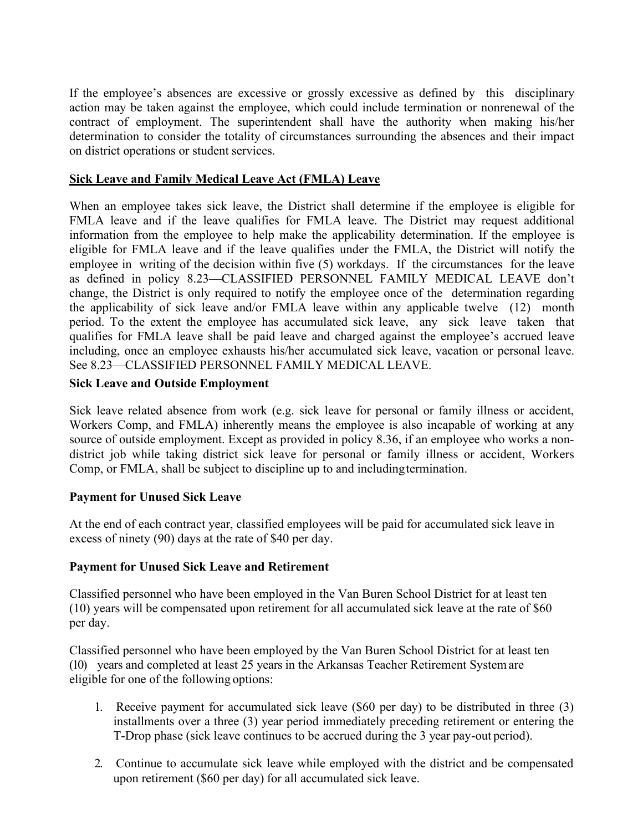If the employee's absences are excessive or grossly excessive as defined by this disciplinary action may be taken against the employee, which could include termination or nonrenewal of the contract of employment. The superintendent shall have the authority when making his/her determination to consider the totality of circumstances surrounding the absences and their impact on district operations or student services.

#### **Sick Leave and Family Medical Leave Act (FMLA) Leave**

When an employee takes sick leave, the District shall determine if the employee is eligible for FMLA leave and if the leave qualifies for FMLA leave. The District may request additional information from the employee to help make the applicability determination. If the employee is eligible for FMLA leave and if the leave qualifies under the FMLA, the District will notify the employee in writing of the decision within five (5) workdays. If the circumstances for the leave as defined in policy 8.23—CLASSIFIED PERSONNEL FAMILY MEDICAL LEAVE don't change, the District is only required to notify the employee once of the determination regarding the applicability of sick leave and/or FMLA leave within any applicable twelve (12) month period. To the extent the employee has accumulated sick leave, any sick leave taken that qualifies for FMLA leave shall be paid leave and charged against the employee's accrued leave including, once an employee exhausts his/her accumulated sick leave, vacation or personal leave. See 8.23—CLASSIFIED PERSONNEL FAMILY MEDICAL LEAVE.

#### **Sick Leave and Outside Employment**

Sick leave related absence from work (e.g. sick leave for personal or family illness or accident, Workers Comp, and FMLA) inherently means the employee is also incapable of working at any source of outside employment. Except as provided in policy 8.36, if an employee who works a nondistrict job while taking district sick leave for personal or family illness or accident, Workers Comp, or FMLA, shall be subject to discipline up to and includingtermination.

## **Payment for Unused Sick Leave**

At the end of each contract year, classified employees will be paid for accumulated sick leave in excess of ninety (90) days at the rate of \$40 per day.

## **Payment for Unused Sick Leave and Retirement**

Classified personnel who have been employed in the Van Buren School District for at least ten (10) years will be compensated upon retirement for all accumulated sick leave at the rate of \$60 per day.

Classified personnel who have been employed by the Van Buren School District for at least ten (10) years and completed at least 25 years in the Arkansas Teacher Retirement Systemare eligible for one of the following options:

- 1. Receive payment for accumulated sick leave (\$60 per day) to be distributed in three (3) installments over a three (3) year period immediately preceding retirement or entering the T-Drop phase (sick leave continues to be accrued during the 3 year pay-out period).
- 2. Continue to accumulate sick leave while employed with the district and be compensated upon retirement (\$60 per day) for all accumulated sick leave.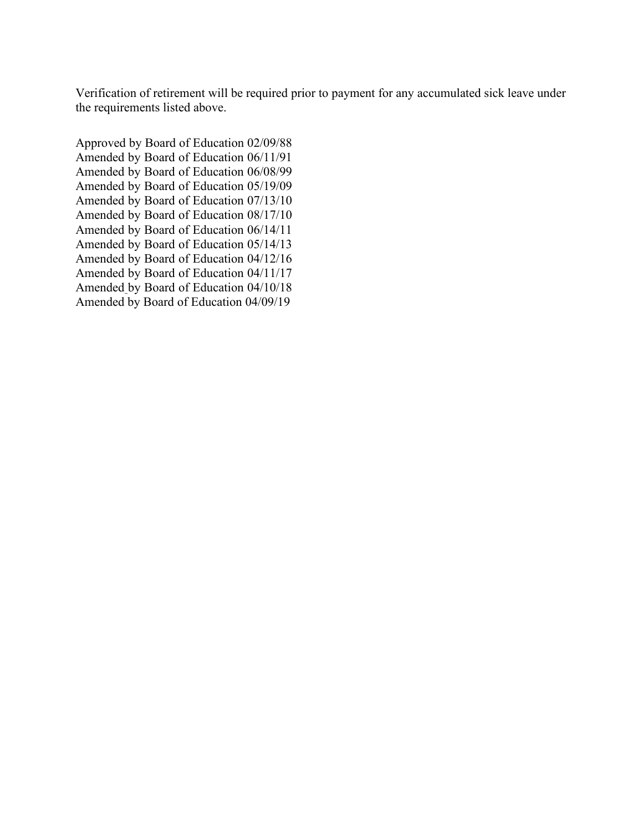Verification of retirement will be required prior to payment for any accumulated sick leave under the requirements listed above.

Approved by Board of Education 02/09/88 Amended by Board of Education 06/11/91 Amended by Board of Education 06/08/99 Amended by Board of Education 05/19/09 Amended by Board of Education 07/13/10 Amended by Board of Education 08/17/10 Amended by Board of Education 06/14/11 Amended by Board of Education 05/14/13 Amended by Board of Education 04/12/16 Amended by Board of Education 04/11/17 Amended by Board of Education 04/10/18 Amended by Board of Education 04/09/19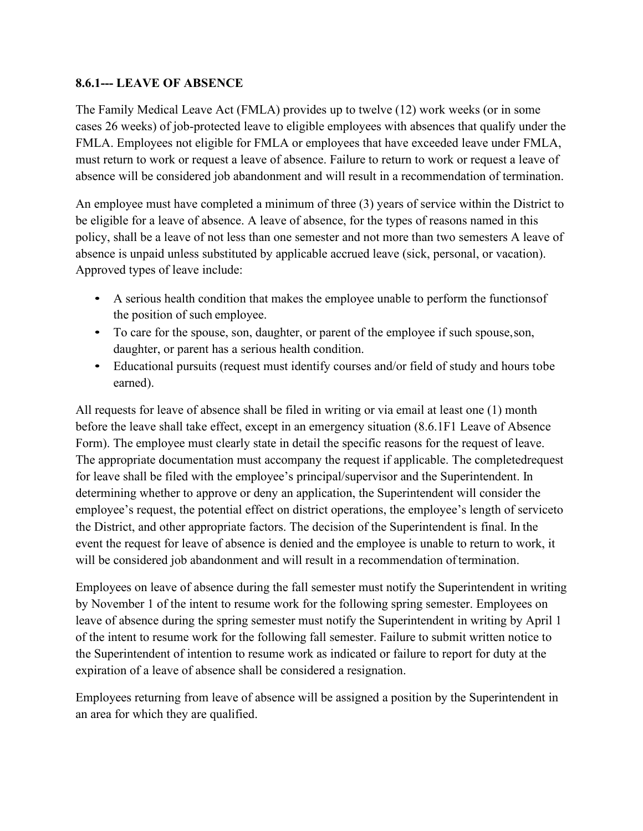## **8.6.1--- LEAVE OF ABSENCE**

The Family Medical Leave Act (FMLA) provides up to twelve (12) work weeks (or in some cases 26 weeks) of job-protected leave to eligible employees with absences that qualify under the FMLA. Employees not eligible for FMLA or employees that have exceeded leave under FMLA, must return to work or request a leave of absence. Failure to return to work or request a leave of absence will be considered job abandonment and will result in a recommendation of termination.

An employee must have completed a minimum of three (3) years of service within the District to be eligible for a leave of absence. A leave of absence, for the types of reasons named in this policy, shall be a leave of not less than one semester and not more than two semesters A leave of absence is unpaid unless substituted by applicable accrued leave (sick, personal, or vacation). Approved types of leave include:

- A serious health condition that makes the employee unable to perform the functionsof the position of such employee.
- To care for the spouse, son, daughter, or parent of the employee if such spouse,son, daughter, or parent has a serious health condition.
- Educational pursuits (request must identify courses and/or field of study and hours tobe earned).

All requests for leave of absence shall be filed in writing or via email at least one (1) month before the leave shall take effect, except in an emergency situation (8.6.1F1 Leave of Absence Form). The employee must clearly state in detail the specific reasons for the request of leave. The appropriate documentation must accompany the request if applicable. The completedrequest for leave shall be filed with the employee's principal/supervisor and the Superintendent. In determining whether to approve or deny an application, the Superintendent will consider the employee's request, the potential effect on district operations, the employee's length of serviceto the District, and other appropriate factors. The decision of the Superintendent is final. In the event the request for leave of absence is denied and the employee is unable to return to work, it will be considered job abandonment and will result in a recommendation of termination.

Employees on leave of absence during the fall semester must notify the Superintendent in writing by November 1 of the intent to resume work for the following spring semester. Employees on leave of absence during the spring semester must notify the Superintendent in writing by April 1 of the intent to resume work for the following fall semester. Failure to submit written notice to the Superintendent of intention to resume work as indicated or failure to report for duty at the expiration of a leave of absence shall be considered a resignation.

Employees returning from leave of absence will be assigned a position by the Superintendent in an area for which they are qualified.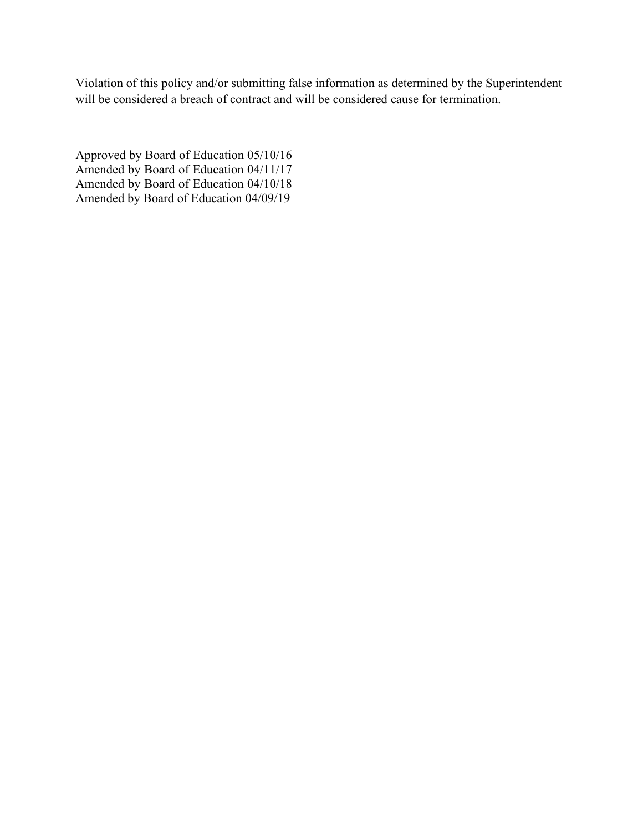Violation of this policy and/or submitting false information as determined by the Superintendent will be considered a breach of contract and will be considered cause for termination.

Approved by Board of Education 05/10/16 Amended by Board of Education 04/11/17 Amended by Board of Education 04/10/18 Amended by Board of Education 04/09/19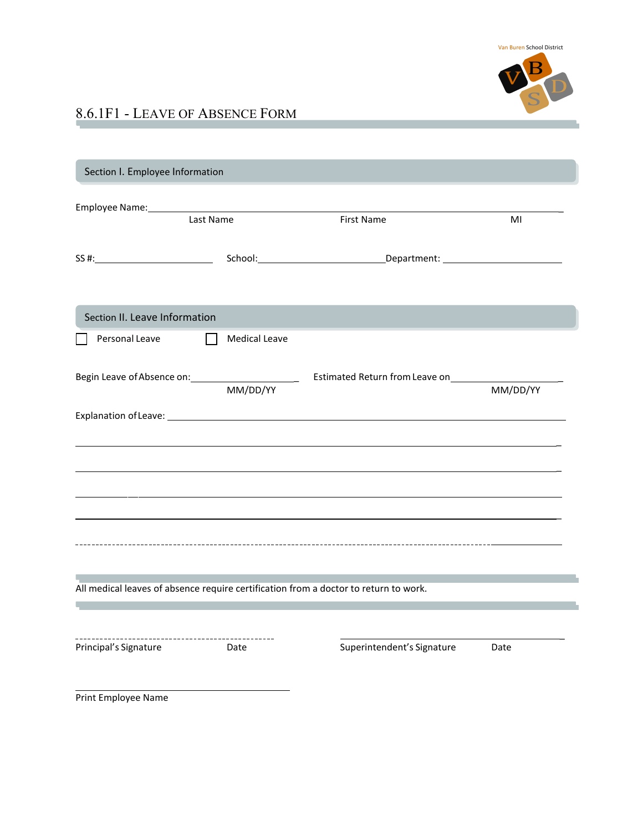

# 8.6.1F1 - LEAVE OF ABSENCE FORM

| Section I. Employee Information                                                                     |                              |                            |          |
|-----------------------------------------------------------------------------------------------------|------------------------------|----------------------------|----------|
| Employee Name: 1988 and 2008 and 2008 and 2008 and 2008 and 2008 and 2008 and 2008 and 2008 and 200 |                              |                            |          |
|                                                                                                     | Last Name                    | <b>First Name</b>          | MI       |
|                                                                                                     |                              |                            |          |
| Section II. Leave Information                                                                       |                              |                            |          |
| Personal Leave                                                                                      | <b>Medical Leave</b>         |                            |          |
|                                                                                                     | $\overline{\text{MM/DD/YY}}$ |                            | MM/DD/YY |
|                                                                                                     |                              |                            |          |
|                                                                                                     |                              |                            |          |
|                                                                                                     |                              |                            |          |
|                                                                                                     |                              |                            |          |
|                                                                                                     |                              |                            |          |
|                                                                                                     |                              |                            |          |
|                                                                                                     |                              |                            |          |
| All medical leaves of absence require certification from a doctor to return to work.                |                              |                            |          |
|                                                                                                     |                              |                            |          |
|                                                                                                     |                              |                            |          |
| Principal's Signature                                                                               | Date                         | Superintendent's Signature | Date     |
| Print Employee Name                                                                                 |                              |                            |          |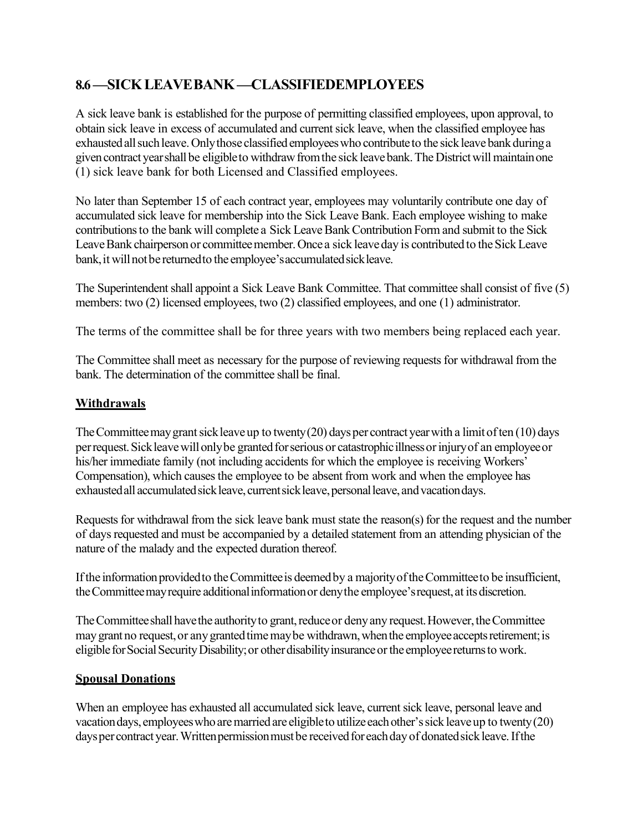# **8.6—SICKLEAVEBANK—CLASSIFIEDEMPLOYEES**

A sick leave bank is established for the purpose of permitting classified employees, upon approval, to obtain sick leave in excess of accumulated and current sick leave, when the classified employee has exhausted all such leave. Only those classified employees who contribute to the sick leave bank during a given contract year shall be eligible to withdraw from the sick leave bank. The District will maintain one (1) sick leave bank for both Licensed and Classified employees.

No later than September 15 of each contract year, employees may voluntarily contribute one day of accumulated sick leave for membership into the Sick Leave Bank. Each employee wishing to make contributions to the bank will complete a Sick Leave Bank Contribution Form and submit to the Sick Leave Bank chairperson or committee member. Once a sick leave day is contributed to the Sick Leave bank, it will not be returned to the employee's accumulated sick leave.

The Superintendent shall appoint a Sick Leave Bank Committee. That committee shall consist of five (5) members: two (2) licensed employees, two (2) classified employees, and one (1) administrator.

The terms of the committee shall be for three years with two members being replaced each year.

The Committee shall meet as necessary for the purpose of reviewing requests for withdrawal from the bank. The determination of the committee shall be final.

## **Withdrawals**

The Committee may grant sick leave up to twenty (20) days per contract year with a limit of ten (10) days per request. Sick leave will only be granted for serious or catastrophic illness or injury of an employee or his/her immediate family (not including accidents for which the employee is receiving Workers' Compensation), which causes the employee to be absent from work and when the employee has exhausted all accumulated sick leave, current sick leave, personal leave, and vacation days.

Requests for withdrawal from the sick leave bank must state the reason(s) for the request and the number of days requested and must be accompanied by a detailed statement from an attending physician of the nature of the malady and the expected duration thereof.

If the information provided to the Committee is deemed by a majority of the Committee to be insufficient, the Committee may require additional information or deny the employee's request, at its discretion.

The Committee shall have the authority to grant, reduce or deny any request. However, the Committee may grant no request, or any granted time may be withdrawn, when the employee accepts retirement; is eligible for Social Security Disability; or other disability insurance or the employee returns to work.

## **Spousal Donations**

When an employee has exhausted all accumulated sick leave, current sick leave, personal leave and vacation days, employees who are married are eligible to utilize each other's sick leave up to twenty(20) days per contract year. Written permission must be received for each day of donated sick leave. If the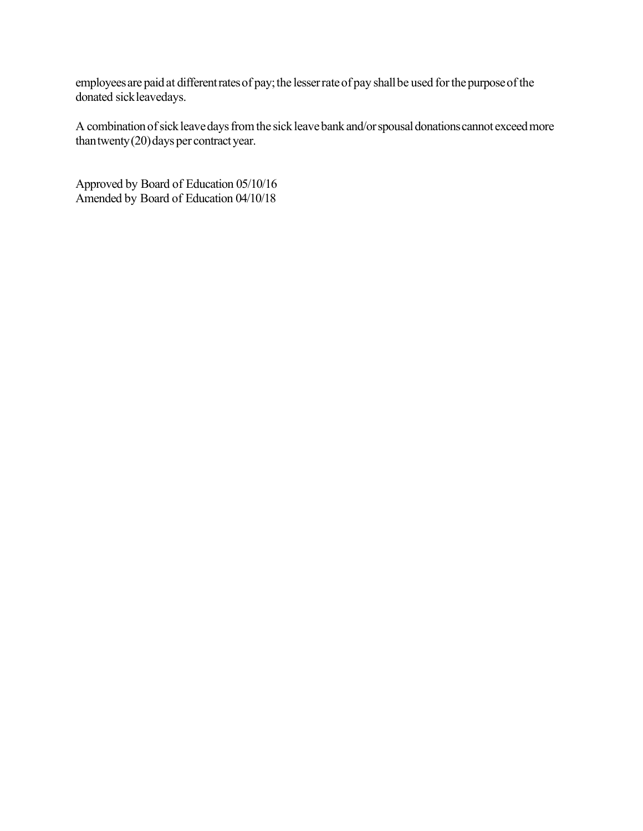employees are paid at different rates of pay; the lesser rate of pay shall be used for the purpose of the donated sickleavedays.

A combination of sick leave days from the sick leave bank and/or spousal donations cannot exceed more than twenty  $(20)$  days per contract year.

Approved by Board of Education 05/10/16 Amended by Board of Education 04/10/18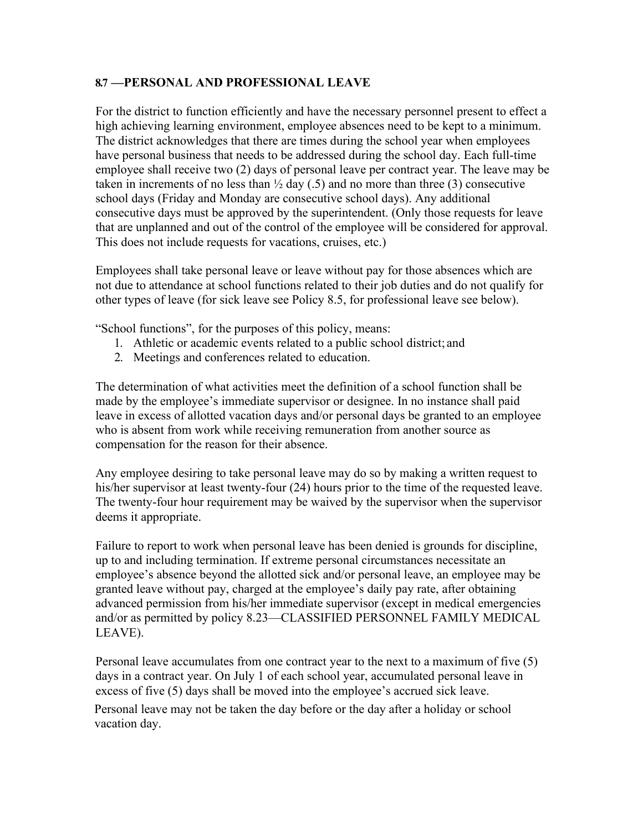#### **8.7 —PERSONAL AND PROFESSIONAL LEAVE**

For the district to function efficiently and have the necessary personnel present to effect a high achieving learning environment, employee absences need to be kept to a minimum. The district acknowledges that there are times during the school year when employees have personal business that needs to be addressed during the school day. Each full-time employee shall receive two (2) days of personal leave per contract year. The leave may be taken in increments of no less than  $\frac{1}{2}$  day (.5) and no more than three (3) consecutive school days (Friday and Monday are consecutive school days). Any additional consecutive days must be approved by the superintendent. (Only those requests for leave that are unplanned and out of the control of the employee will be considered for approval. This does not include requests for vacations, cruises, etc.)

Employees shall take personal leave or leave without pay for those absences which are not due to attendance at school functions related to their job duties and do not qualify for other types of leave (for sick leave see Policy 8.5, for professional leave see below).

"School functions", for the purposes of this policy, means:

- 1. Athletic or academic events related to a public school district; and
- 2. Meetings and conferences related to education.

The determination of what activities meet the definition of a school function shall be made by the employee's immediate supervisor or designee. In no instance shall paid leave in excess of allotted vacation days and/or personal days be granted to an employee who is absent from work while receiving remuneration from another source as compensation for the reason for their absence.

Any employee desiring to take personal leave may do so by making a written request to his/her supervisor at least twenty-four (24) hours prior to the time of the requested leave. The twenty-four hour requirement may be waived by the supervisor when the supervisor deems it appropriate.

Failure to report to work when personal leave has been denied is grounds for discipline, up to and including termination. If extreme personal circumstances necessitate an employee's absence beyond the allotted sick and/or personal leave, an employee may be granted leave without pay, charged at the employee's daily pay rate, after obtaining advanced permission from his/her immediate supervisor (except in medical emergencies and/or as permitted by policy 8.23—CLASSIFIED PERSONNEL FAMILY MEDICAL LEAVE).

Personal leave accumulates from one contract year to the next to a maximum of five (5) days in a contract year. On July 1 of each school year, accumulated personal leave in excess of five (5) days shall be moved into the employee's accrued sick leave.

Personal leave may not be taken the day before or the day after a holiday or school vacation day.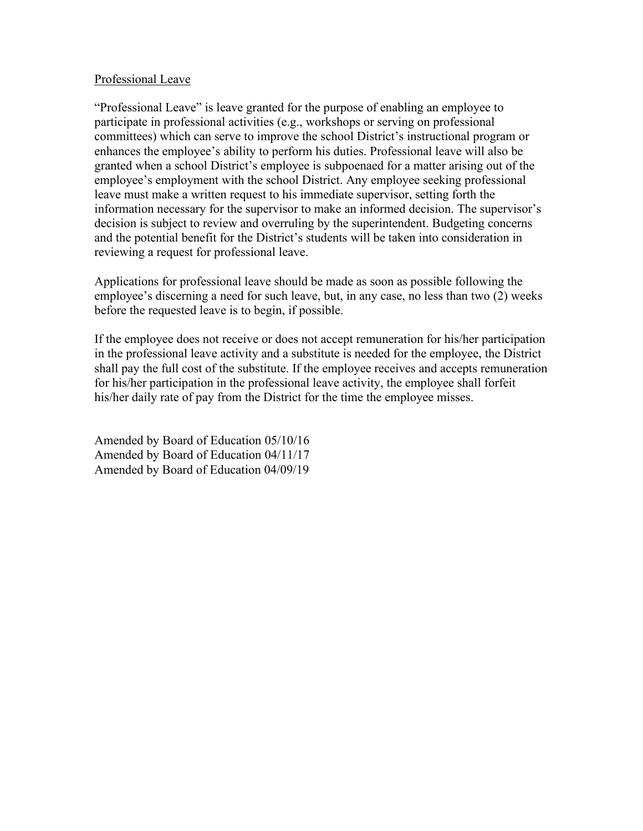#### Professional Leave

"Professional Leave" is leave granted for the purpose of enabling an employee to participate in professional activities (e.g., workshops or serving on professional committees) which can serve to improve the school District's instructional program or enhances the employee's ability to perform his duties. Professional leave will also be granted when a school District's employee is subpoenaed for a matter arising out of the employee's employment with the school District. Any employee seeking professional leave must make a written request to his immediate supervisor, setting forth the information necessary for the supervisor to make an informed decision. The supervisor's decision is subject to review and overruling by the superintendent. Budgeting concerns and the potential benefit for the District's students will be taken into consideration in reviewing a request for professional leave.

Applications for professional leave should be made as soon as possible following the employee's discerning a need for such leave, but, in any case, no less than two (2) weeks before the requested leave is to begin, if possible.

If the employee does not receive or does not accept remuneration for his/her participation in the professional leave activity and a substitute is needed for the employee, the District shall pay the full cost of the substitute. If the employee receives and accepts remuneration for his/her participation in the professional leave activity, the employee shall forfeit his/her daily rate of pay from the District for the time the employee misses.

Amended by Board of Education 05/10/16 Amended by Board of Education 04/11/17 Amended by Board of Education 04/09/19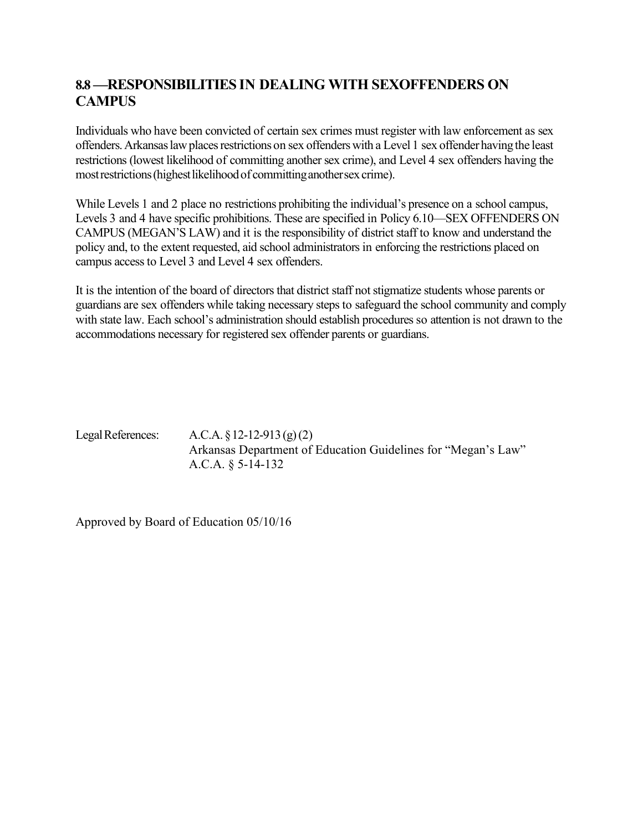# **8.8 —RESPONSIBILITIES IN DEALING WITH SEXOFFENDERS ON CAMPUS**

Individuals who have been convicted of certain sex crimes must register with law enforcement as sex offenders. Arkansas law places restrictions on sex offenders with a Level 1 sex offender having the least restrictions (lowest likelihood of committing another sex crime), and Level 4 sex offenders having the most restrictions (highest likelihood of committing another sex crime).

While Levels 1 and 2 place no restrictions prohibiting the individual's presence on a school campus, Levels 3 and 4 have specific prohibitions. These are specified in Policy 6.10—SEX OFFENDERS ON CAMPUS (MEGAN'S LAW) and it is the responsibility of district staff to know and understand the policy and, to the extent requested, aid school administrators in enforcing the restrictions placed on campus access to Level 3 and Level 4 sex offenders.

It is the intention of the board of directors that district staff not stigmatize students whose parents or guardians are sex offenders while taking necessary steps to safeguard the school community and comply with state law. Each school's administration should establish procedures so attention is not drawn to the accommodations necessary for registered sex offender parents or guardians.

LegalReferences: A.C.A. §12-12-913 (g)(2) Arkansas Department of Education Guidelines for "Megan's Law" A.C.A. § 5-14-132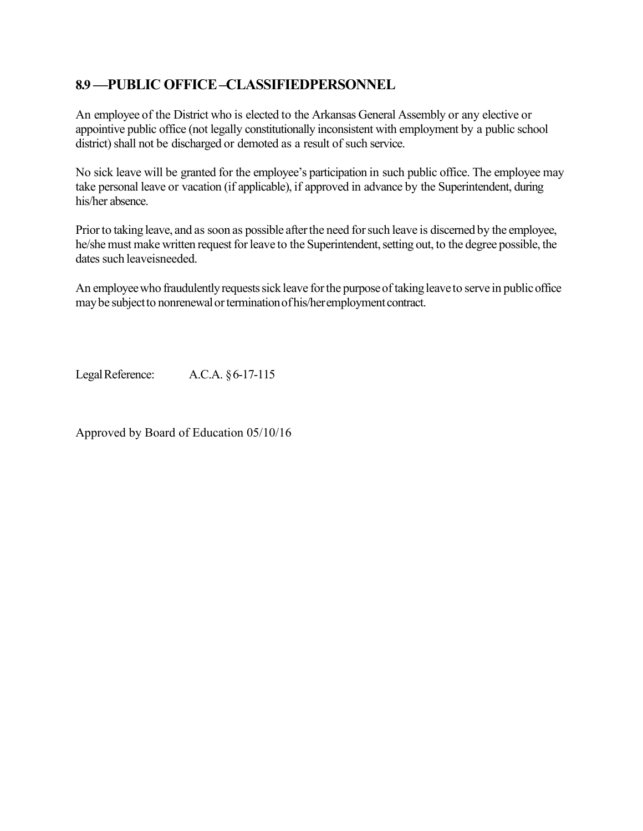## **8.9 —PUBLIC OFFICE–CLASSIFIEDPERSONNEL**

An employee of the District who is elected to the Arkansas General Assembly or any elective or appointive public office (not legally constitutionally inconsistent with employment by a public school district) shall not be discharged or demoted as a result of such service.

No sick leave will be granted for the employee's participation in such public office. The employee may take personal leave or vacation (if applicable), if approved in advance by the Superintendent, during his/her absence.

Prior to taking leave, and as soon as possible after the need for such leave is discerned by the employee, he/she must make written request for leave to the Superintendent, setting out, to the degree possible, the dates such leaveisneeded.

An employee who fraudulently requests sick leave for the purpose of taking leave to serve in public office may be subject to nonrenewal or termination of his/her employment contract.

LegalReference: A.C.A. §6-17-115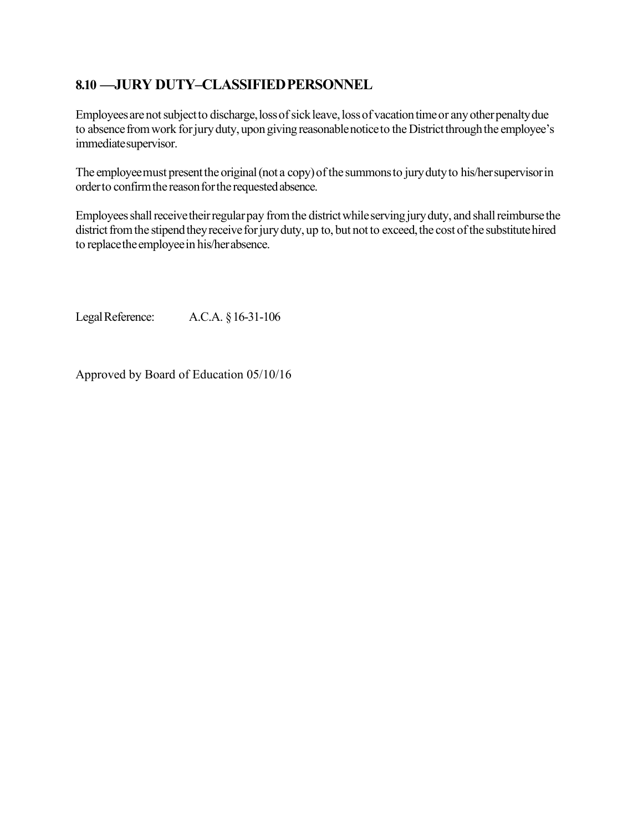## **8.10 —JURY DUTY–CLASSIFIEDPERSONNEL**

Employees are not subject to discharge, loss of sick leave, loss of vacation time or any other penalty due to absence from work for jury duty, upon giving reasonable notice to the District through the employee's immediatesupervisor.

The employee must present the original (not a copy) of the summons to jury duty to his/her supervisor in order to confirm the reason for the requested absence.

Employees shall receive their regular pay from the district while serving jury duty, and shall reimburse the district from the stipend they receive for jury duty, up to, but not to exceed, the cost of the substitute hired to replace the employee in his/her absence.

LegalReference: A.C.A. §16-31-106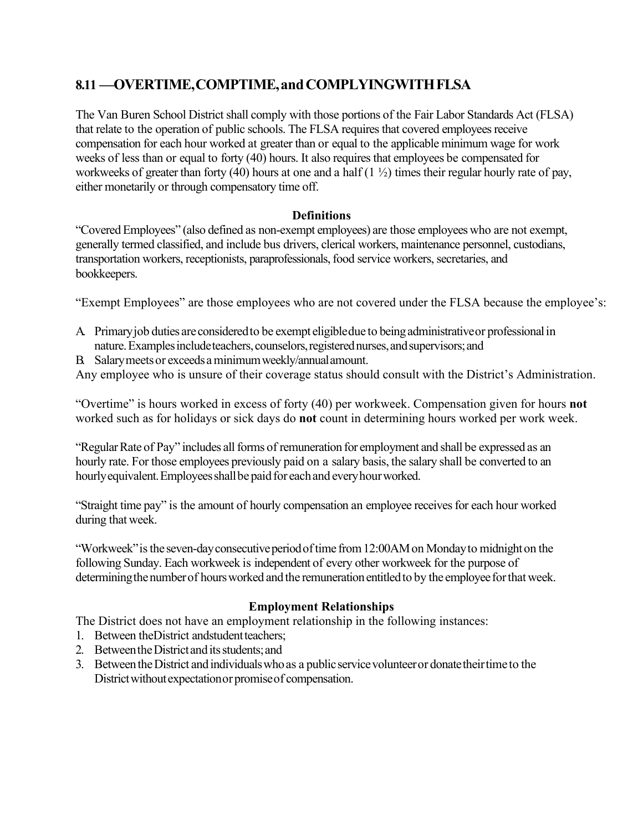# **8.11 —OVERTIME,COMPTIME,andCOMPLYINGWITHFLSA**

The Van Buren School District shall comply with those portions of the Fair Labor Standards Act (FLSA) that relate to the operation of public schools. The FLSA requires that covered employees receive compensation for each hour worked at greater than or equal to the applicable minimum wage for work weeks of less than or equal to forty (40) hours. It also requires that employees be compensated for workweeks of greater than forty (40) hours at one and a half  $(1 \frac{1}{2})$  times their regular hourly rate of pay, either monetarily or through compensatory time off.

## **Definitions**

"CoveredEmployees" (also defined as non-exempt employees) are those employees who are not exempt, generally termed classified, and include bus drivers, clerical workers, maintenance personnel, custodians, transportation workers, receptionists, paraprofessionals, food service workers, secretaries, and bookkeepers.

"Exempt Employees" are those employees who are not covered under the FLSA because the employee's:

- A. Primaryjob duties areconsideredto be exempt eligibledue to beingadministrativeor professionalin nature. Examples include teachers, counselors, registered nurses, and supervisors; and
- B. Salarymeetsor exceedsaminimumweekly/annualamount.

Any employee who is unsure of their coverage status should consult with the District's Administration.

"Overtime" is hours worked in excess of forty (40) per workweek. Compensation given for hours **not** worked such as for holidays or sick days do **not** count in determining hours worked per work week.

"Regular Rate of Pay" includes all forms of remuneration for employment and shall be expressed as an hourly rate. For those employees previously paid on a salary basis, the salary shall be converted to an hourly equivalent. Employees shall be paid for each and every hour worked.

"Straight time pay" is the amount of hourly compensation an employee receives for each hour worked during that week.

"Workweek" is the seven-day consecutive period of time from 12:00AM on Monday to midnight on the following Sunday. Each workweek is independent of every other workweek for the purpose of determining the number of hours worked and the remuneration entitled to by the employee for that week.

## **Employment Relationships**

The District does not have an employment relationship in the following instances:

- 1. Between the District and student teachers:
- 2. Between the District and its students; and
- 3. Between the District and individuals who as a public service volunteer or donate their time to the Districtwithoutexpectationor promiseof compensation.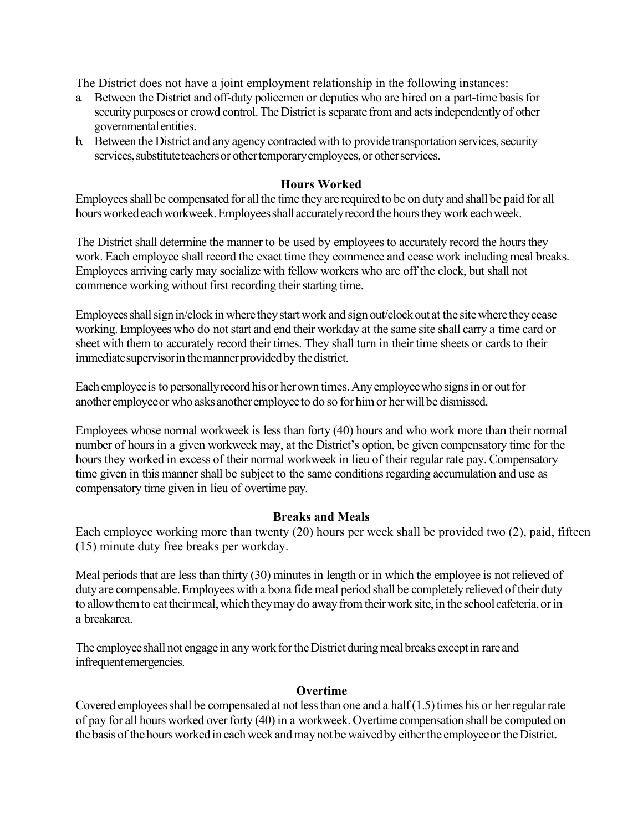The District does not have a joint employment relationship in the following instances:

- a. Between the District and off-duty policemen or deputies who are hired on a part-time basis for security purposes or crowd control. The District is separate from and acts independently of other governmental entities.
- b. Between the District and any agency contracted with to provide transportation services, security services, substitute teachers or other temporary employees, or other services.

## **Hours Worked**

Employeesshall be compensated for all the time they are requiredto be on duty and shall be paid for all hours worked each workweek. Employees shall accurately record the hours they work each week.

The District shall determine the manner to be used by employees to accurately record the hours they work. Each employee shall record the exact time they commence and cease work including meal breaks. Employees arriving early may socialize with fellow workers who are off the clock, but shall not commence working without first recording their starting time.

Employees shall sign in/clock in where they start work and sign out/clock out at the site where they cease working.Employeeswho do notstart and end their workday at the same site shall carry a time card or sheet with them to accurately record their times. They shall turn in their time sheets or cards to their immediate supervisor in the manner provided by the district.

Each employeeisto personallyrecordhis or herown times.Anyemployeewho signsin or outfor anotheremployeeor whoasks anotheremployeeto do so forhimor herwillbe dismissed.

Employees whose normal workweek is less than forty (40) hours and who work more than their normal number of hours in a given workweek may, at the District's option, be given compensatory time for the hours they worked in excess of their normal workweek in lieu of their regular rate pay. Compensatory time given in this manner shall be subject to the same conditions regarding accumulation and use as compensatory time given in lieu of overtime pay.

#### **Breaks and Meals**

Each employee working more than twenty (20) hours per week shall be provided two (2), paid, fifteen (15) minute duty free breaks per workday.

Meal periods that are less than thirty (30) minutes in length or in which the employee is not relieved of duty are compensable. Employees with a bona fide meal period shall be completely relieved of their duty to allow them to eat their meal, which they may do away from their work site, in the school cafeteria, or in a breakarea.

The employee shall not engage in any work for the District during meal breaks except in rare and infrequent emergencies.

#### **Overtime**

Covered employees shall be compensated at not less than one and a half  $(1.5)$  times his or her regular rate of pay for all hours worked over forty (40) in a workweek. Overtime compensation shall be computed on the basis of the hours worked in each week and may not be waived by either the employee or the District.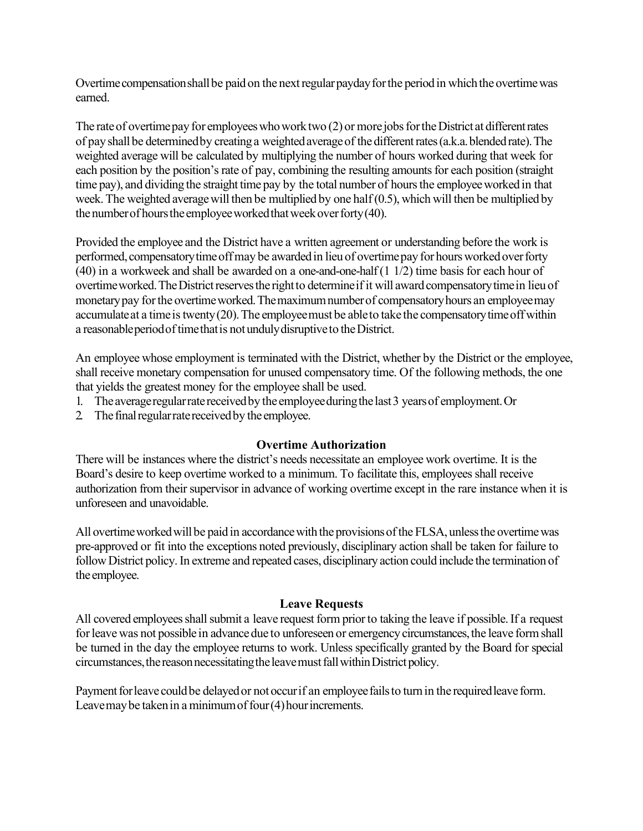Overtime compensation shall be paid on the next regular payday for the period in which the overtime was earned.

The rate of overtime pay for employees who work two (2) or more jobs for the District at different rates of pay shallbe determinedby creatinga weightedaverageof the differentrates(a.k.a.blendedrate).The weighted average will be calculated by multiplying the number of hours worked during that week for each position by the position's rate of pay, combining the resulting amounts for each position (straight time pay), and dividing the straight time pay by the total number of hours the employee worked in that week.The weighted averagewill then be multiplied by one half (0.5), which will then be multiplied by the number of hours the employee worked that week over forty  $(40)$ .

Provided the employee and the District have a written agreement or understanding before the work is performed, compensatory time off may be awarded in lieu of overtime pay for hours worked over forty (40) in a workweek and shall be awarded on a one-and-one-half (1 1/2) time basis for each hour of overtime worked. The District reserves the right to determine if it will award compensatory time in lieu of monetary pay for the overtime worked. The maximum number of compensatory hours an employee may accumulate at a time is twenty  $(20)$ . The employee must be able to take the compensatory time off within a reasonableperiodoftimethatis notundulydisruptiveto theDistrict.

An employee whose employment is terminated with the District, whether by the District or the employee, shall receive monetary compensation for unused compensatory time. Of the following methods, the one that yields the greatest money for the employee shall be used.

- 1. The average regular rate received by the employee during the last 3 years of employment. Or
- 2. The final regular rate received by the employee.

## **Overtime Authorization**

There will be instances where the district's needs necessitate an employee work overtime. It is the Board's desire to keep overtime worked to a minimum. To facilitate this, employees shall receive authorization from their supervisor in advance of working overtime except in the rare instance when it is unforeseen and unavoidable.

All overtime worked will be paid in accordance with the provisions of the FLSA, unless the overtime was pre-approved or fit into the exceptions noted previously, disciplinary action shall be taken for failure to follow District policy. In extreme and repeated cases, disciplinary action could include the termination of the employee.

## **Leave Requests**

All covered employees shall submit a leave request form prior to taking the leave if possible. If a request for leave was not possible in advance due to unforeseen or emergency circumstances, the leave form shall be turned in the day the employee returns to work. Unless specifically granted by the Board for special circumstances, the reason necessitating the leave must fall within District policy.

Payment for leave could be delayed or not occur if an employee fails to turn in the required leave form. Leave may be taken in a minimum of four (4) hour increments.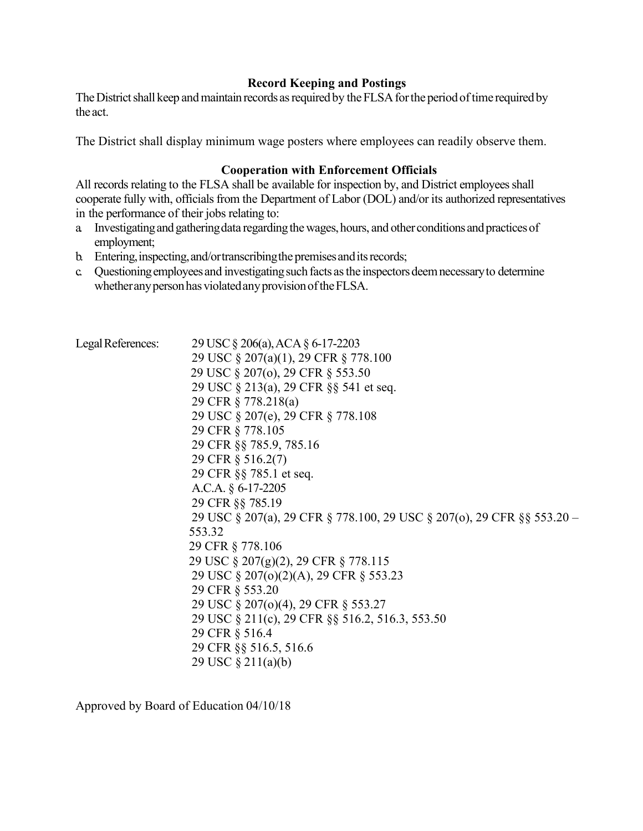#### **Record Keeping and Postings**

The District shall keep and maintain records as required by the FLSA for the period of time required by the act.

The District shall display minimum wage posters where employees can readily observe them.

#### **Cooperation with Enforcement Officials**

All records relating to the FLSA shall be available for inspection by, and District employees shall cooperate fully with, officials from the Department of Labor (DOL) and/or its authorized representatives in the performance of their jobs relating to:

- a. Investigating and gathering data regarding the wages, hours, and other conditions and practices of employment;
- b. Entering, inspecting, and/ortranscribing the premises and its records;
- c. Questioning employees and investigating such facts as the inspectors deem necessary to determine whether any person has violated any provision of the FLSA.

Legal References: 29 USC § 206(a), ACA § 6-17-2203

29 USC § 207(a)(1), 29 CFR § 778.100 29 USC § 207(o), 29 CFR § 553.50 29 USC § 213(a), 29 CFR §§ 541 et seq. 29 CFR § 778.218(a) 29 USC § 207(e), 29 CFR § 778.108 29 CFR § 778.105 29 CFR §§ 785.9, 785.16 29 CFR § 516.2(7) 29 CFR §§ 785.1 et seq. A.C.A. § 6-17-2205 29 CFR §§ 785.19 29 USC § 207(a), 29 CFR § 778.100, 29 USC § 207(o), 29 CFR §§ 553.20 – 553.32 29 CFR § 778.106 29 USC § 207(g)(2), 29 CFR § 778.115 29 USC § 207(o)(2)(A), 29 CFR § 553.23 29 CFR § 553.20 29 USC § 207(o)(4), 29 CFR § 553.27 29 USC § 211(c), 29 CFR §§ 516.2, 516.3, 553.50 29 CFR § 516.4 29 CFR §§ 516.5, 516.6 29 USC § 211(a)(b)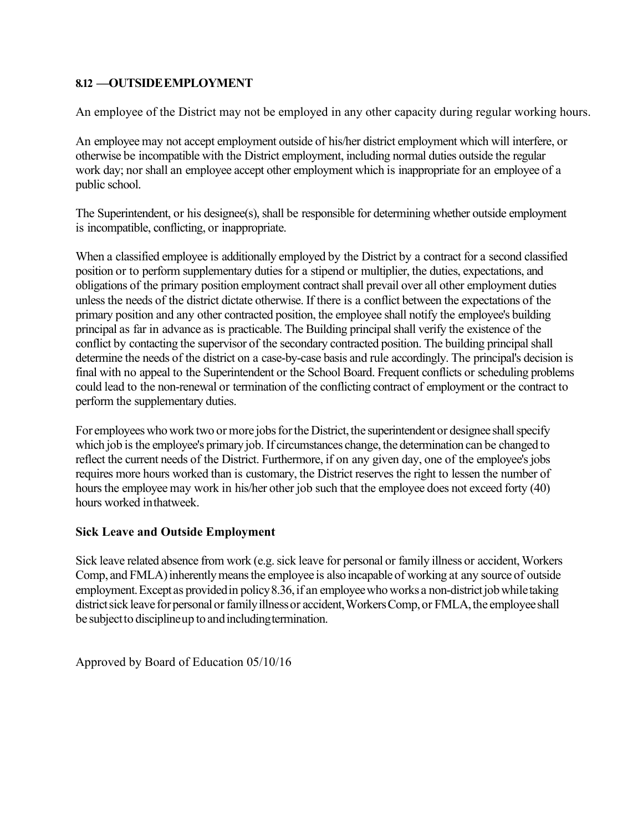#### **8.12 —OUTSIDEEMPLOYMENT**

An employee of the District may not be employed in any other capacity during regular working hours.

An employee may not accept employment outside of his/her district employment which will interfere, or otherwise be incompatible with the District employment, including normal duties outside the regular work day; nor shall an employee accept other employment which is inappropriate for an employee of a public school.

The Superintendent, or his designee(s), shall be responsible for determining whether outside employment is incompatible, conflicting, or inappropriate.

When a classified employee is additionally employed by the District by a contract for a second classified position or to perform supplementary duties for a stipend or multiplier, the duties, expectations, and obligations of the primary position employment contract shall prevail over all other employment duties unless the needs of the district dictate otherwise. If there is a conflict between the expectations of the primary position and any other contracted position, the employee shall notify the employee's building principal as far in advance as is practicable. The Building principal shall verify the existence of the conflict by contacting the supervisor of the secondary contracted position. The building principal shall determine the needs of the district on a case-by-case basis and rule accordingly. The principal's decision is final with no appeal to the Superintendent or the School Board. Frequent conflicts or scheduling problems could lead to the non-renewal or termination of the conflicting contract of employment or the contract to perform the supplementary duties.

For employees who work two or more jobs for the District, the superintendent or designee shall specify which job is the employee's primary job. If circumstances change, the determination can be changed to reflect the current needs of the District. Furthermore, if on any given day, one of the employee's jobs requires more hours worked than is customary, the District reserves the right to lessen the number of hours the employee may work in his/her other job such that the employee does not exceed forty (40) hours worked inthatweek.

#### **Sick Leave and Outside Employment**

Sick leave related absence from work (e.g. sick leave for personal or family illness or accident, Workers Comp, and FMLA) inherently means the employee is also incapable of working at any source of outside employment. Except as provided in policy  $8.36$ , if an employee who works a non-district job while taking district sick leave for personal or family illness or accident, Workers Comp, or FMLA, the employee shall be subjectto disciplineup to andincludingtermination.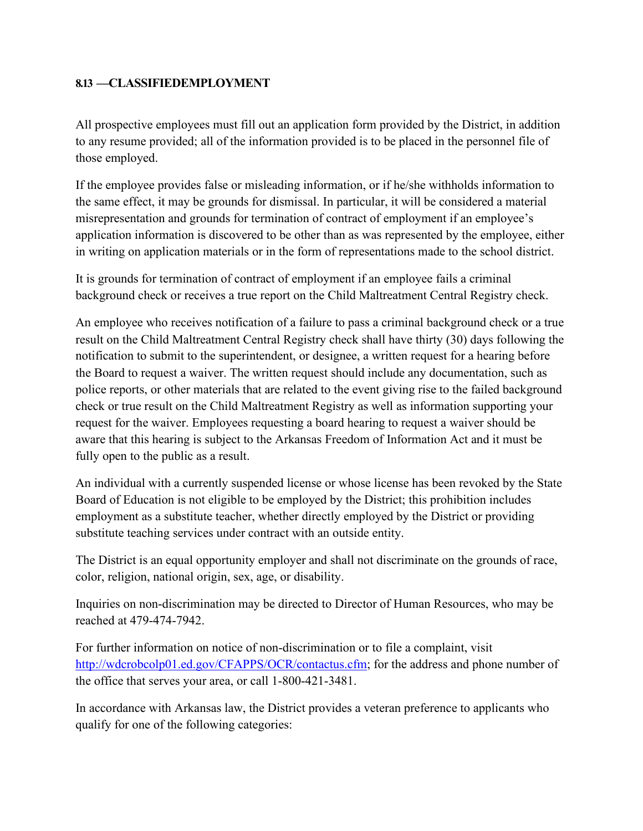## **8.13 —CLASSIFIEDEMPLOYMENT**

All prospective employees must fill out an application form provided by the District, in addition to any resume provided; all of the information provided is to be placed in the personnel file of those employed.

If the employee provides false or misleading information, or if he/she withholds information to the same effect, it may be grounds for dismissal. In particular, it will be considered a material misrepresentation and grounds for termination of contract of employment if an employee's application information is discovered to be other than as was represented by the employee, either in writing on application materials or in the form of representations made to the school district.

It is grounds for termination of contract of employment if an employee fails a criminal background check or receives a true report on the Child Maltreatment Central Registry check.

An employee who receives notification of a failure to pass a criminal background check or a true result on the Child Maltreatment Central Registry check shall have thirty (30) days following the notification to submit to the superintendent, or designee, a written request for a hearing before the Board to request a waiver. The written request should include any documentation, such as police reports, or other materials that are related to the event giving rise to the failed background check or true result on the Child Maltreatment Registry as well as information supporting your request for the waiver. Employees requesting a board hearing to request a waiver should be aware that this hearing is subject to the Arkansas Freedom of Information Act and it must be fully open to the public as a result.

An individual with a currently suspended license or whose license has been revoked by the State Board of Education is not eligible to be employed by the District; this prohibition includes employment as a substitute teacher, whether directly employed by the District or providing substitute teaching services under contract with an outside entity.

The District is an equal opportunity employer and shall not discriminate on the grounds of race, color, religion, national origin, sex, age, or disability.

Inquiries on non-discrimination may be directed to Director of Human Resources, who may be reached at 479-474-7942.

For further information on notice of non-discrimination or to file a complaint, visit [http://wdcrobcolp01.ed.gov/CFAPPS/OCR/contactus.cfm;](http://wdcrobcolp01.ed.gov/CFAPPS/OCR/contactus.cfm) for the address and phone number of the office that serves your area, or call 1-800-421-3481.

In accordance with Arkansas law, the District provides a veteran preference to applicants who qualify for one of the following categories: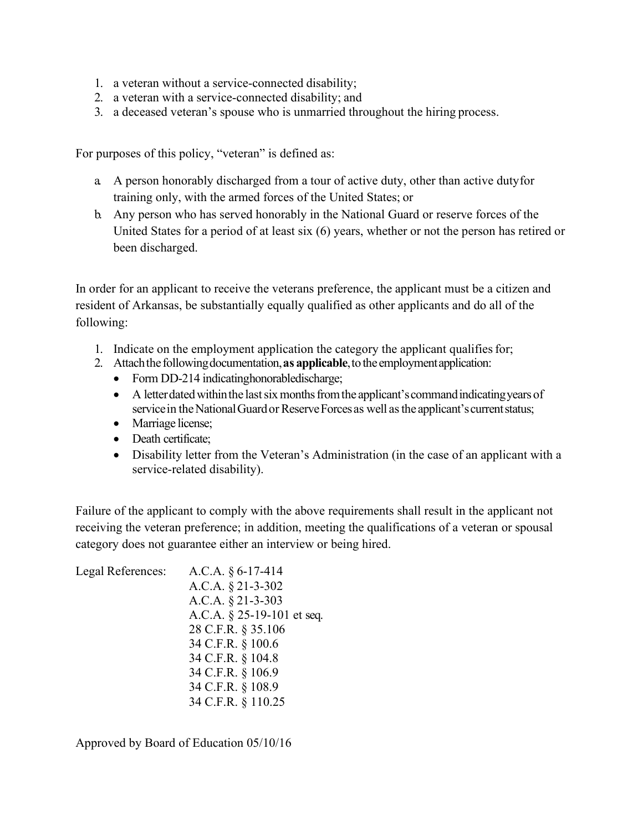- 1. a veteran without a service-connected disability;
- 2. a veteran with a service-connected disability; and
- 3. a deceased veteran's spouse who is unmarried throughout the hiring process.

For purposes of this policy, "veteran" is defined as:

- a. A person honorably discharged from a tour of active duty, other than active dutyfor training only, with the armed forces of the United States; or
- b. Any person who has served honorably in the National Guard or reserve forces of the United States for a period of at least six (6) years, whether or not the person has retired or been discharged.

In order for an applicant to receive the veterans preference, the applicant must be a citizen and resident of Arkansas, be substantially equally qualified as other applicants and do all of the following:

- 1. Indicate on the employment application the category the applicant qualifiesfor;
- 2. Attach the following documentation, as applicable, to the employment application:
	- Form DD-214 indicating honorabled is charge;
	- A letter dated within the last six months from the applicant's command indicating years of service in the National Guard or Reserve Forces as well as the applicant's current status;
	- Marriage license;
	- Death certificate;
	- Disability letter from the Veteran's Administration (in the case of an applicant with a service-related disability).

Failure of the applicant to comply with the above requirements shall result in the applicant not receiving the veteran preference; in addition, meeting the qualifications of a veteran or spousal category does not guarantee either an interview or being hired.

| Legal References: | A.C.A. $§ 6-17-414$           |
|-------------------|-------------------------------|
|                   | A.C.A. § 21-3-302             |
|                   | A.C.A. $§$ 21-3-303           |
|                   | A.C.A. $\S$ 25-19-101 et seq. |
|                   | 28 C.F.R. § 35.106            |
|                   | 34 C.F.R. § 100.6             |
|                   | 34 C.F.R. § 104.8             |
|                   | 34 C.F.R. § 106.9             |
|                   | 34 C.F.R. § 108.9             |
|                   | 34 C.F.R. § 110.25            |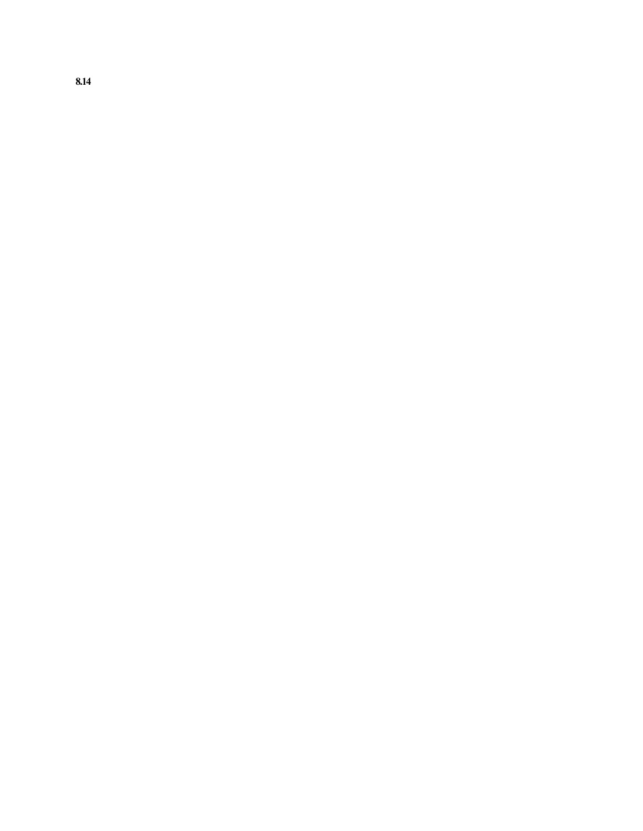**8.14**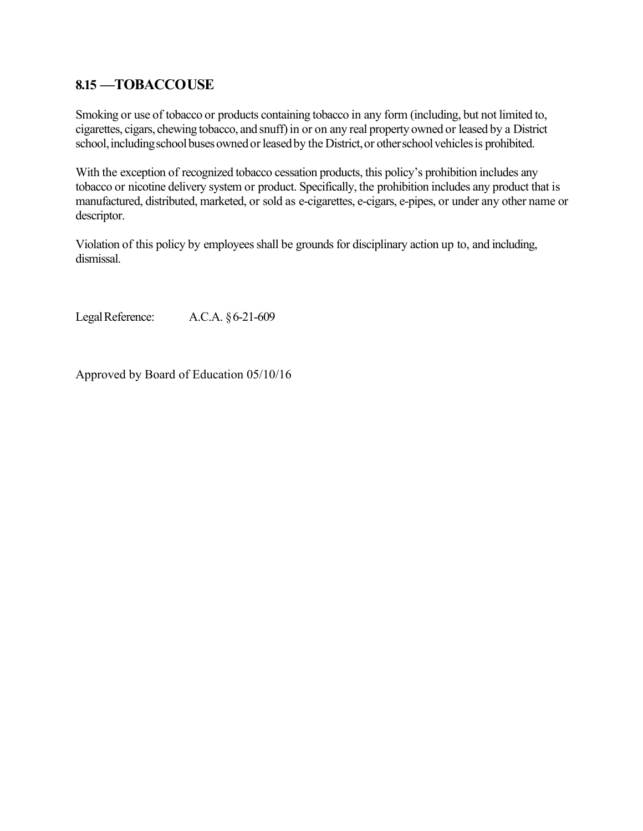## **8.15 —TOBACCOUSE**

Smoking or use of tobacco or products containing tobacco in any form (including, but not limited to, cigarettes, cigars, chewing tobacco, and snuff) in or on any real property owned or leased by a District school, including school buses owned or leased by the District, or other school vehicles is prohibited.

With the exception of recognized tobacco cessation products, this policy's prohibition includes any tobacco or nicotine delivery system or product. Specifically, the prohibition includes any product that is manufactured, distributed, marketed, or sold as e-cigarettes, e-cigars, e-pipes, or under any other name or descriptor.

Violation of this policy by employees shall be grounds for disciplinary action up to, and including, dismissal.

LegalReference: A.C.A. §6-21-609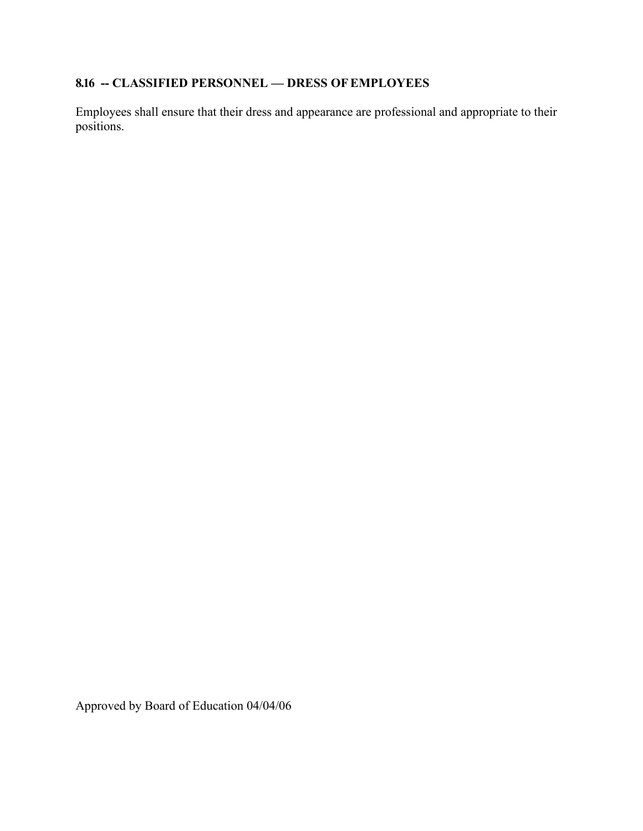# **8.16 -- CLASSIFIED PERSONNEL — DRESS OFEMPLOYEES**

Employees shall ensure that their dress and appearance are professional and appropriate to their positions.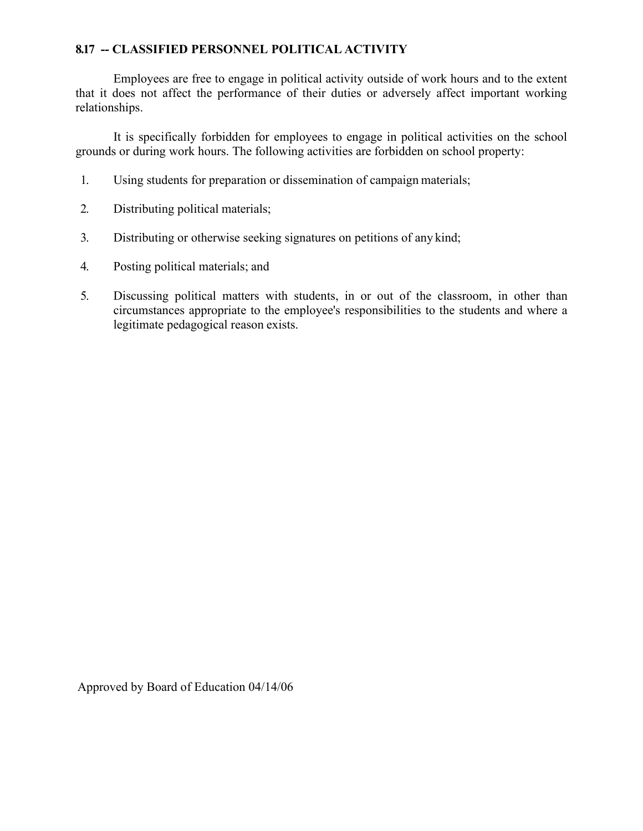#### **8.17 -- CLASSIFIED PERSONNEL POLITICAL ACTIVITY**

Employees are free to engage in political activity outside of work hours and to the extent that it does not affect the performance of their duties or adversely affect important working relationships.

It is specifically forbidden for employees to engage in political activities on the school grounds or during work hours. The following activities are forbidden on school property:

- 1. Using students for preparation or dissemination of campaign materials;
- 2. Distributing political materials;
- 3. Distributing or otherwise seeking signatures on petitions of any kind;
- 4. Posting political materials; and
- 5. Discussing political matters with students, in or out of the classroom, in other than circumstances appropriate to the employee's responsibilities to the students and where a legitimate pedagogical reason exists.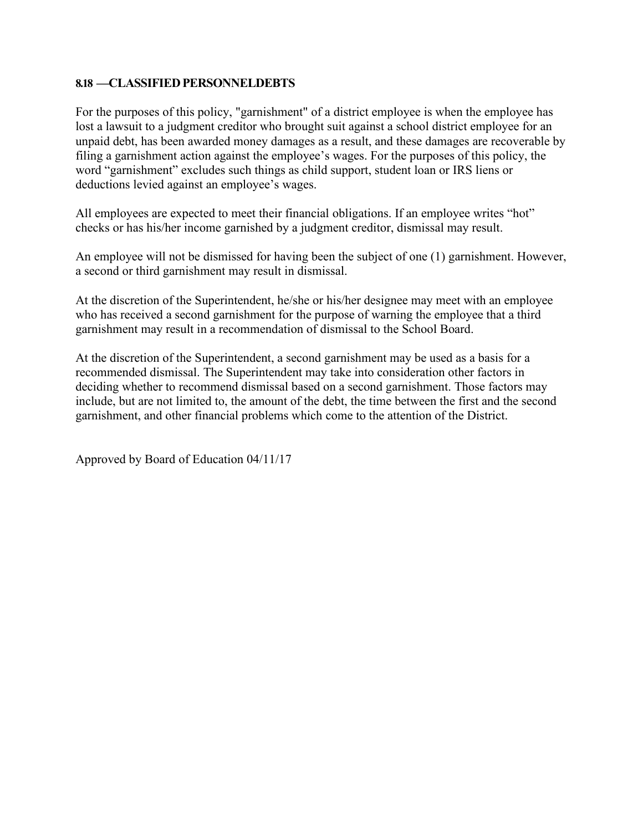#### **8.18 —CLASSIFIEDPERSONNELDEBTS**

For the purposes of this policy, "garnishment" of a district employee is when the employee has lost a lawsuit to a judgment creditor who brought suit against a school district employee for an unpaid debt, has been awarded money damages as a result, and these damages are recoverable by filing a garnishment action against the employee's wages. For the purposes of this policy, the word "garnishment" excludes such things as child support, student loan or IRS liens or deductions levied against an employee's wages.

All employees are expected to meet their financial obligations. If an employee writes "hot" checks or has his/her income garnished by a judgment creditor, dismissal may result.

An employee will not be dismissed for having been the subject of one (1) garnishment. However, a second or third garnishment may result in dismissal.

At the discretion of the Superintendent, he/she or his/her designee may meet with an employee who has received a second garnishment for the purpose of warning the employee that a third garnishment may result in a recommendation of dismissal to the School Board.

At the discretion of the Superintendent, a second garnishment may be used as a basis for a recommended dismissal. The Superintendent may take into consideration other factors in deciding whether to recommend dismissal based on a second garnishment. Those factors may include, but are not limited to, the amount of the debt, the time between the first and the second garnishment, and other financial problems which come to the attention of the District.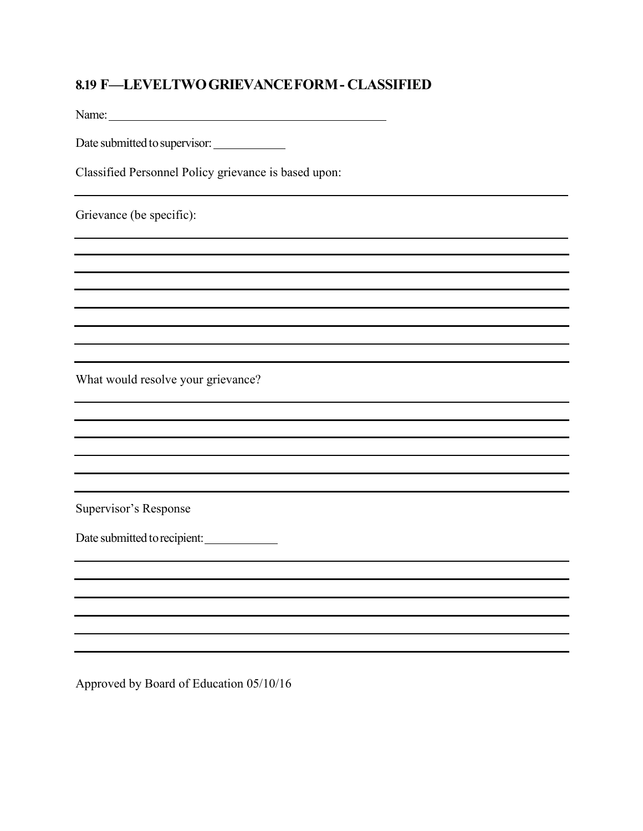## **8.19 F—LEVELTWOGRIEVANCEFORM- CLASSIFIED**

Name: Name:

Date submitted to supervisor:

Classified Personnel Policy grievance is based upon:

Grievance (be specific):

What would resolve your grievance?

Supervisor's Response

Date submitted to recipient: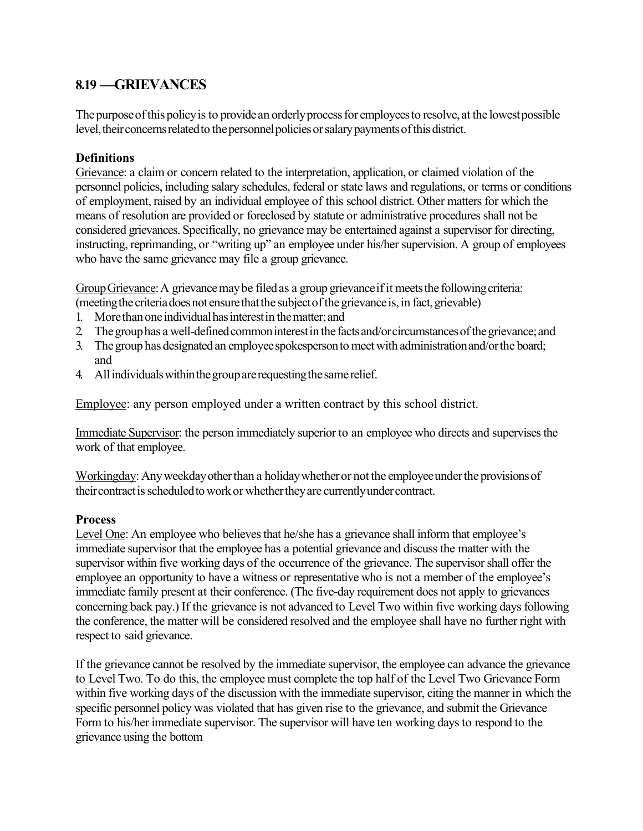## **8.19 —GRIEVANCES**

The purpose of this policy is to provide an orderly process for employees to resolve, at the lowest possible level, their concerns related to the personnel policies or salary payments of this district.

### **Definitions**

Grievance: a claim or concern related to the interpretation, application, or claimed violation of the personnel policies, including salary schedules, federal or state laws and regulations, or terms or conditions of employment, raised by an individual employee of this school district. Other matters for which the means of resolution are provided or foreclosed by statute or administrative procedures shall not be considered grievances. Specifically, no grievance may be entertained against a supervisor for directing, instructing, reprimanding, or "writing up" an employee under his/her supervision. A group of employees who have the same grievance may file a group grievance.

Group Grievance: A grievance may be filed as a group grievance if it meets the following criteria: (meeting the criteria does not ensure that the subject of the grievance is, in fact, grievable)

- 1. More than one individual has interest in the matter; and
- 2 The group has a well-defined common interest in the facts and/or circumstances of the grievance; and
- 3. The group has designated an employee spokesperson to meet with administration and/or the board; and
- 4. All individuals within the group are requesting the same relief.

Employee: any person employed under a written contract by this school district.

Immediate Supervisor: the person immediately superior to an employee who directs and supervises the work of that employee.

Workingday:Anyweekdayotherthan a holidaywhetheror not the employeeunderthe provisionsof their contract is scheduled to work or whether they are currently under contract.

## **Process**

Level One: An employee who believes that he/she has a grievance shall inform that employee's immediate supervisor that the employee has a potential grievance and discuss the matter with the supervisor within five working days of the occurrence of the grievance. The supervisor shall offer the employee an opportunity to have a witness or representative who is not a member of the employee's immediate family present at their conference. (The five-day requirement does not apply to grievances concerning back pay.) If the grievance is not advanced to Level Two within five working days following the conference, the matter will be considered resolved and the employee shall have no further right with respect to said grievance.

If the grievance cannot be resolved by the immediate supervisor, the employee can advance the grievance to Level Two. To do this, the employee must complete the top half of the Level Two Grievance Form within five working days of the discussion with the immediate supervisor, citing the manner in which the specific personnel policy was violated that has given rise to the grievance, and submit the Grievance Form to his/her immediate supervisor. The supervisor will have ten working days to respond to the grievance using the bottom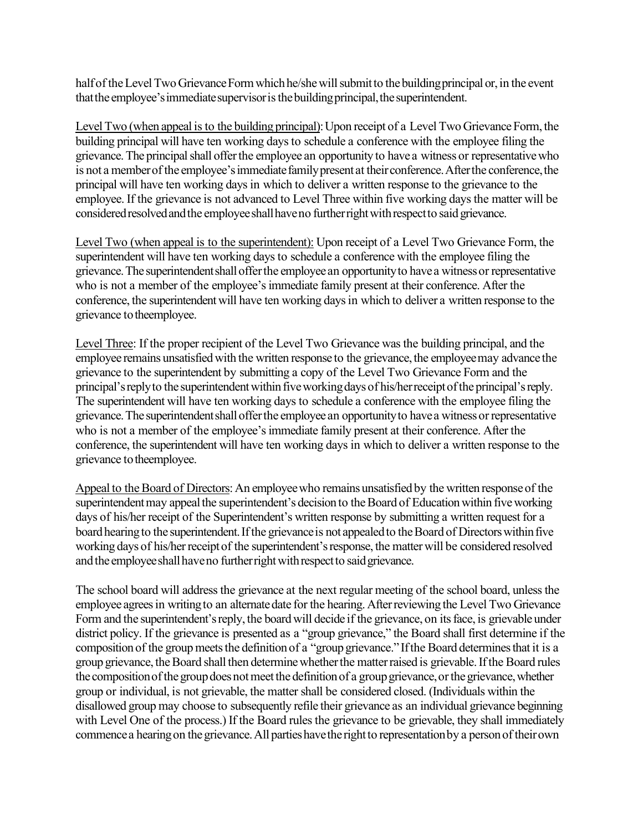half of the Level Two Grievance Form which he/she will submit to the building principal or, in the event that the employee's immediate supervisor is the building principal, the superintendent.

Level Two (when appeal is to the building principal): Upon receipt of a Level Two Grievance Form, the building principal will have ten working days to schedule a conference with the employee filing the grievance. The principal shall offer the employee an opportunity to have a witness or representative who is not a member of the employee's immediate family present at their conference. After the conference, the principal will have ten working days in which to deliver a written response to the grievance to the employee. If the grievance is not advanced to Level Three within five working days the matter will be considered resolved and the employee shall have no further right with respect to said grievance.

Level Two (when appeal is to the superintendent): Upon receipt of a Level Two Grievance Form, the superintendent will have ten working days to schedule a conference with the employee filing the grievance.The superintendentshallofferthe employeean opportunityto havea witnessor representative who is not a member of the employee's immediate family present at their conference. After the conference, the superintendent will have ten working days in which to deliver a written response to the grievance to theemployee.

Level Three: If the proper recipient of the Level Two Grievance was the building principal, and the employee remains unsatisfied with the written response to the grievance, the employee may advance the grievance to the superintendent by submitting a copy of the Level Two Grievance Form and the principal's reply to the superintendent within five working days of his/herreceipt of the principal's reply. The superintendent will have ten working days to schedule a conference with the employee filing the grievance.The superintendentshallofferthe employee an opportunityto havea witnessorrepresentative who is not a member of the employee's immediate family present at their conference. After the conference, the superintendent will have ten working days in which to deliver a written response to the grievance to theemployee.

Appeal to the Board of Directors: An employee who remains unsatisfied by the written response of the superintendent may appeal the superintendent's decision to the Board of Education within five working days of his/her receipt of the Superintendent's written response by submitting a written request for a board hearing to the superintendent. If the grievance is not appealed to the Board of Directors within five working days of his/her receipt of the superintendent's response, the matter will be considered resolved and the employee shall have no further right with respect to said grievance.

The school board will address the grievance at the next regular meeting of the school board, unless the employee agrees in writing to an alternate date for the hearing. After reviewing the Level Two Grievance Form and the superintendent's reply, the board will decide if the grievance, on its face, is grievable under district policy. If the grievance is presented as a "group grievance," the Board shall first determine if the composition of the group meets the definition of a "group grievance." If the Board determines that it is a group grievance, the Board shall then determine whether the matter raised is grievable. If the Board rules the composition of the group does not meet the definition of a group grievance, or the grievance, whether group or individual, is not grievable, the matter shall be considered closed. (Individuals within the disallowed group may choose to subsequently refile their grievance as an individual grievance beginning with Level One of the process.) If the Board rules the grievance to be grievable, they shall immediately commence a hearing on the grievance. All parties have the right to representation by a person of their own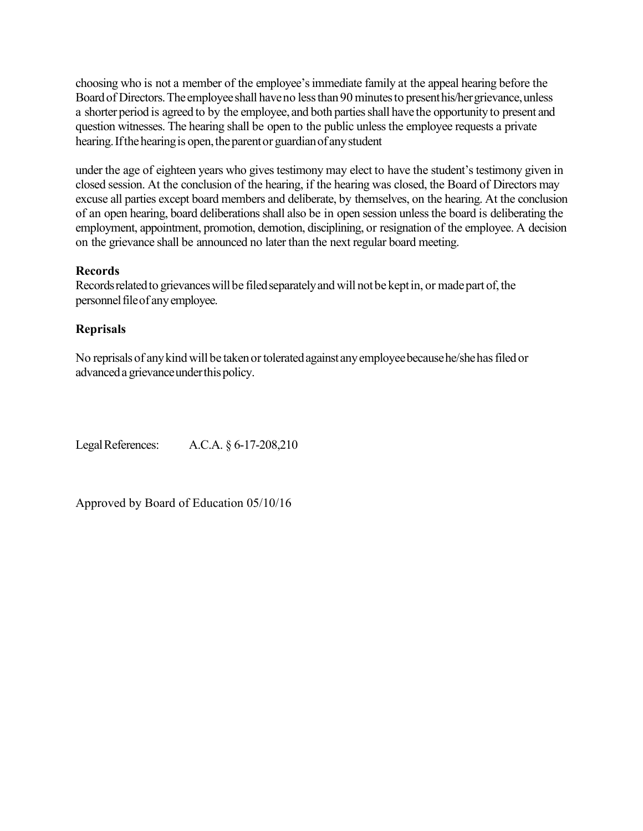choosing who is not a member of the employee's immediate family at the appeal hearing before the Board of Directors. The employee shall have no less than 90 minutes to present his/her grievance, unless a shorter period is agreed to by the employee, and both parties shall have the opportunity to present and question witnesses. The hearing shall be open to the public unless the employee requests a private hearing. If the hearing is open, the parent or guardian of any student

under the age of eighteen years who gives testimony may elect to have the student's testimony given in closed session. At the conclusion of the hearing, if the hearing was closed, the Board of Directors may excuse all parties except board members and deliberate, by themselves, on the hearing. At the conclusion of an open hearing, board deliberations shall also be in open session unless the board is deliberating the employment, appointment, promotion, demotion, disciplining, or resignation of the employee. A decision on the grievance shall be announced no later than the next regular board meeting.

### **Records**

Records related to grievances will be filed separately and will not be kept in, or made part of, the personnel file of any employee.

## **Reprisals**

No reprisals of any kind will be taken or tolerated against any employee because he/she has filed or advanceda grievanceunderthispolicy.

LegalReferences: A.C.A. § 6-17-208,210

Approved by Board of Education 05/10/16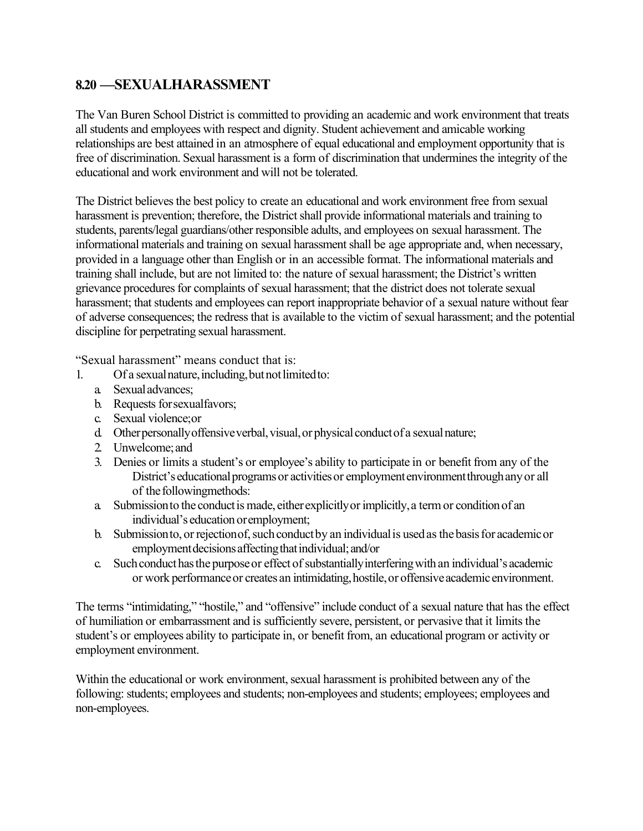## **8.20 —SEXUALHARASSMENT**

The Van Buren School District is committed to providing an academic and work environment that treats all students and employees with respect and dignity. Student achievement and amicable working relationships are best attained in an atmosphere of equal educational and employment opportunity that is free of discrimination. Sexual harassment is a form of discrimination that undermines the integrity of the educational and work environment and will not be tolerated.

The District believes the best policy to create an educational and work environment free from sexual harassment is prevention; therefore, the District shall provide informational materials and training to students, parents/legal guardians/other responsible adults, and employees on sexual harassment. The informational materials and training on sexual harassment shall be age appropriate and, when necessary, provided in a language other than English or in an accessible format. The informational materials and training shall include, but are not limited to: the nature of sexual harassment; the District's written grievance procedures for complaints of sexual harassment; that the district does not tolerate sexual harassment; that students and employees can report inappropriate behavior of a sexual nature without fear of adverse consequences; the redress that is available to the victim of sexual harassment; and the potential discipline for perpetrating sexual harassment.

"Sexual harassment" means conduct that is:

- 1. Of a sexual nature, including, but not limited to:
	- a. Sexualadvances;
	- b. Requests forsexualfavors;
	- c. Sexual violence;or
	- d. Other personally offensive verbal, visual, or physical conduct of a sexual nature;
	- 2. Unwelcome;and
	- 3. Denies or limits a student's or employee's ability to participate in or benefit from any of the District's educational programs or activities or employment environment through any or all of the followingmethods:
	- a. Submissionto the conductis made, eitherexplicitlyorimplicitly,a termor conditionof an individual's education or employment;
	- b. Submission to, or rejection of, such conduct by an individual is used as the basis for academic or employment decisions affecting that individual; and/or
	- c. Such conduct has the purpose or effect of substantially interfering with an individual's academic or work performance or creates an intimidating, hostile, or offensive academic environment.

The terms "intimidating," "hostile," and "offensive" include conduct of a sexual nature that has the effect of humiliation or embarrassment and is sufficiently severe, persistent, or pervasive that it limits the student's or employees ability to participate in, or benefit from, an educational program or activity or employment environment.

Within the educational or work environment, sexual harassment is prohibited between any of the following: students; employees and students; non-employees and students; employees; employees and non-employees.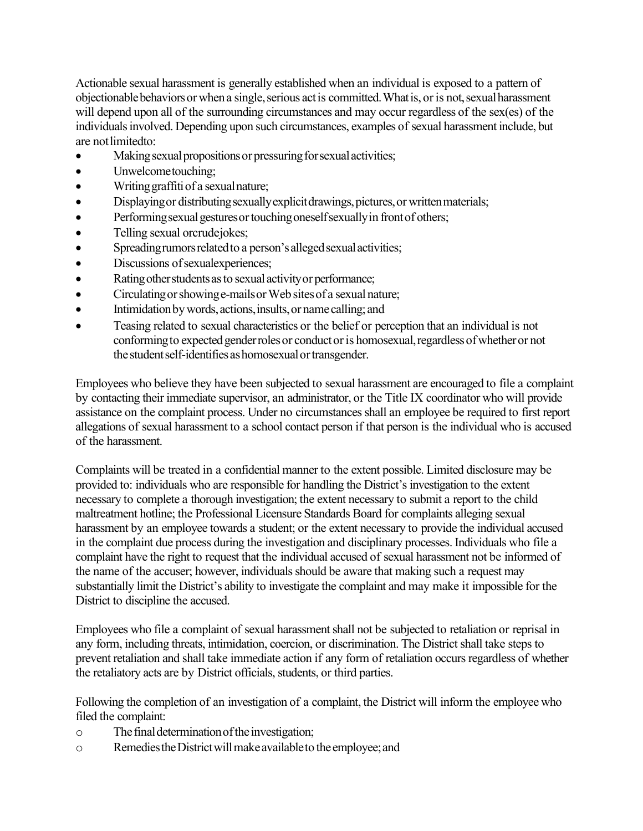Actionable sexual harassment is generally established when an individual is exposed to a pattern of objectionable behaviors or when a single, serious act is committed. What is, or is not, sexual harassment will depend upon all of the surrounding circumstances and may occur regardless of the sex(es) of the individuals involved. Depending upon such circumstances, examples of sexual harassment include, but are not limitedto:

- Making sexual propositions or pressuring for sexual activities;
- Unwelcometouching;
- Writing graffiti of a sexual nature;
- Displaying or distributing sexually explicit drawings, pictures, or written materials;
- Performing sexual gestures or touching oneself sexually in front of others;
- Telling sexual orcrudejokes;
- Spreading rumors related to a person's alleged sexual activities;
- Discussions of sexual experiences;
- Rating other students as to sexual activity or performance;
- Circulating or showing e-mails or Web sites of a sexual nature;
- Intimidation by words, actions, insults, or name calling; and
- Teasing related to sexual characteristics or the belief or perception that an individual is not conforming to expected gender roles or conduct or is homosexual, regardless of whether or not the student self-identifies as homosexual or transgender.

Employees who believe they have been subjected to sexual harassment are encouraged to file a complaint by contacting their immediate supervisor, an administrator, or the Title IX coordinator who will provide assistance on the complaint process. Under no circumstances shall an employee be required to first report allegations of sexual harassment to a school contact person if that person is the individual who is accused of the harassment.

Complaints will be treated in a confidential manner to the extent possible. Limited disclosure may be provided to: individuals who are responsible for handling the District's investigation to the extent necessary to complete a thorough investigation; the extent necessary to submit a report to the child maltreatment hotline; the Professional Licensure Standards Board for complaints alleging sexual harassment by an employee towards a student; or the extent necessary to provide the individual accused in the complaint due process during the investigation and disciplinary processes. Individuals who file a complaint have the right to request that the individual accused of sexual harassment not be informed of the name of the accuser; however, individuals should be aware that making such a request may substantially limit the District's ability to investigate the complaint and may make it impossible for the District to discipline the accused.

Employees who file a complaint of sexual harassment shall not be subjected to retaliation or reprisal in any form, including threats, intimidation, coercion, or discrimination. The District shall take steps to prevent retaliation and shall take immediate action if any form of retaliation occurs regardless of whether the retaliatory acts are by District officials, students, or third parties.

Following the completion of an investigation of a complaint, the District will inform the employee who filed the complaint:

- o Thefinaldeterminationoftheinvestigation;
- o RemediestheDistrictwillmakeavailableto theemployee;and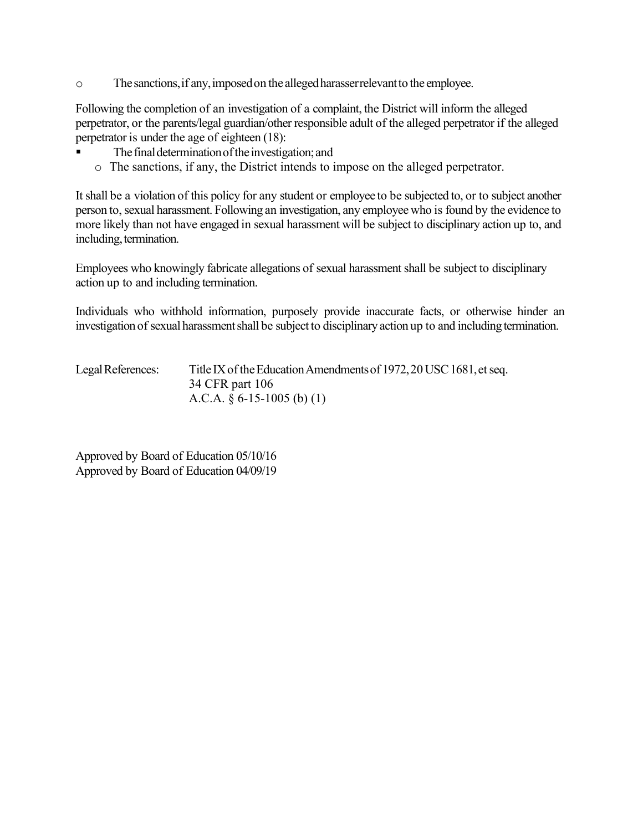o Thesanctions,if any,imposedon the allegedharasserrelevantto the employee.

Following the completion of an investigation of a complaint, the District will inform the alleged perpetrator, or the parents/legal guardian/other responsible adult of the alleged perpetrator if the alleged perpetrator is under the age of eighteen (18):

- The final determination of the investigation; and
- o The sanctions, if any, the District intends to impose on the alleged perpetrator.

It shall be a violation of this policy for any student or employee to be subjected to, or to subject another person to, sexual harassment. Following an investigation, any employee who is found by the evidence to more likely than not have engaged in sexual harassment will be subject to disciplinary action up to, and including, termination.

Employees who knowingly fabricate allegations of sexual harassment shall be subject to disciplinary action up to and including termination.

Individuals who withhold information, purposely provide inaccurate facts, or otherwise hinder an investigation of sexual harassmentshall be subject to disciplinary action up to and including termination.

Legal References: Title IX of the Education Amendments of 1972, 20 USC 1681, et seq. 34 CFR part 106 A.C.A. § 6-15-1005 (b) (1)

Approved by Board of Education 05/10/16 Approved by Board of Education 04/09/19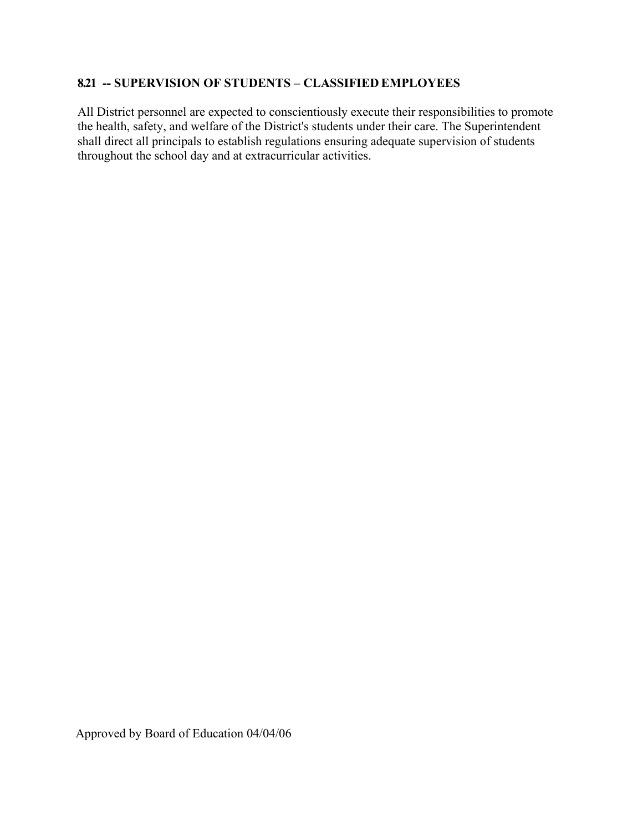## **8.21 -- SUPERVISION OF STUDENTS – CLASSIFIED EMPLOYEES**

All District personnel are expected to conscientiously execute their responsibilities to promote the health, safety, and welfare of the District's students under their care. The Superintendent shall direct all principals to establish regulations ensuring adequate supervision of students throughout the school day and at extracurricular activities.

Approved by Board of Education 04/04/06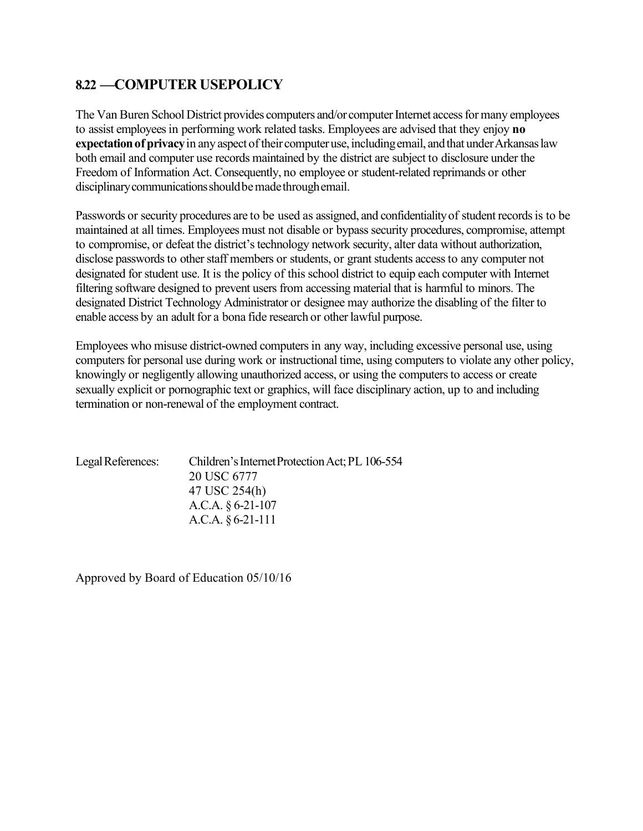## **8.22 —COMPUTER USEPOLICY**

The Van Buren School District provides computers and/or computer Internet access for many employees to assist employees in performing work related tasks. Employees are advised that they enjoy **no expectation of privacy** in any aspect of their computer use, including email, and that under Arkansas law both email and computer use records maintained by the district are subject to disclosure under the Freedom of Information Act. Consequently, no employee or student-related reprimands or other disciplinary communications should be made through email.

Passwords or security procedures are to be used as assigned, and confidentiality of student records is to be maintained at all times. Employees must not disable or bypass security procedures, compromise, attempt to compromise, or defeat the district's technology network security, alter data without authorization, disclose passwords to other staff members or students, or grant students access to any computer not designated for student use. It is the policy of this school district to equip each computer with Internet filtering software designed to prevent users from accessing material that is harmful to minors. The designated District Technology Administrator or designee may authorize the disabling of the filter to enable access by an adult for a bona fide research or other lawful purpose.

Employees who misuse district-owned computers in any way, including excessive personal use, using computers for personal use during work or instructional time, using computers to violate any other policy, knowingly or negligently allowing unauthorized access, or using the computers to access or create sexually explicit or pornographic text or graphics, will face disciplinary action, up to and including termination or non-renewal of the employment contract.

| Legal References: | Children's Internet Protection Act; PL 106-554 |
|-------------------|------------------------------------------------|
|                   | 20 USC 6777                                    |
|                   | 47 USC 254(h)                                  |
|                   | A.C.A. $§ 6-21-107$                            |
|                   | A.C.A. $§ 6-21-111$                            |
|                   |                                                |

Approved by Board of Education 05/10/16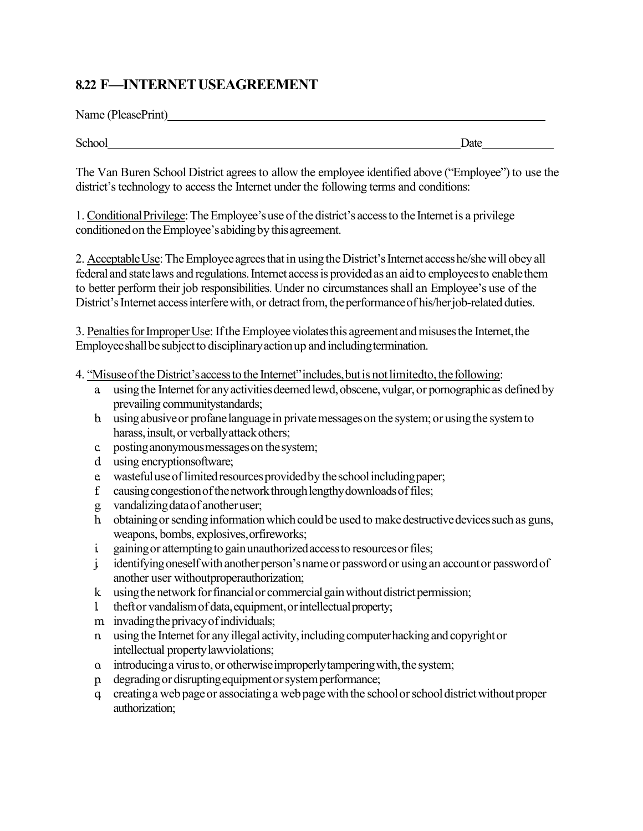## **8.22 F—INTERNETUSEAGREEMENT**

Name (PleasePrint)

School Date Date Date

The Van Buren School District agrees to allow the employee identified above ("Employee") to use the district's technology to access the Internet under the following terms and conditions:

1. ConditionalPrivilege:TheEmployee'suse of the district's accessto the Internetis a privilege conditionedon theEmployee'sabidingby thisagreement.

2. Acceptable Use: The Employee agrees that in using the District's Internet access he/she will obey all federal and statelaws and regulations.Internet accessis providedas an aid to employeesto enablethem to better perform their job responsibilities. Under no circumstances shall an Employee's use of the District's Internet access interfere with, or detract from, the performance of his/her job-related duties.

3. Penalties for Improper Use: If the Employee violates this agreement and misuses the Internet, the Employee shall be subject to disciplinary action up and including termination.

4. "Misuse of the District's access to the Internet" includes, but is not limitedto, the following:

- a using the Internet for any activities deemed lewd, obscene, vulgar, or pornographic as defined by prevailing communitystandards;
- b. using abusive or profane language in private messages on the system; or using the system to harass, insult, or verbally attack others;
- c. postinganonymousmessageson thesystem;
- d. using encryptionsoftware;
- e wasteful use of limited resources provided by the school including paper;
- f. causing congestion of the network through lengthy downloads of files;
- g. vandalizingdataof anotheruser;
- h obtaining or sending information which could be used to make destructive devices such as guns, weapons, bombs, explosives,orfireworks;
- i gaining or attempting to gain unauthorized access to resources or files;
- julidentifying oneself with another person's name or password or using an account or password of another user withoutproperauthorization;
- k using the network for financial or commercial gain without district permission;
- l. theftor vandalismof data,equipment,orintellectualproperty;
- m invading the privacy of individuals;
- n. using the Internet for any illegal activity, including computer hacking and copyright or intellectual propertylawviolations;
- o. introducing a virus to, or otherwise improperly tampering with, the system;
- p. degradingor disruptingequipmentorsystemperformance;
- q. creatinga web pageor associatinga webpagewiththe schoolorschooldistrictwithoutproper authorization;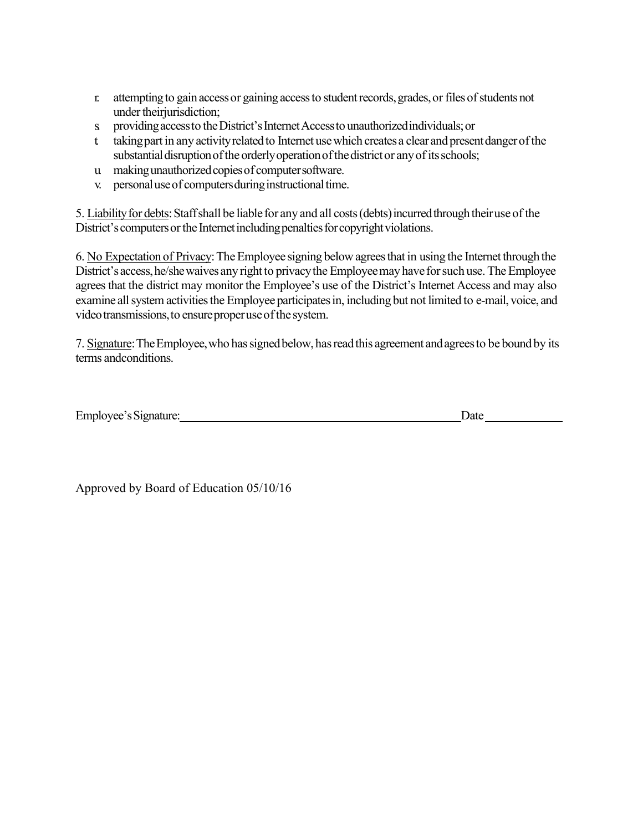- r. attemptingto gain accessor gainingaccessto studentrecords,grades,or filesofstudentsnot under their jurisdiction;
- s providing access to the District's Internet Access to unauthorized individuals; or
- t. taking part in any activity related to Internet use which creates a clear and present danger of the substantial disruption of the orderly operation of the district or any of its schools;
- u. makingunauthorizedcopiesof computersoftware.
- v. personal use of computers during instructional time.

5. Liability for debts: Staff shall be liable for any and all costs (debts) incurred through their use of the District's computers or the Internet including penalties for copyright violations.

6. No Expectation of Privacy:TheEmployee signing below agreesthat in using the Internet through the District's access, he/she waives any right to privacy the Employee may have for such use. The Employee agrees that the district may monitor the Employee's use of the District's Internet Access and may also examine all system activities the Employee participates in, including but not limited to e-mail, voice, and video transmissions, to ensure proper use of the system.

7. Signature: The Employee, who has signed below, has read this agreement and agrees to be bound by its terms andconditions.

| Employee's Signature: | Jate |
|-----------------------|------|
|-----------------------|------|

Approved by Board of Education 05/10/16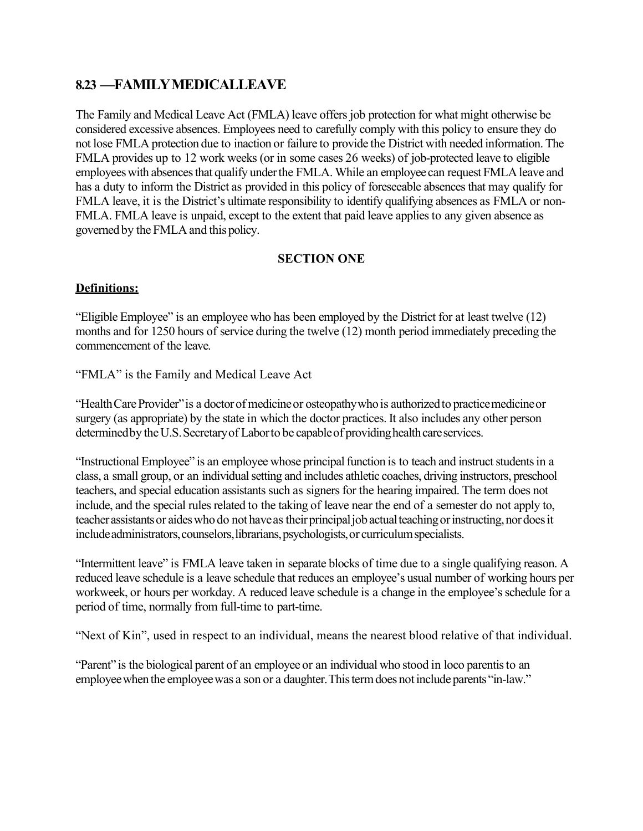## **8.23 —FAMILYMEDICALLEAVE**

The Family and Medical Leave Act (FMLA) leave offers job protection for what might otherwise be considered excessive absences. Employees need to carefully comply with this policy to ensure they do not lose FMLA protection due to inaction or failure to provide the District with needed information. The FMLA provides up to 12 work weeks (or in some cases 26 weeks) of job-protected leave to eligible employees with absences that qualify under the FMLA. While an employee can request FMLA leave and has a duty to inform the District as provided in this policy of foreseeable absences that may qualify for FMLA leave, it is the District's ultimate responsibility to identify qualifying absences as FMLA or non-FMLA. FMLA leave is unpaid, except to the extent that paid leave applies to any given absence as governed by the FMLA and this policy.

### **SECTION ONE**

## **Definitions:**

"Eligible Employee" is an employee who has been employed by the District for at least twelve (12) months and for 1250 hours of service during the twelve (12) month period immediately preceding the commencement of the leave.

"FMLA" is the Family and Medical Leave Act

"Health Care Provider" is a doctor of medicine or osteopathy who is authorized to practice medicine or surgery (as appropriate) by the state in which the doctor practices. It also includes any other person determined by the U.S. Secretary of Laborto be capable of providing health care services.

"Instructional Employee" is an employee whose principal function is to teach and instruct students in a class, a small group, or an individual setting and includes athletic coaches, driving instructors, preschool teachers, and special education assistants such as signers for the hearing impaired. The term does not include, and the special rules related to the taking of leave near the end of a semester do not apply to, teacher assistants or aides who do not have as their principal job actual teaching or instructing, nor does it include administrators, counselors, librarians, psychologists, or curriculum specialists.

"Intermittent leave" is FMLA leave taken in separate blocks of time due to a single qualifying reason. A reduced leave schedule is a leave schedule that reduces an employee's usual number of working hours per workweek, or hours per workday. A reduced leave schedule is a change in the employee's schedule for a period of time, normally from full-time to part-time.

"Next of Kin", used in respect to an individual, means the nearest blood relative of that individual.

"Parent" is the biological parent of an employee or an individual who stood in loco parentisto an employee when the employee was a son or a daughter. This term does not include parents "in-law."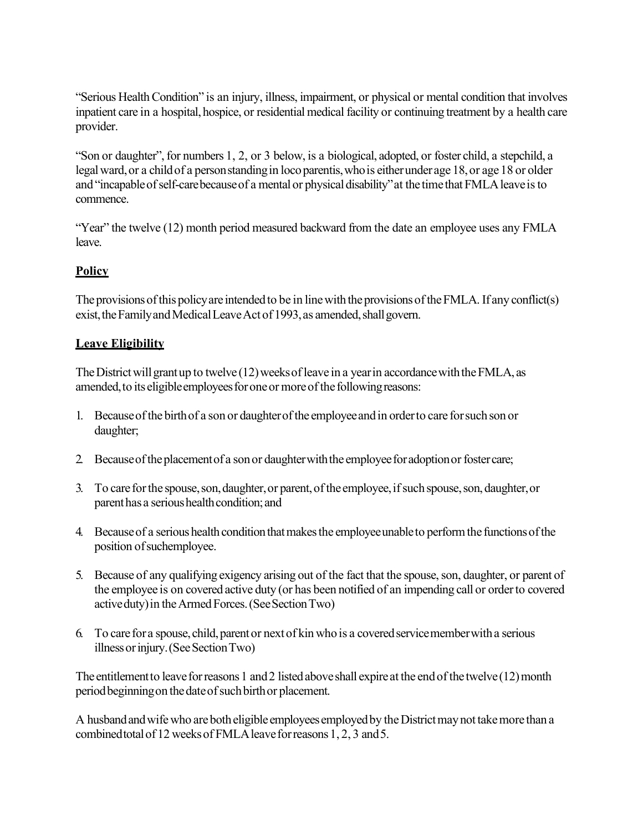"Serious HealthCondition" is an injury, illness, impairment, or physical or mental condition that involves inpatient care in a hospital, hospice, or residential medical facility or continuing treatment by a health care provider.

"Son or daughter", for numbers 1, 2, or 3 below, is a biological, adopted, or foster child, a stepchild, a legal ward, or a child of a person standing in locoparentis, who is either under age 18, or age 18 or older and "incapable of self-care because of a mental or physical disability" at the time that FMLA leave is to commence.

"Year" the twelve (12) month period measured backward from the date an employee uses any FMLA leave.

## **Policy**

The provisions of this policy are intended to be in line with the provisions of the FMLA. If any conflict(s) exist, the Family and Medical Leave Act of 1993, as amended, shall govern.

## **Leave Eligibility**

The District will grant up to twelve (12) weeks of leave in a year in accordance with the FMLA, as amended, to its eligible employees for one or more of the following reasons:

- 1. Becauseofthe birthof a son or daughterofthe employeeandin orderto care forsuchson or daughter;
- 2. Becauseoftheplacementof a sonor daughterwiththe employeeforadoptionor fostercare;
- 3. To care for the spouse, son, daughter, or parent, of the employee, if such spouse, son, daughter, or parent has a serious health condition; and
- 4. Because of a serious health condition that makes the employee unable to perform the functions of the position ofsuchemployee.
- 5. Because of any qualifying exigency arising out of the fact that the spouse,son, daughter, or parent of the employee is on covered active duty (or has been notified of an impending call or orderto covered activeduty)in theArmedForces.(SeeSectionTwo)
- 6. To care for a spouse, child, parent or next of kin who is a covered service member with a serious illness or injury. (See Section Two)

The entitlement to leave for reasons 1 and 2 listed above shall expire at the end of the twelve  $(12)$  month period beginning on the date of such birth or placement.

A husband and wife who are both eligible employees employed by the District may not take more than a combined total of 12 weeks of FMLA leave for reasons 1, 2, 3 and 5.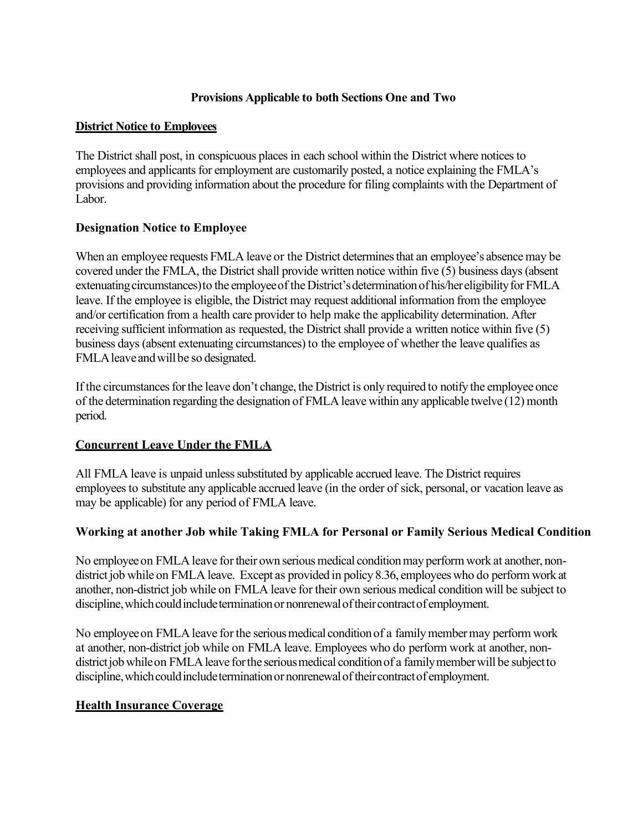## **Provisions Applicable to both Sections One and Two**

### **District Notice to Employees**

The District shall post, in conspicuous places in each school within the District where notices to employees and applicants for employment are customarily posted, a notice explaining the FMLA's provisions and providing information about the procedure for filing complaints with the Department of Labor.

## **Designation Notice to Employee**

When an employee requests FMLA leave or the District determines that an employee's absence may be covered under the FMLA, the District shall provide written notice within five (5) business days (absent extenuating circumstances) to the employee of the District's determination of his/hereligibility for FMLA leave. If the employee is eligible, the District may request additional information from the employee and/or certification from a health care provider to help make the applicability determination. After receiving sufficient information as requested, the District shall provide a written notice within five (5) business days (absent extenuating circumstances) to the employee of whether the leave qualifies as FMLA leave and will be so designated.

If the circumstances for the leave don't change, the District is only required to notify the employee once of the determination regarding the designation of FMLA leave within any applicable twelve (12) month period.

## **Concurrent Leave Under the FMLA**

All FMLA leave is unpaid unless substituted by applicable accrued leave. The District requires employees to substitute any applicable accrued leave (in the order of sick, personal, or vacation leave as may be applicable) for any period of FMLA leave.

## **Working at another Job while Taking FMLA for Personal or Family Serious Medical Condition**

No employee on FMLA leave for their own serious medical condition may perform work at another, nondistrict job while on FMLA leave. Except as provided in policy 8.36, employees who do perform work at another, non-district job while on FMLA leave for their own serious medical condition will be subject to discipline, which could include termination or nonrenewal of their contract of employment.

No employee on FMLA leave for the serious medical condition of a family member may perform work at another, non-district job while on FMLA leave. Employees who do perform work at another, nondistrict job while on FMLA leave for the serious medical condition of a family member will be subject to discipline, which could include termination or nonrenewal of their contract of employment.

#### **Health Insurance Coverage**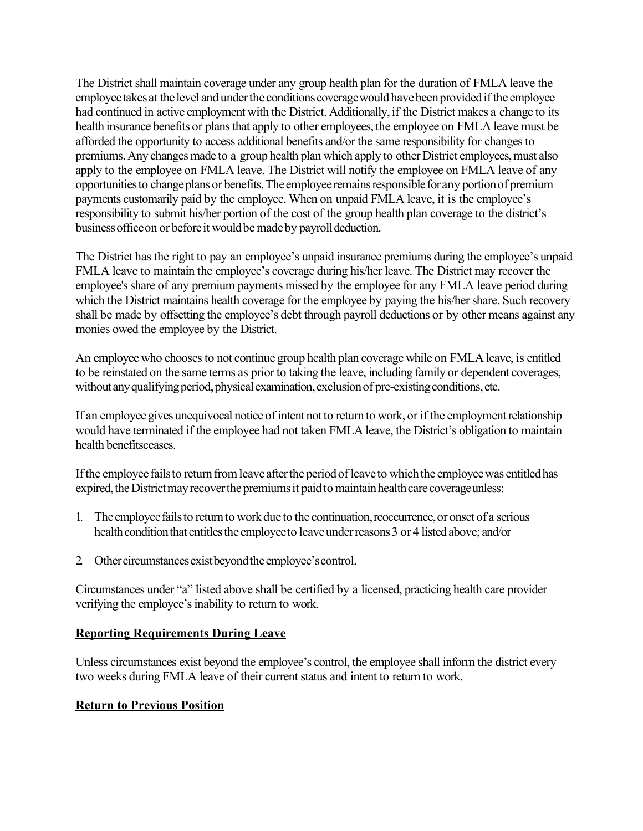The District shall maintain coverage under any group health plan for the duration of FMLA leave the employee takes at the level and under the conditions coverage would have been provided if the employee had continued in active employment with the District. Additionally, if the District makes a change to its health insurance benefits or plans that apply to other employees, the employee on FMLA leave must be afforded the opportunity to access additional benefits and/or the same responsibility for changes to premiums. Any changes made to a group health plan which apply to other District employees, must also apply to the employee on FMLA leave. The District will notify the employee on FMLA leave of any opportunities to change plans or benefits. The employee remains responsible for any portion of premium payments customarily paid by the employee. When on unpaid FMLA leave, it is the employee's responsibility to submit his/her portion of the cost of the group health plan coverage to the district's business office on or before it would be made by payroll deduction.

The District has the right to pay an employee's unpaid insurance premiums during the employee's unpaid FMLA leave to maintain the employee's coverage during his/her leave. The District may recover the employee's share of any premium payments missed by the employee for any FMLA leave period during which the District maintains health coverage for the employee by paying the his/her share. Such recovery shall be made by offsetting the employee's debt through payroll deductions or by other means against any monies owed the employee by the District.

An employee who chooses to not continue group health plan coverage while on FMLA leave, is entitled to be reinstated on the same terms as prior to taking the leave, including family or dependent coverages, without any qualifying period, physical examination, exclusion of pre-existing conditions, etc.

If an employee gives unequivocal notice of intent not to return to work, or if the employment relationship would have terminated if the employee had not taken FMLA leave, the District's obligation to maintain health benefitsceases.

If the employee fails to return from leave after the period of leave to which the employee was entitled has expired, the District may recover the premiums it paid to maintain health care coverage unless:

- 1. The employee fails to return to work due to the continuation, reoccurrence, or onset of a serious health condition that entitles the employee to leave under reasons 3 or 4 listed above; and/or
- 2 Other circumstances exist beyond the employee's control.

Circumstances under "a" listed above shall be certified by a licensed, practicing health care provider verifying the employee's inability to return to work.

#### **Reporting Requirements During Leave**

Unless circumstances exist beyond the employee's control, the employee shall inform the district every two weeks during FMLA leave of their current status and intent to return to work.

## **Return to Previous Position**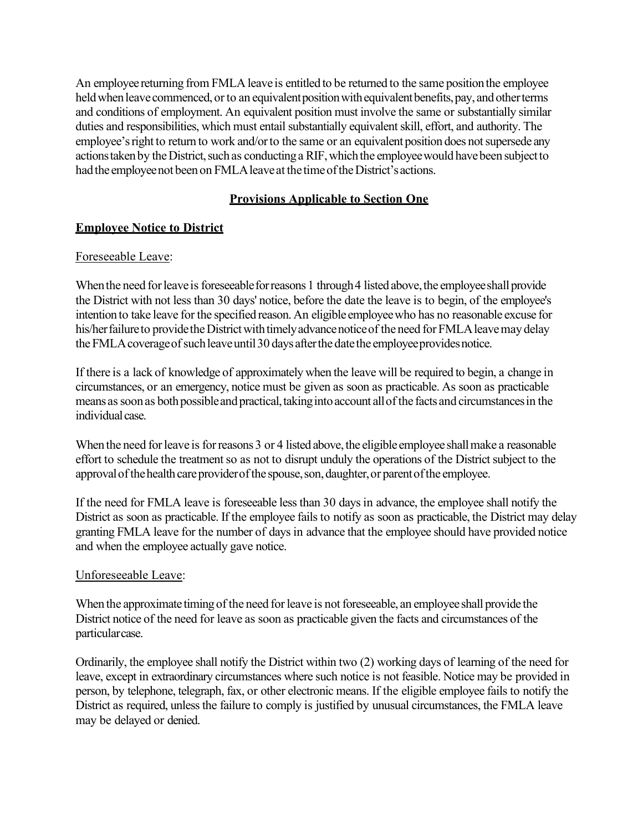An employee returning from FMLA leave is entitled to be returned to the same positionthe employee held when leave commenced, or to an equivalent position with equivalent benefits, pay, and other terms and conditions of employment. An equivalent position must involve the same or substantially similar duties and responsibilities, which must entail substantially equivalent skill, effort, and authority. The employee's right to return to work and/or to the same or an equivalent position does not supersede any actions taken by the District, such as conducting a RIF, which the employee would have been subject to had the employee not been on FMLA leave at the time of the District's actions.

## **Provisions Applicable to Section One**

## **Employee Notice to District**

### Foreseeable Leave:

When the need for leave is foreseeable for reasons 1 through 4 listed above, the employee shall provide the District with not less than 30 days' notice, before the date the leave is to begin, of the employee's intentionto take leave for the specified reason.An eligible employeewho has no reasonable excuse for his/her failure to provide the District with timely advance notice of the need for FMLA leave may delay the FMLA coverage of such leave until 30 days after the date the employee provides notice.

If there is a lack of knowledge of approximately when the leave will be required to begin, a change in circumstances, or an emergency, notice must be given as soon as practicable. As soon as practicable means as soon as both possible and practical, taking into account all of the facts and circumstances in the individual case.

When the need for leave is for reasons 3 or 4 listed above, the eligible employee shall make a reasonable effort to schedule the treatment so as not to disrupt unduly the operations of the District subject to the approval of the health care provider of the spouse, son, daughter, or parent of the employee.

If the need for FMLA leave is foreseeable less than 30 days in advance, the employee shall notify the District as soon as practicable. If the employee fails to notify as soon as practicable, the District may delay granting FMLA leave for the number of daysin advance that the employee should have provided notice and when the employee actually gave notice.

#### Unforeseeable Leave:

When the approximate timing of the need for leave is not foreseeable, an employee shall provide the District notice of the need for leave as soon as practicable given the facts and circumstances of the particularcase.

Ordinarily, the employee shall notify the District within two (2) working days of learning of the need for leave, except in extraordinary circumstances where such notice is not feasible. Notice may be provided in person, by telephone, telegraph, fax, or other electronic means. If the eligible employee fails to notify the District as required, unless the failure to comply is justified by unusual circumstances, the FMLA leave may be delayed or denied.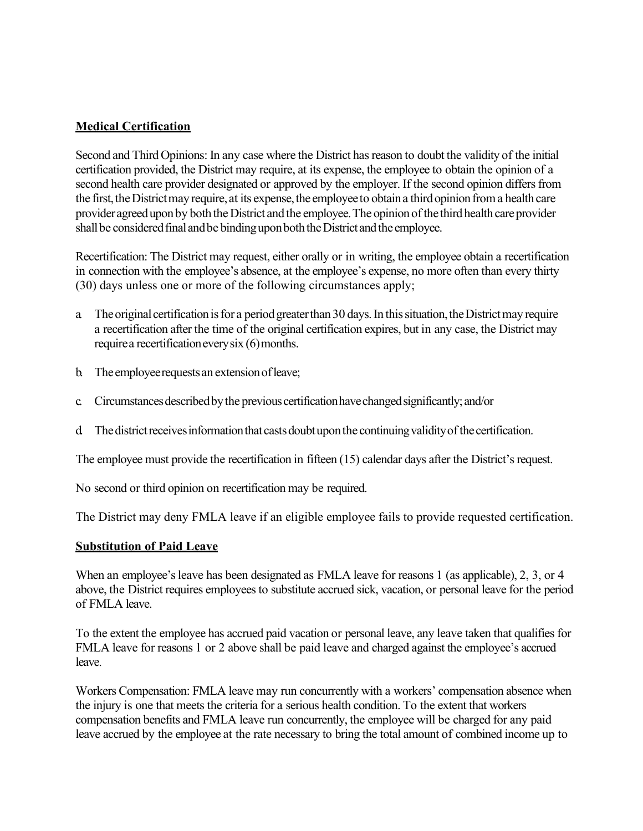### **Medical Certification**

Second and Third Opinions: In any case where the District has reason to doubt the validity of the initial certification provided, the District may require, at its expense, the employee to obtain the opinion of a second health care provider designated or approved by the employer. If the second opinion differs from the first, the District may require, at its expense, the employee to obtain a third opinion from a health care provider agreed upon by both the District and the employee. The opinion of the third health care provider shall be considered final and be binding upon both the District and the employee.

Recertification: The District may request, either orally or in writing, the employee obtain a recertification in connection with the employee's absence, at the employee's expense, no more often than every thirty (30) days unless one or more of the following circumstances apply;

- a. The original certification is for a period greater than 30 days. In this situation, the District may require a recertification after the time of the original certification expires, but in any case, the District may require a recertification every six (6) months.
- b. The employee requests an extension of leave;
- c. Circumstancesdescribedbythe previouscertificationhavechangedsignificantly;and/or
- d The district receives information that casts doubt upon the continuing validity of the certification.

The employee must provide the recertification in fifteen (15) calendar days after the District's request.

No second or third opinion on recertification may be required.

The District may deny FMLA leave if an eligible employee fails to provide requested certification.

#### **Substitution of Paid Leave**

When an employee's leave has been designated as FMLA leave for reasons 1 (as applicable), 2, 3, or 4 above, the District requires employees to substitute accrued sick, vacation, or personal leave for the period of FMLA leave.

To the extent the employee has accrued paid vacation or personal leave, any leave taken that qualifies for FMLA leave for reasons 1 or 2 above shall be paid leave and charged against the employee's accrued leave.

Workers Compensation: FMLA leave may run concurrently with a workers' compensation absence when the injury is one that meets the criteria for a serious health condition. To the extent that workers compensation benefits and FMLA leave run concurrently, the employee will be charged for any paid leave accrued by the employee at the rate necessary to bring the total amount of combined income up to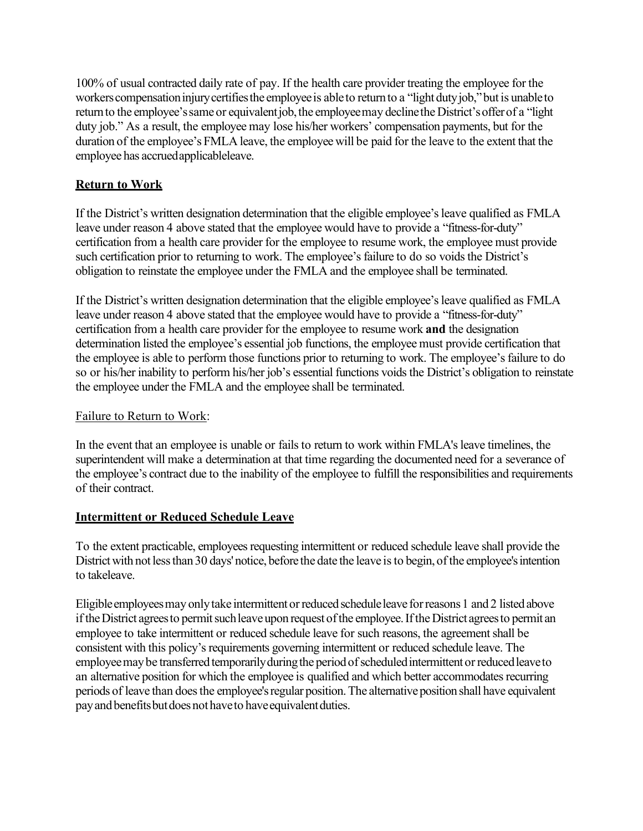100% of usual contracted daily rate of pay. If the health care provider treating the employee for the workers compensation injury certifies the employee is able to return to a "light duty job," but is unable to return to the employee's same or equivalent job, the employee may decline the District's offer of a "light" duty job." As a result, the employee may lose his/her workers' compensation payments, but for the duration of the employee's FMLA leave, the employee will be paid for the leave to the extent that the employee has accruedapplicableleave.

## **Return to Work**

If the District's written designation determination that the eligible employee's leave qualified as FMLA leave under reason 4 above stated that the employee would have to provide a "fitness-for-duty" certification from a health care provider for the employee to resume work, the employee must provide such certification prior to returning to work. The employee's failure to do so voids the District's obligation to reinstate the employee under the FMLA and the employee shall be terminated.

If the District's written designation determination that the eligible employee's leave qualified as FMLA leave under reason 4 above stated that the employee would have to provide a "fitness-for-duty" certification from a health care provider for the employee to resume work **and** the designation determination listed the employee's essential job functions, the employee must provide certification that the employee is able to perform those functions prior to returning to work. The employee's failure to do so or his/her inability to perform his/her job's essential functions voids the District's obligation to reinstate the employee under the FMLA and the employee shall be terminated.

## Failure to Return to Work:

In the event that an employee is unable or fails to return to work within FMLA's leave timelines, the superintendent will make a determination at that time regarding the documented need for a severance of the employee's contract due to the inability of the employee to fulfill the responsibilities and requirements of their contract.

## **Intermittent or Reduced Schedule Leave**

To the extent practicable, employees requesting intermittent or reduced schedule leave shall provide the District with not less than 30 days' notice, before the date the leave is to begin, of the employee's intention to takeleave.

Eligible employees may only take intermittent or reduced schedule leave for reasons 1 and 2 listed above if the District agrees to permit such leave upon request of the employee. If the District agrees to permit an employee to take intermittent or reduced schedule leave for such reasons, the agreement shall be consistent with this policy's requirements governing intermittent or reduced schedule leave. The employee may be transferred temporarily during the period of scheduled intermittent or reduced leave to an alternative position for which the employee is qualified and which better accommodates recurring periods of leave than does the employee's regular position. The alternative position shall have equivalent pay and benefits but does not have to have equivalent duties.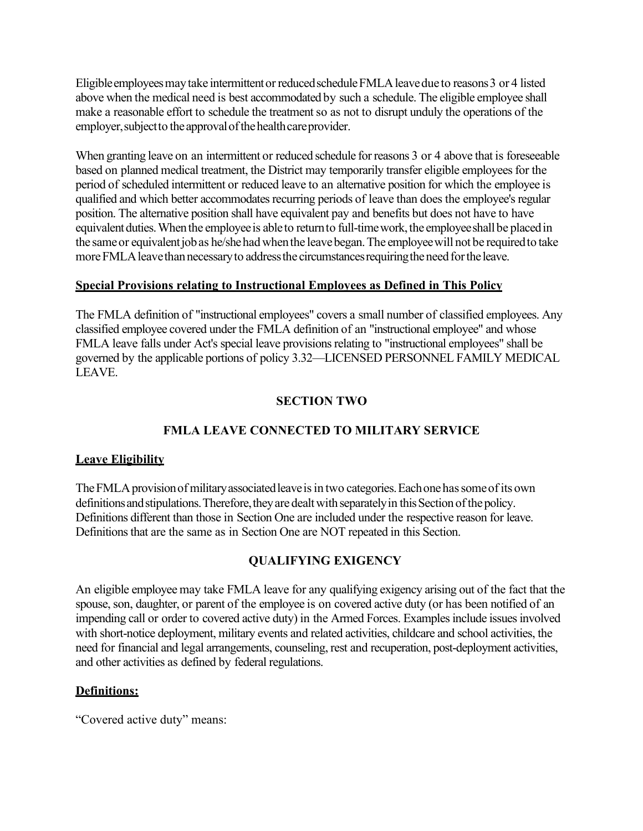Eligible employees may take intermittent or reduced schedule FMLA leave due to reasons 3 or 4 listed above when the medical need is best accommodated by such a schedule. The eligible employee shall make a reasonable effort to schedule the treatment so as not to disrupt unduly the operations of the employer, subject to the approval of the health care provider.

When granting leave on an intermittent or reduced schedule for reasons 3 or 4 above that is foreseeable based on planned medical treatment, the District may temporarily transfer eligible employees for the period of scheduled intermittent or reduced leave to an alternative position for which the employee is qualified and which better accommodates recurring periods of leave than does the employee's regular position. The alternative position shall have equivalent pay and benefits but does not have to have equivalent duties. When the employee is able to return to full-time work, the employee shall be placed in the same or equivalent job as he/she had when the leave began. The employee will not be required to take more FMLA leave than necessary to address the circumstances requiring the need for the leave.

### **Special Provisions relating to Instructional Employees as Defined in This Policy**

The FMLA definition of "instructional employees" covers a small number of classified employees. Any classified employee covered under the FMLA definition of an "instructional employee" and whose FMLA leave falls under Act's special leave provisions relating to "instructional employees" shall be governed by the applicable portions of policy 3.32—LICENSED PERSONNEL FAMILY MEDICAL LEAVE.

## **SECTION TWO**

## **FMLA LEAVE CONNECTED TO MILITARY SERVICE**

#### **Leave Eligibility**

The FMLA provision of military associated leave is in two categories. Each one has some of its own definitions and stipulations. Therefore, they are dealt with separately in this Section of the policy. Definitions different than those in Section One are included under the respective reason for leave. Definitions that are the same as in Section One are NOT repeated in this Section.

## **QUALIFYING EXIGENCY**

An eligible employee may take FMLA leave for any qualifying exigency arising out of the fact that the spouse, son, daughter, or parent of the employee is on covered active duty (or has been notified of an impending call or order to covered active duty) in the Armed Forces. Examples include issues involved with short-notice deployment, military events and related activities, childcare and school activities, the need for financial and legal arrangements, counseling, rest and recuperation, post-deployment activities, and other activities as defined by federal regulations.

#### **Definitions:**

"Covered active duty" means: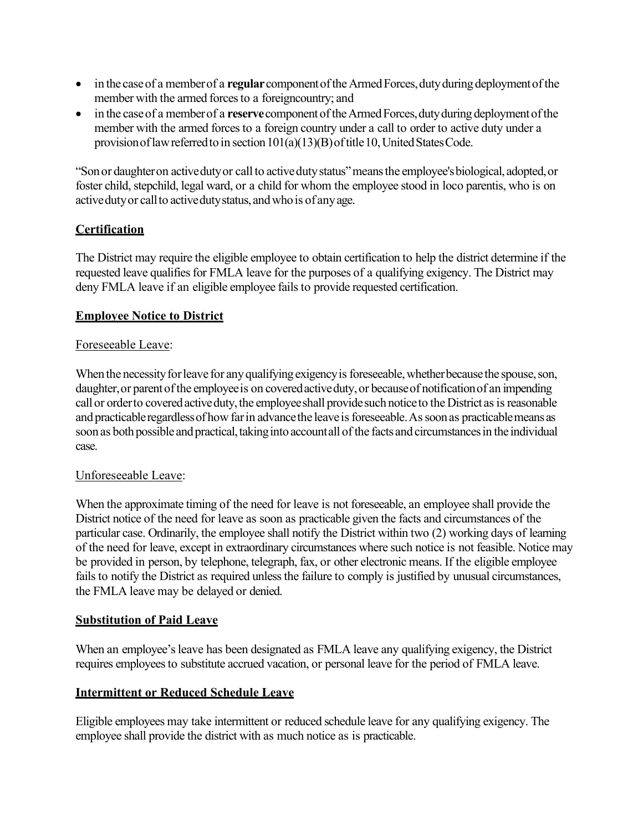- in the case of a member of a **regular** component of the Armed Forces, duty during deployment of the member with the armed forces to a foreigncountry; and
- in the case of a member of a **reserve** component of the Armed Forces, duty during deployment of the member with the armed forces to a foreign country under a call to order to active duty under a provision of law referred to in section  $101(a)(13)(B)$  of title 10, United States Code.

"Sonor daughteron activedutyor call to activedutystatus"meansthe employee'sbiological, adopted,or foster child, stepchild, legal ward, or a child for whom the employee stood in loco parentis, who is on active duty or call to active duty status, and who is of any age.

## **Certification**

The District may require the eligible employee to obtain certification to help the district determine if the requested leave qualifies for FMLA leave for the purposes of a qualifying exigency. The District may deny FMLA leave if an eligible employee fails to provide requested certification.

### **Employee Notice to District**

#### Foreseeable Leave:

When the necessity for leave for any qualifying exigency is foreseeable, whether because the spouse, son, daughter, or parent of the employee is on covered active duty, or because of notification of an impending call or order to covered active duty, the employee shall provide such notice to the District as is reasonable and practicable regardless of how far in advance the leave is foreseeable. As soon as practicable means as soon as both possible and practical, taking into accountall of the facts and circumstances in the individual case.

#### Unforeseeable Leave:

When the approximate timing of the need for leave is not foreseeable, an employee shall provide the District notice of the need for leave as soon as practicable given the facts and circumstances of the particular case. Ordinarily, the employee shall notify the District within two (2) working days of learning of the need for leave, except in extraordinary circumstances where such notice is not feasible. Notice may be provided in person, by telephone, telegraph, fax, or other electronic means. If the eligible employee fails to notify the District as required unless the failure to comply is justified by unusual circumstances, the FMLA leave may be delayed or denied.

## **Substitution of Paid Leave**

When an employee's leave has been designated as FMLA leave any qualifying exigency, the District requires employees to substitute accrued vacation, or personal leave for the period of FMLA leave.

#### **Intermittent or Reduced Schedule Leave**

Eligible employees may take intermittent or reduced schedule leave for any qualifying exigency. The employee shall provide the district with as much notice as is practicable.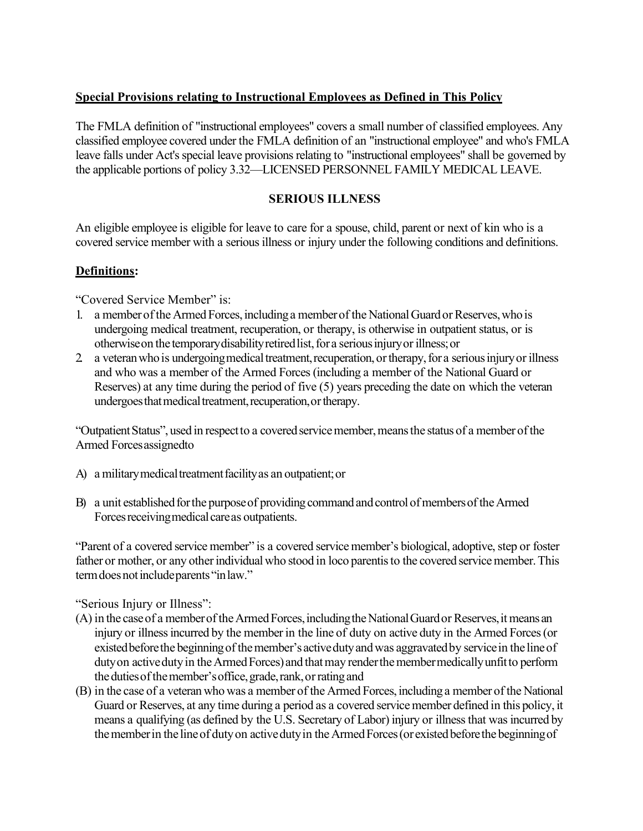## **Special Provisions relating to Instructional Employees as Defined in This Policy**

The FMLA definition of "instructional employees" covers a small number of classified employees. Any classified employee covered under the FMLA definition of an "instructional employee" and who's FMLA leave falls under Act's special leave provisions relating to "instructional employees" shall be governed by the applicable portions of policy 3.32—LICENSED PERSONNEL FAMILY MEDICAL LEAVE.

## **SERIOUS ILLNESS**

An eligible employee is eligible for leave to care for a spouse, child, parent or next of kin who is a covered service member with a serious illness or injury under the following conditions and definitions.

## **Definitions:**

"Covered Service Member" is:

- 1. a member of the Armed Forces, including a member of the National Guard or Reserves, who is undergoing medical treatment, recuperation, or therapy, is otherwise in outpatient status, or is otherwise on the temporary disability retired list, for a serious injury or illness; or
- 2 a veteran who is undergoing medical treatment, recuperation, or therapy, for a serious injury or illness and who was a member of the Armed Forces (including a member of the National Guard or Reserves) at any time during the period of five (5) years preceding the date on which the veteran undergoes that medical treatment, recuperation, or therapy.

"Outpatient Status", used in respect to a covered service member, means the status of a member of the Armed Forcesassignedto

- A) a military medical treatment facility as an outpatient; or
- B) a unit established for the purpose of providing command and control of members of the Armed Forces receiving medical care as outpatients.

"Parent of a covered service member" is a covered service member's biological, adoptive, step or foster father or mother, or any other individual who stood in loco parentis to the covered service member. This termdoesnotincludeparents "inlaw."

## "Serious Injury or Illness":

- (A) in the case of a member of the Armed Forces, including the National Guard or Reserves, it means an injury or illness incurred by the member in the line of duty on active duty in the Armed Forces (or existed before the beginning of the member's active duty and was aggravated by service in the line of duty on active duty in the Armed Forces) and that may render the member medically unfit to perform the duties of the member's office, grade, rank, or rating and
- (B) in the case of a veteran who was a member of the Armed Forces, including a member of the National Guard or Reserves, at any time during a period as a covered servicemember defined in this policy, it means a qualifying (as defined by the U.S. Secretary of Labor) injury or illnessthat was incurred by the member in the line of duty on active duty in the Armed Forces (or existed before the beginning of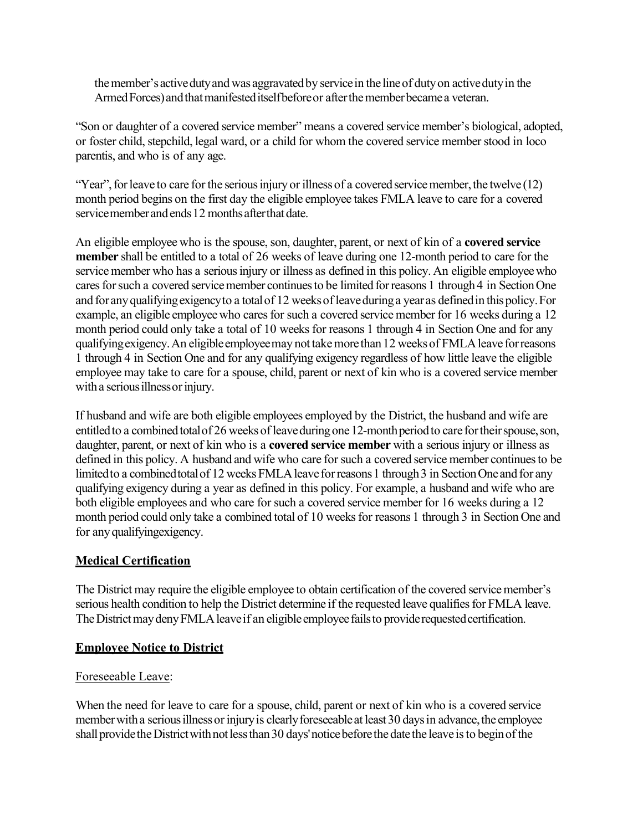the member's active duty and was aggravated by service in the line of duty on active duty in the Armed Forces) and that manifested itself before or after the member became a veteran.

"Son or daughter of a covered service member" means a covered service member's biological, adopted, or foster child, stepchild, legal ward, or a child for whom the covered service member stood in loco parentis, and who is of any age.

"Year", for leave to care for the serious injury or illness of a covered service member, the twelve (12) month period begins on the first day the eligible employee takes FMLA leave to care for a covered service member and ends 12 months after that date.

An eligible employee who is the spouse, son, daughter, parent, or next of kin of a **covered service member** shall be entitled to a total of 26 weeks of leave during one 12-month period to care for the service member who has a serious injury or illness as defined in this policy. An eligible employee who cares for such a covered service member continues to be limited for reasons 1 through 4 in Section One and for any qualifying exigency to a total of 12 weeks of leave during a year as defined in this policy. For example, an eligible employee who cares for such a covered service member for 16 weeks during a 12 month period could only take a total of 10 weeks for reasons 1 through 4 in Section One and for any qualifying exigency. An eligible employee may not take more than 12 weeks of FMLA leave for reasons 1 through 4 in Section One and for any qualifying exigency regardless of how little leave the eligible employee may take to care for a spouse, child, parent or next of kin who is a covered service member with a serious illness or injury.

If husband and wife are both eligible employees employed by the District, the husband and wife are entitled to a combined total of 26 weeks of leave during one 12-month period to care for their spouse, son, daughter, parent, or next of kin who is a **covered service member** with a serious injury or illness as defined in this policy. A husband and wife who care for such a covered service member continues to be limited to a combined total of 12 weeks FMLA leave for reasons 1 through 3 in Section One and for any qualifying exigency during a year as defined in this policy. For example, a husband and wife who are both eligible employees and who care for such a covered service member for 16 weeks during a 12 month period could only take a combined total of 10 weeks for reasons 1 through 3 in Section One and for anyqualifyingexigency.

## **Medical Certification**

The District may require the eligible employee to obtain certification of the covered service member's serious health condition to help the District determine if the requested leave qualifies for FMLA leave. The District may deny FMLA leave if an eligible employee fails to provide requested certification.

## **Employee Notice to District**

## Foreseeable Leave:

When the need for leave to care for a spouse, child, parent or next of kin who is a covered service member with a serious illness or injury is clearly foreseeable at least 30 days in advance, the employee shall provide the District with not less than 30 days' notice before the date the leave is to begin of the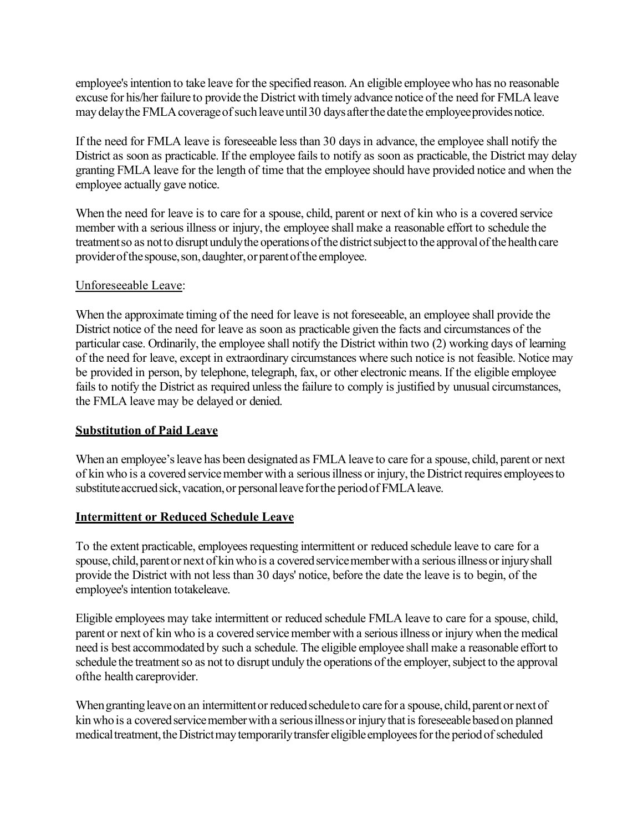employee's intention to take leave for the specified reason. An eligible employee who has no reasonable excuse for his/her failure to provide the District with timely advance notice of the need for FMLA leave may delay the FMLA coverage of such leave until 30 days after the date the employee provides notice.

If the need for FMLA leave is foreseeable less than 30 days in advance, the employee shall notify the District as soon as practicable. If the employee fails to notify as soon as practicable, the District may delay granting FMLA leave for the length of time that the employee should have provided notice and when the employee actually gave notice.

When the need for leave is to care for a spouse, child, parent or next of kin who is a covered service member with a serious illness or injury, the employee shall make a reasonable effort to schedule the treatmentso as not to disruptunduly the operations of the district subject to the approval of the health care providerofthespouse,son,daughter,or parentofthe employee.

### Unforeseeable Leave:

When the approximate timing of the need for leave is not foreseeable, an employee shall provide the District notice of the need for leave as soon as practicable given the facts and circumstances of the particular case. Ordinarily, the employee shall notify the District within two (2) working days of learning of the need for leave, except in extraordinary circumstances where such notice is not feasible. Notice may be provided in person, by telephone, telegraph, fax, or other electronic means. If the eligible employee fails to notify the District as required unless the failure to comply is justified by unusual circumstances, the FMLA leave may be delayed or denied.

## **Substitution of Paid Leave**

When an employee's leave has been designated as FMLA leave to care for a spouse, child, parent or next of kin who is a covered service member with a serious illness or injury, the District requires employees to substitute accrued sick, vacation, or personal leave for the period of FMLA leave.

## **Intermittent or Reduced Schedule Leave**

To the extent practicable, employees requesting intermittent or reduced schedule leave to care for a spouse, child, parent or next of kin who is a covered service member with a serious illness or injury shall provide the District with not less than 30 days' notice, before the date the leave is to begin, of the employee's intention totakeleave.

Eligible employees may take intermittent or reduced schedule FMLA leave to care for a spouse, child, parent or next of kin who is a covered service member with a serious illness or injury when the medical need is best accommodated by such a schedule. The eligible employee shall make a reasonable effort to schedule the treatment so as not to disrupt unduly the operations of the employer, subject to the approval ofthe health careprovider.

When granting leave on an intermittent or reduced schedule to care for a spouse, child, parent or next of kin who is a covered service member with a serious illness or injury that is foreseeable based on planned medical treatment, the District may temporarily transfer eligible employees for the period of scheduled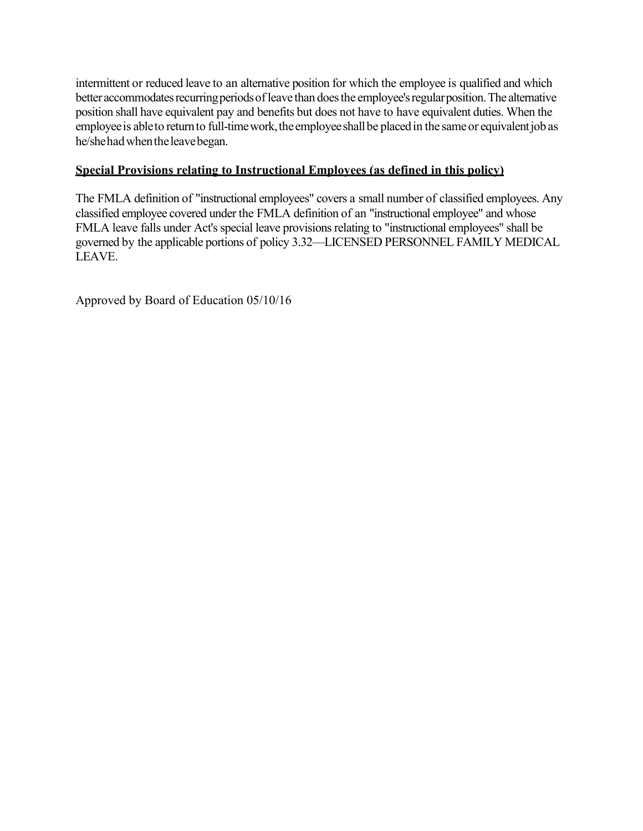intermittent or reduced leave to an alternative position for which the employee is qualified and which better accommodates recurring periods of leave than does the employee's regular position. The alternative position shall have equivalent pay and benefits but does not have to have equivalent duties. When the employee is able to return to full-time work, the employee shall be placed in the same or equivalent job as he/shehadwhentheleavebegan.

## **Special Provisions relating to Instructional Employees (as defined in this policy)**

The FMLA definition of "instructional employees" covers a small number of classified employees. Any classified employee covered under the FMLA definition of an "instructional employee" and whose FMLA leave falls under Act's special leave provisions relating to "instructional employees" shall be governed by the applicable portions of policy 3.32—LICENSED PERSONNEL FAMILY MEDICAL LEAVE.

Approved by Board of Education 05/10/16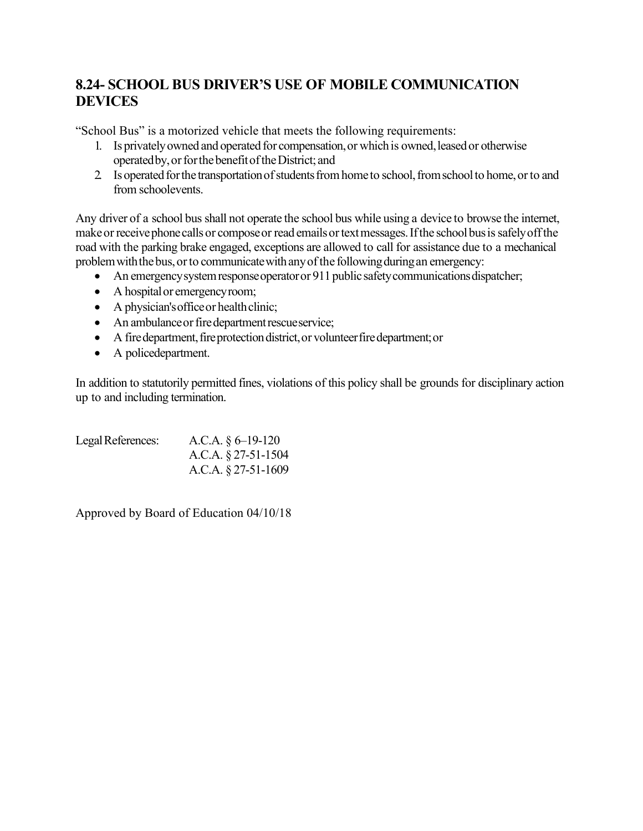# **8.24- SCHOOL BUS DRIVER'S USE OF MOBILE COMMUNICATION DEVICES**

"School Bus" is a motorized vehicle that meets the following requirements:

- 1. Is privately owned and operated for compensation, or which is owned, leased or otherwise operated by, or for the benefit of the District; and
- 2. Is operated for the transportation of students from home to school, from school to home, or to and from schoolevents.

Any driver of a school bus shall not operate the school bus while using a device to browse the internet, make or receive phone calls or compose or read emails or text messages. If the school bus is safely off the road with the parking brake engaged, exceptions are allowed to call for assistance due to a mechanical problem with the bus, or to communicate with any of the following during an emergency:

- An emergency system response operator or 911 public safety communications dispatcher;
- A hospital or emergency room;
- $\bullet$  A physician's office or health clinic;
- An ambulance or fire department rescueservice;
- A fire department, fire protection district, or volunteer fire department; or
- A policedepartment.

In addition to statutorily permitted fines, violations of this policy shall be grounds for disciplinary action up to and including termination.

| Legal References: | A.C.A. $\S 6$ –19-120  |
|-------------------|------------------------|
|                   | A.C.A. $\S$ 27-51-1504 |
|                   | A.C.A. $\S$ 27-51-1609 |

Approved by Board of Education 04/10/18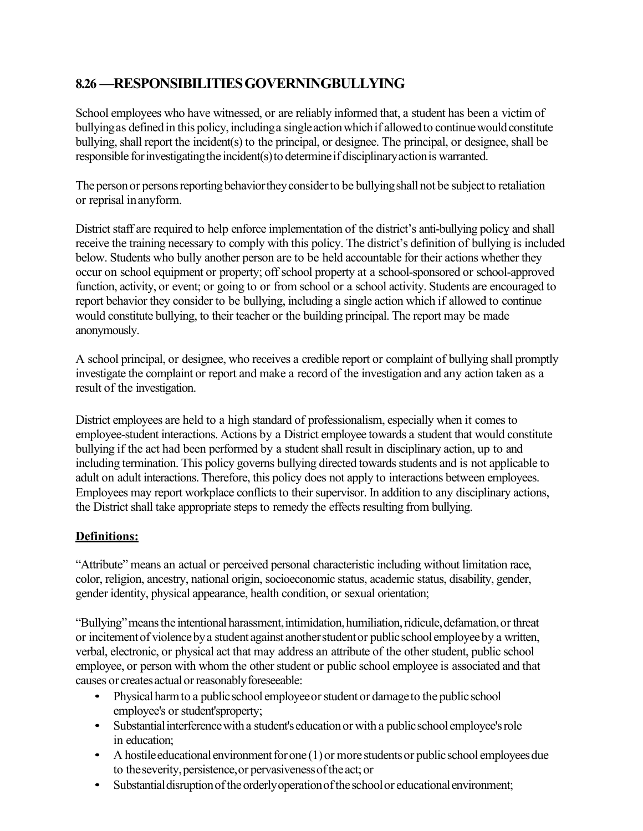# **8.26 —RESPONSIBILITIESGOVERNINGBULLYING**

School employees who have witnessed, or are reliably informed that, a student has been a victim of bullying as defined in this policy, including a single action which if allowed to continue would constitute bullying, shall report the incident(s) to the principal, or designee. The principal, or designee, shall be responsible for investigating the incident(s) to determine if disciplinary action is warranted.

The person or persons reporting behavior they consider to be bullying shall not be subject to retaliation or reprisal inanyform.

District staff are required to help enforce implementation of the district's anti-bullying policy and shall receive the training necessary to comply with this policy. The district's definition of bullying is included below. Students who bully another person are to be held accountable for their actions whether they occur on school equipment or property; off school property at a school-sponsored or school-approved function, activity, or event; or going to or from school or a school activity. Students are encouraged to report behavior they consider to be bullying, including a single action which if allowed to continue would constitute bullying, to their teacher or the building principal. The report may be made anonymously.

A school principal, or designee, who receives a credible report or complaint of bullying shall promptly investigate the complaint or report and make a record of the investigation and any action taken as a result of the investigation.

District employees are held to a high standard of professionalism, especially when it comes to employee-student interactions. Actions by a District employee towards a student that would constitute bullying if the act had been performed by a student shall result in disciplinary action, up to and including termination. This policy governs bullying directed towards students and is not applicable to adult on adult interactions. Therefore, this policy does not apply to interactions between employees. Employees may report workplace conflicts to their supervisor. In addition to any disciplinary actions, the District shall take appropriate steps to remedy the effects resulting from bullying.

## **Definitions:**

"Attribute" means an actual or perceived personal characteristic including without limitation race, color, religion, ancestry, national origin, socioeconomic status, academic status, disability, gender, gender identity, physical appearance, health condition, or sexual orientation;

"Bullying" means the intentional harassment, intimidation, humiliation, ridicule, defamation, or threat or incitementof violencebya student against anotherstudentor publicschool employeeby a written, verbal, electronic, or physical act that may address an attribute of the other student, public school employee, or person with whom the other student or public school employee is associated and that causes or creates actual or reasonably foreseeable:

- Physical harm to a public school employee or student or damage to the public school employee's or student'sproperty;
- Substantial interference with a student's education or with a public school employee's role in education;
- A hostile educational environment for one  $(1)$  or more students or public school employees due to theseverity,persistence,or pervasivenessoftheact;or
- Substantial disruption of the orderly operation of the school or educational environment;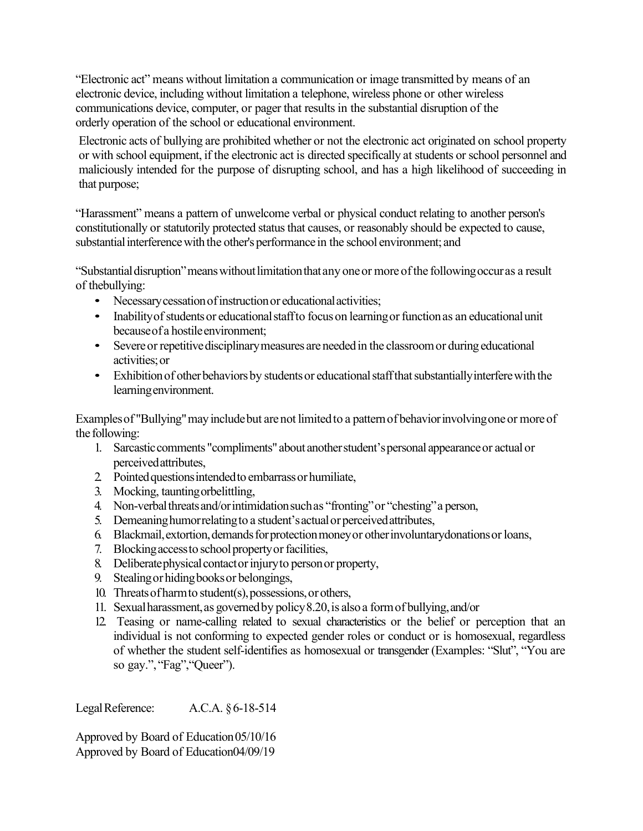"Electronic act" means without limitation a communication or image transmitted by means of an electronic device, including without limitation a telephone, wireless phone or other wireless communications device, computer, or pager that results in the substantial disruption of the orderly operation of the school or educational environment.

Electronic acts of bullying are prohibited whether or not the electronic act originated on school property or with school equipment, if the electronic act is directed specifically at students or school personnel and maliciously intended for the purpose of disrupting school, and has a high likelihood of succeeding in that purpose;

"Harassment" means a pattern of unwelcome verbal or physical conduct relating to another person's constitutionally or statutorily protected status that causes, or reasonably should be expected to cause, substantial interference with the other's performance in the school environment; and

"Substantial disruption" means without limitation that any one or more of the following occuras a result of thebullying:

- Necessary cessation of instruction or educational activities;
- Inability of students or educational staff to focus on learning or function as an educational unit becauseof a hostileenvironment;
- Severe or repetitive disciplinary measures are needed in the classroom or during educational activities;or
- Exhibition of other behaviors by students or educational staff that substantially interfere with the learningenvironment.

Examples of "Bullying" may include but are not limited to a pattern of behavior involving one or more of the following:

- 1. Sarcasticcomments "compliments" about anotherstudent'spersonal appearanceor actual or perceivedattributes,
- 2 Pointed questions intended to embarrass or humiliate,
- 3. Mocking, tauntingorbelittling,
- 4. Non-verbal threats and/or intimidation such as "fronting" or "chesting" a person,
- 5. Demeaninghumorrelatingto a student'sactualor perceivedattributes,
- 6. Blackmail,extortion,demandsforprotectionmoneyor otherinvoluntarydonationsorloans,
- 7. Blocking access to school property or facilities,
- 8. Deliberate physical contact or injury to person or property,
- 9. Stealingorhidingbooksor belongings,
- 10. Threatsof harmto student(s),possessions,or others,
- 11. Sexualharassment,as governedby policy8.20,is alsoa formof bullying,and/or
- 12. Teasing or name-calling related to sexual characteristics or the belief or perception that an individual is not conforming to expected gender roles or conduct or is homosexual, regardless of whether the student self-identifies as homosexual or transgender (Examples: "Slut", "You are so gay.", "Fag", "Queer").

LegalReference: A.C.A. §6-18-514

Approved by Board of Education05/10/16 Approved by Board of Education04/09/19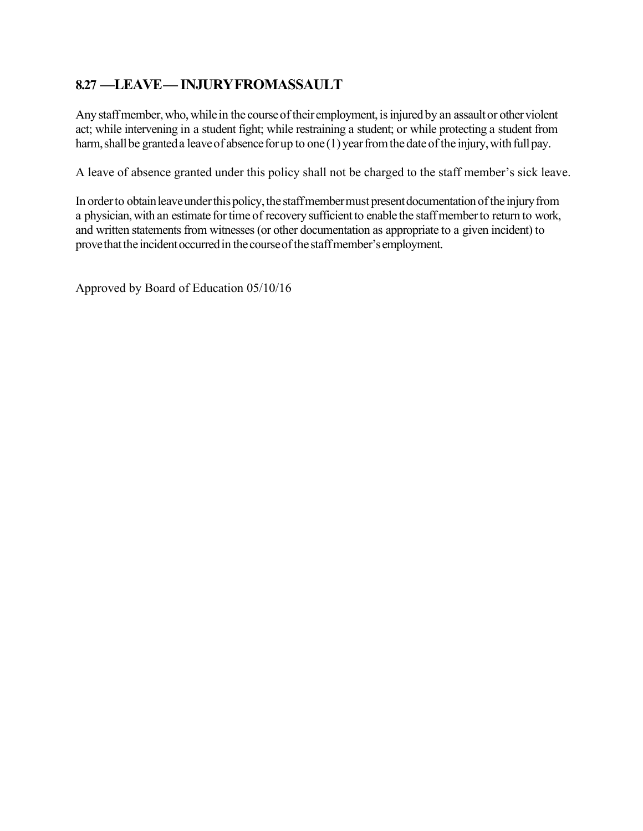# **8.27 —LEAVE— INJURYFROMASSAULT**

Any staff member, who, while in the course of their employment, is injured by an assault or other violent act; while intervening in a student fight; while restraining a student; or while protecting a student from harm, shall be granted a leave of absence for up to one (1) year from the date of the injury, with full pay.

A leave of absence granted under this policy shall not be charged to the staff member's sick leave.

In order to obtain leave under this policy, the staff member must present documentation of the injury from a physician, with an estimate for time of recovery sufficient to enable the staff member to return to work, and written statements from witnesses (or other documentation as appropriate to a given incident) to prove that the incident occurred in the course of the staff member's employment.

Approved by Board of Education 05/10/16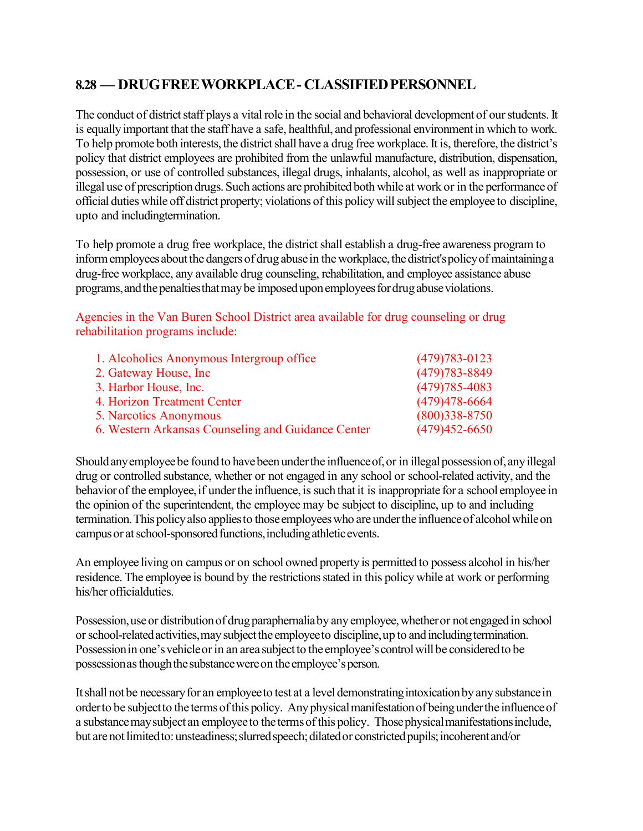## **8.28 — DRUGFREEWORKPLACE- CLASSIFIEDPERSONNEL**

The conduct of district staff plays a vital role in the social and behavioral development of our students. It is equally important that the staff have a safe, healthful, and professional environment in which to work. To help promote both interests, the district shall have a drug free workplace. It is, therefore, the district's policy that district employees are prohibited from the unlawful manufacture, distribution, dispensation, possession, or use of controlled substances, illegal drugs, inhalants, alcohol, as well as inappropriate or illegal use of prescription drugs. Such actions are prohibited both while at work or in the performance of official duties while off district property; violations of this policy willsubject the employee to discipline, upto and includingtermination.

To help promote a drug free workplace, the district shall establish a drug-free awareness program to inform employees about the dangers of drug abuse in the workplace, the district's policy of maintaining a drug-free workplace, any available drug counseling, rehabilitation, and employee assistance abuse programs, and the penalties that may be imposed upon employees for drug abuse violations.

Agencies in the Van Buren School District area available for drug counseling or drug rehabilitation programs include:

| 1. Alcoholics Anonymous Intergroup office          | $(479)783 - 0123$ |
|----------------------------------------------------|-------------------|
| 2. Gateway House, Inc.                             | $(479)783 - 8849$ |
| 3. Harbor House, Inc.                              | $(479)785 - 4083$ |
| 4. Horizon Treatment Center                        | $(479)478 - 6664$ |
| 5. Narcotics Anonymous                             | $(800)338 - 8750$ |
| 6. Western Arkansas Counseling and Guidance Center | $(479)452 - 6650$ |

Should any employee be found to have been under the influence of, or in illegal possession of, any illegal drug or controlled substance, whether or not engaged in any school or school-related activity, and the behavior of the employee, if under the influence, is such that it is inappropriate for a school employee in the opinion of the superintendent, the employee may be subject to discipline, up to and including termination. This policy also applies to those employees who are under the influence of alcohol while on campus or at school-sponsored functions, including athletic events.

An employee living on campus or on school owned property is permitted to possess alcohol in his/her residence. The employee is bound by the restrictions stated in this policy while at work or performing his/her officialduties.

Possession, use or distribution of drug paraphernalia by any employee, whether or not engaged in school or school-related activities, may subject the employee to discipline, up to and including termination. Possession in one's vehicle or in an area subject to the employee's control will be considered to be possessionasthoughthesubstancewereon theemployee'sperson.

It shall not be necessary for an employee to test at a level demonstrating intoxication by any substance in order to be subject to the terms of this policy. Any physical manifestation of being under the influence of a substance may subject an employee to the terms of this policy. Those physical manifestations include, but are not limited to: unsteadiness; slurred speech; dilated or constricted pupils; incoherent and/or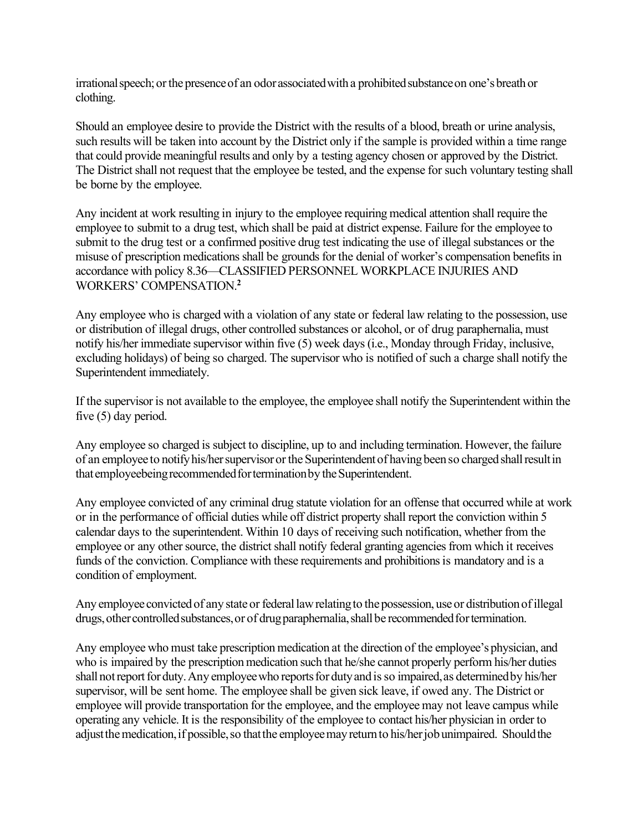irrational speech; or the presence of an odor associated with a prohibited substance on one's breath or clothing.

Should an employee desire to provide the District with the results of a blood, breath or urine analysis, such results will be taken into account by the District only if the sample is provided within a time range that could provide meaningful results and only by a testing agency chosen or approved by the District. The District shall not request that the employee be tested, and the expense for such voluntary testing shall be borne by the employee.

Any incident at work resulting in injury to the employee requiring medical attention shall require the employee to submit to a drug test, which shall be paid at district expense. Failure for the employee to submit to the drug test or a confirmed positive drug test indicating the use of illegal substances or the misuse of prescription medications shall be grounds for the denial of worker's compensation benefits in accordance with policy 8.36—CLASSIFIED PERSONNEL WORKPLACE INJURIES AND WORKERS' COMPENSATION.**<sup>2</sup>**

Any employee who is charged with a violation of any state or federal law relating to the possession, use or distribution of illegal drugs, other controlled substances or alcohol, or of drug paraphernalia, must notify his/her immediate supervisor within five (5) week days (i.e., Monday through Friday, inclusive, excluding holidays) of being so charged. The supervisor who is notified of such a charge shall notify the Superintendent immediately.

If the supervisor is not available to the employee, the employee shall notify the Superintendent within the five (5) day period.

Any employee so charged is subject to discipline, up to and including termination. However, the failure of an employee to notify his/her supervisor or the Superintendent of having been so charged shall result in that employeebeing recommended for termination by the Superintendent.

Any employee convicted of any criminal drug statute violation for an offense that occurred while at work or in the performance of official duties while off district property shall report the conviction within 5 calendar days to the superintendent. Within 10 days of receiving such notification, whether from the employee or any other source, the district shall notify federal granting agencies from which it receives funds of the conviction. Compliance with these requirements and prohibitions is mandatory and is a condition of employment.

Any employee convicted of any state or federal law relating to the possession, use or distribution of illegal drugs, other controlled substances, or of drug paraphernalia, shall be recommended for termination.

Any employee who must take prescription medication at the direction of the employee's physician, and who is impaired by the prescription medication such that he/she cannot properly perform his/her duties shall not report for duty. Any employee who reports for duty and is so impaired, as determined by his/her supervisor, will be sent home. The employee shall be given sick leave, if owed any. The District or employee will provide transportation for the employee, and the employee may not leave campus while operating any vehicle. It is the responsibility of the employee to contact his/her physician in order to adjust the medication, if possible, so that the employee may return to his/her job unimpaired. Should the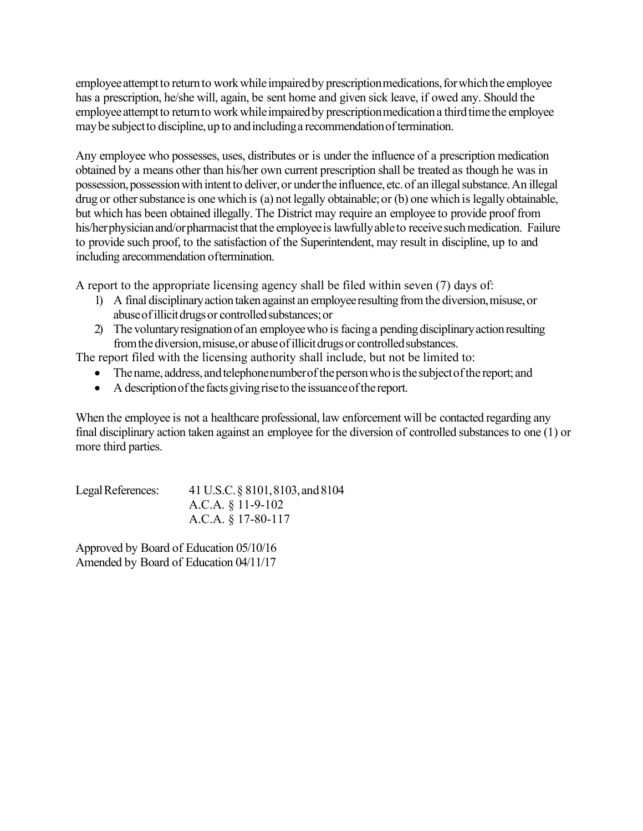employee attempt to return to work while impaired by prescription medications, for which the employee has a prescription, he/she will, again, be sent home and given sick leave, if owed any. Should the employee attempt to return to work while impaired by prescription medication a third time the employee may be subject to discipline, up to and including a recommendation of termination.

Any employee who possesses, uses, distributes or is under the influence of a prescription medication obtained by a means other than his/her own current prescription shall be treated as though he was in possession, possession with intent to deliver, or under the influence, etc. of an illegal substance. An illegal drug or other substance is one which is (a) not legally obtainable; or (b) one which is legally obtainable, but which has been obtained illegally. The District may require an employee to provide proof from his/herphysician and/orpharmacist that the employee is lawfully able to receive such medication. Failure to provide such proof, to the satisfaction of the Superintendent, may result in discipline, up to and including arecommendation oftermination.

A report to the appropriate licensing agency shall be filed within seven (7) days of:

- 1) A final disciplinary action taken against an employee resulting from the diversion, misuse, or abuse of illicit drugs or controlled substances; or
- 2) The voluntary resignation of an employee who is facing a pending disciplinary action resulting from the diversion, misuse, or abuse of illicit drugs or controlled substances.

The report filed with the licensing authority shall include, but not be limited to:

- The name, address, and telephonenumber of the person who is the subject of the report; and
- $\bullet$  A description of the facts giving rise to the issuance of the report.

When the employee is not a healthcare professional, law enforcement will be contacted regarding any final disciplinary action taken against an employee for the diversion of controlled substances to one (1) or more third parties.

| Legal References: | 41 U.S.C. § 8101, 8103, and 8104 |
|-------------------|----------------------------------|
|                   | A.C.A. $\S$ 11-9-102             |
|                   | A.C.A. $\S$ 17-80-117            |

Approved by Board of Education 05/10/16 Amended by Board of Education 04/11/17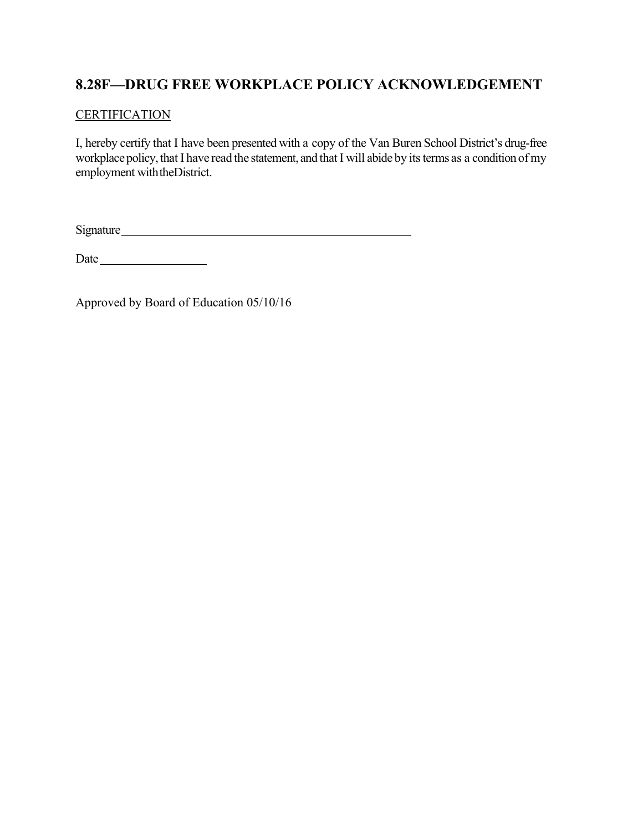# **8.28F—DRUG FREE WORKPLACE POLICY ACKNOWLEDGEMENT**

## **CERTIFICATION**

I, hereby certify that I have been presented with a copy of the Van Buren School District's drug-free workplace policy, that I have read the statement, and that I will abide by its terms as a condition of my employment withtheDistrict.

Signature

Date

Approved by Board of Education 05/10/16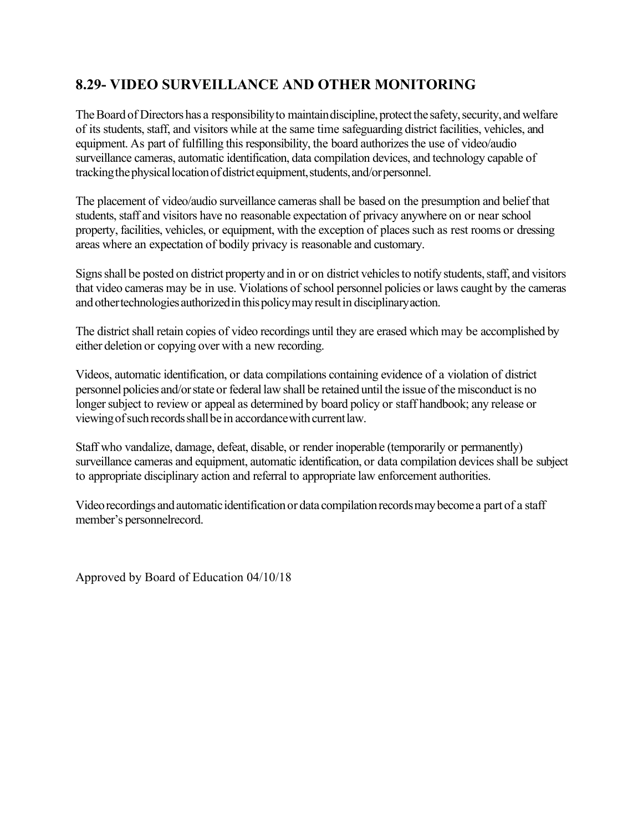# **8.29- VIDEO SURVEILLANCE AND OTHER MONITORING**

The Board of Directors has a responsibility to maintain discipline, protect the safety, security, and welfare of its students, staff, and visitors while at the same time safeguarding district facilities, vehicles, and equipment. As part of fulfilling this responsibility, the board authorizes the use of video/audio surveillance cameras, automatic identification, data compilation devices, and technology capable of tracking the physical location of district equipment, students, and/or personnel.

The placement of video/audio surveillance cameras shall be based on the presumption and belief that students, staff and visitors have no reasonable expectation of privacy anywhere on or near school property, facilities, vehicles, or equipment, with the exception of places such as rest rooms or dressing areas where an expectation of bodily privacy is reasonable and customary.

Signs shall be posted on district property and in or on district vehicles to notify students, staff, and visitors that video cameras may be in use. Violations of school personnel policies or laws caught by the cameras and other technologies authorized in this policy may result in disciplinary action.

The district shall retain copies of video recordings until they are erased which may be accomplished by either deletion or copying over with a new recording.

Videos, automatic identification, or data compilations containing evidence of a violation of district personnel policies and/orstate or federal law shall be retained until the issue of the misconduct is no longer subject to review or appeal as determined by board policy or staff handbook; any release or viewing of such records shall be in accordance with current law.

Staff who vandalize, damage, defeat, disable, or render inoperable (temporarily or permanently) surveillance cameras and equipment, automatic identification, or data compilation devices shall be subject to appropriate disciplinary action and referral to appropriate law enforcement authorities.

Video recordings and automatic identification or data compilation records may become a part of a staff member's personnelrecord.

Approved by Board of Education 04/10/18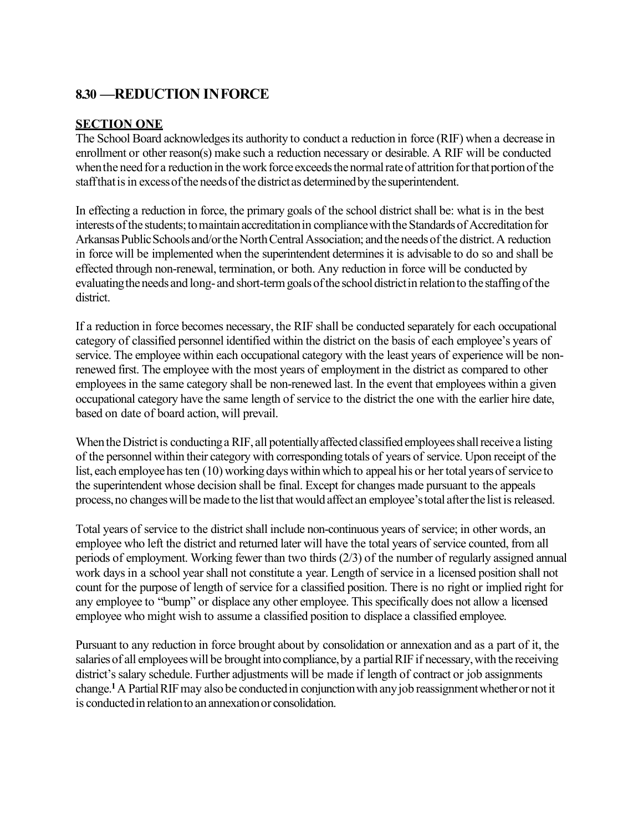## **8.30 —REDUCTION INFORCE**

### **SECTION ONE**

The School Board acknowledges its authority to conduct a reduction in force (RIF) when a decrease in enrollment or other reason(s) make such a reduction necessary or desirable. A RIF will be conducted when the need for a reduction in the work force exceeds the normal rate of attrition for that portion of the staff that is in excess of the needs of the district as determined by the superintendent.

In effecting a reduction in force, the primary goals of the school district shall be: what is in the best interests of the students; to maintain accreditation in compliance with the Standards of Accreditation for Arkansas Public Schools and/or the North Central Association; and the needs of the district. A reduction in force will be implemented when the superintendent determines it is advisable to do so and shall be effected through non-renewal, termination, or both. Any reduction in force will be conducted by evaluating the needs and long-and short-term goals of the school district in relation to the staffing of the district.

If a reduction in force becomes necessary, the RIF shall be conducted separately for each occupational category of classified personnel identified within the district on the basis of each employee's years of service. The employee within each occupational category with the least years of experience will be nonrenewed first. The employee with the most years of employment in the district as compared to other employees in the same category shall be non-renewed last. In the event that employees within a given occupational category have the same length of service to the district the one with the earlier hire date, based on date of board action, will prevail.

When the District is conducting a RIF, all potentially affected classified employees shall receive a listing of the personnel within their category with corresponding totals of years of service. Upon receipt of the list, each employee has ten (10) working days within which to appeal his or her total years of service to the superintendent whose decision shall be final. Except for changes made pursuant to the appeals process, no changes will be made to the list that would affect an employee's total after the list is released.

Total years of service to the district shall include non-continuous years of service; in other words, an employee who left the district and returned later will have the total years of service counted, from all periods of employment. Working fewer than two thirds (2/3) of the number of regularly assigned annual work days in a school year shall not constitute a year. Length of service in a licensed position shall not count for the purpose of length of service for a classified position. There is no right or implied right for any employee to "bump" or displace any other employee. This specifically does not allow a licensed employee who might wish to assume a classified position to displace a classified employee.

Pursuant to any reduction in force brought about by consolidation or annexation and as a part of it, the salaries of all employees will be brought into compliance, by a partial RIF if necessary, with the receiving district's salary schedule. Further adjustments will be made if length of contract or job assignments change.**<sup>1</sup>**A PartialRIFmay also be conductedin conjunctionwith anyjob reassignmentwhetheror not it is conductedin relationto an annexationor consolidation.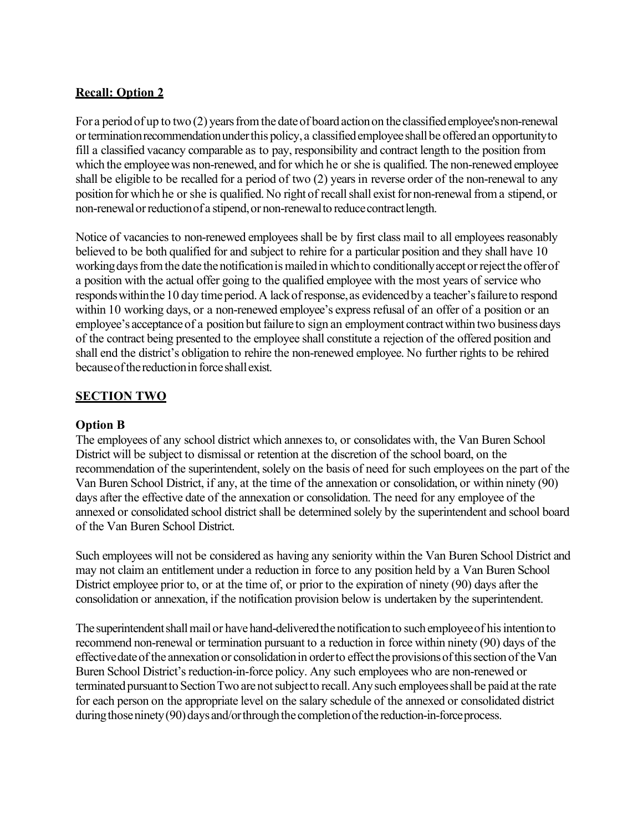## **Recall: Option 2**

For a period of up to two  $(2)$  years from the date of board action on the classified employee's non-renewal or termination recommendation under this policy, a classified employee shall be offered an opportunity to fill a classified vacancy comparable as to pay, responsibility and contract length to the position from which the employee was non-renewed, and for which he or she is qualified. The non-renewed employee shall be eligible to be recalled for a period of two (2) years in reverse order of the non-renewal to any position for which he or she is qualified. No right of recall shall exist for non-renewal from a stipend, or non-renewal or reduction of a stipend, or non-renewal to reduce contract length.

Notice of vacancies to non-renewed employees shall be by first class mail to all employees reasonably believed to be both qualified for and subject to rehire for a particular position and they shall have 10 working days from the date the notification is mailed in which to conditionally accept or reject the offer of a position with the actual offer going to the qualified employee with the most years of service who responds within the 10 day time period. A lack of response, as evidenced by a teacher's failure to respond within 10 working days, or a non-renewed employee's express refusal of an offer of a position or an employee's acceptance of a position but failure to sign an employment contract within two business days of the contract being presented to the employee shall constitute a rejection of the offered position and shall end the district's obligation to rehire the non-renewed employee. No further rights to be rehired becauseofthereductionin forceshallexist.

### **SECTION TWO**

#### **Option B**

The employees of any school district which annexes to, or consolidates with, the Van Buren School District will be subject to dismissal or retention at the discretion of the school board, on the recommendation of the superintendent, solely on the basis of need for such employees on the part of the Van Buren School District, if any, at the time of the annexation or consolidation, or within ninety (90) days after the effective date of the annexation or consolidation. The need for any employee of the annexed or consolidated school district shall be determined solely by the superintendent and school board of the Van Buren School District.

Such employees will not be considered as having any seniority within the Van Buren School District and may not claim an entitlement under a reduction in force to any position held by a Van Buren School District employee prior to, or at the time of, or prior to the expiration of ninety (90) days after the consolidation or annexation, if the notification provision below is undertaken by the superintendent.

The superintendent shall mail or have hand-delivered the notification to such employee of his intention to recommend non-renewal or termination pursuant to a reduction in force within ninety (90) days of the effective date of the annexation or consolidation in order to effect the provisions of this section of the Van Buren School District's reduction-in-force policy. Any such employees who are non-renewed or terminated pursuant to Section Two are not subject to recall. Any such employees shall be paid at the rate for each person on the appropriate level on the salary schedule of the annexed or consolidated district during those ninety (90) days and/or through the completion of the reduction-in-force process.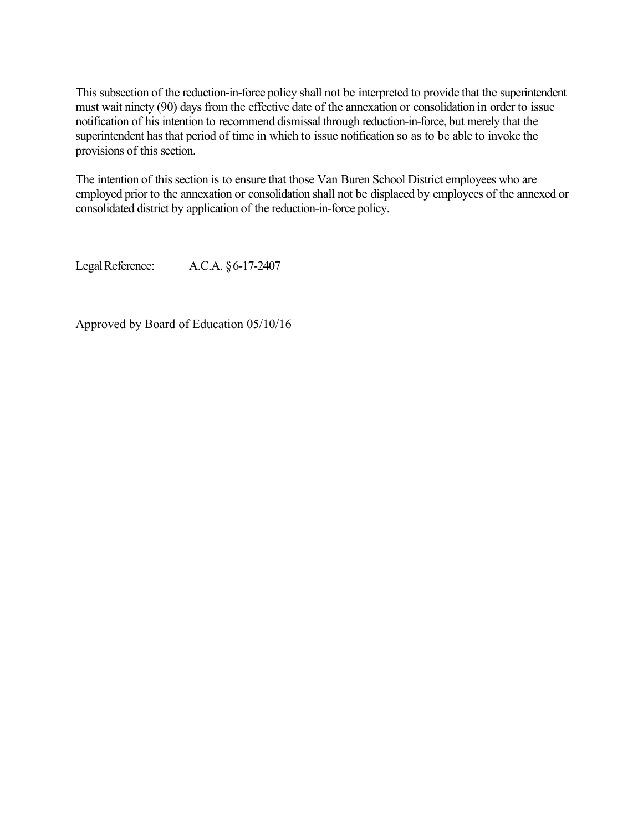This subsection of the reduction-in-force policy shall not be interpreted to provide that the superintendent must wait ninety (90) days from the effective date of the annexation or consolidation in order to issue notification of his intention to recommend dismissal through reduction-in-force, but merely that the superintendent has that period of time in which to issue notification so as to be able to invoke the provisions of this section.

The intention of this section is to ensure that those Van Buren School District employees who are employed prior to the annexation or consolidation shall not be displaced by employees of the annexed or consolidated district by application of the reduction-in-force policy.

LegalReference: A.C.A. §6-17-2407

Approved by Board of Education 05/10/16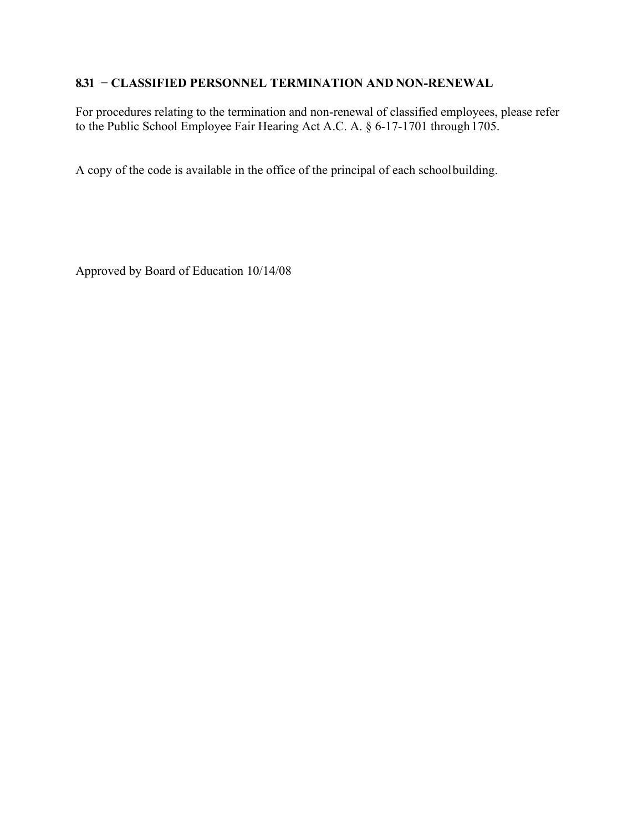## **8.31 − CLASSIFIED PERSONNEL TERMINATION AND NON-RENEWAL**

For procedures relating to the termination and non-renewal of classified employees, please refer to the Public School Employee Fair Hearing Act A.C. A. § 6-17-1701 through 1705.

A copy of the code is available in the office of the principal of each schoolbuilding.

Approved by Board of Education 10/14/08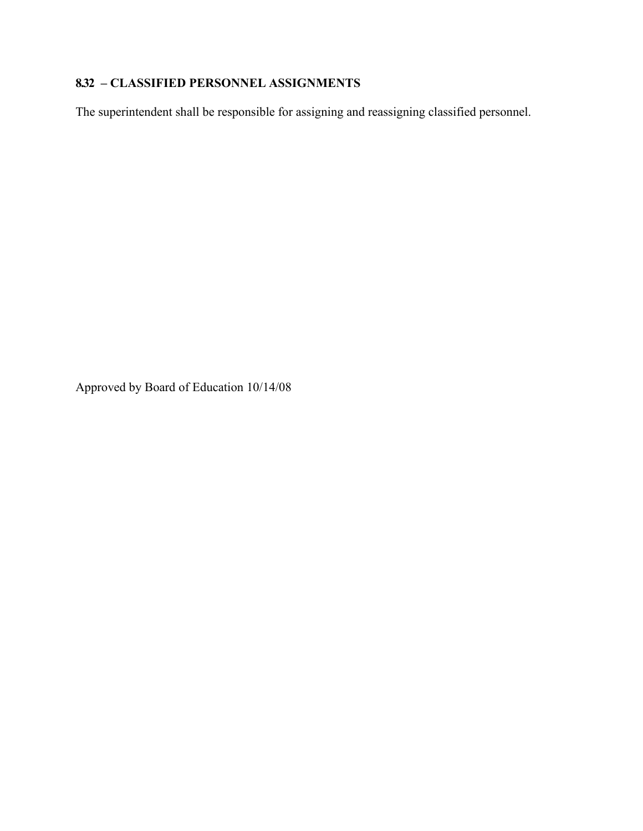### **8.32 – CLASSIFIED PERSONNEL ASSIGNMENTS**

The superintendent shall be responsible for assigning and reassigning classified personnel.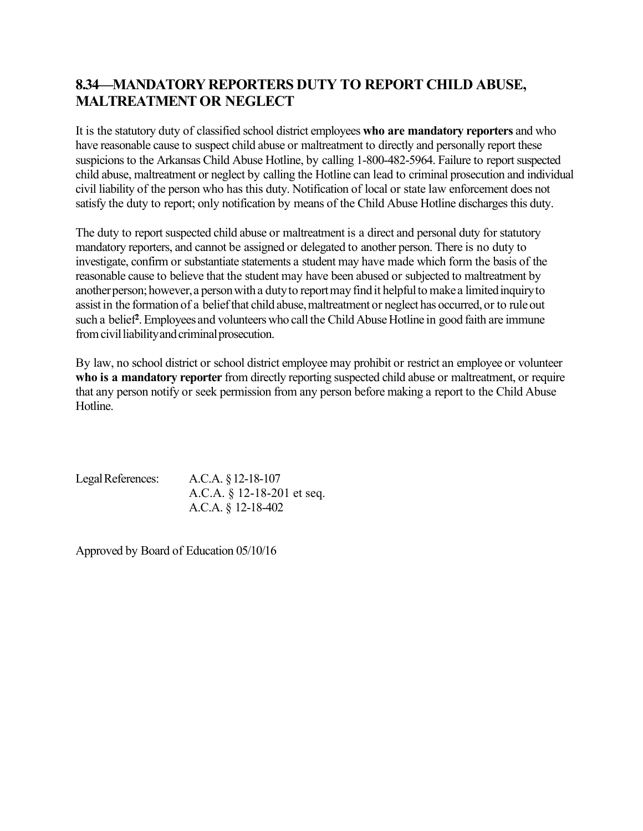# **8.34—MANDATORY REPORTERS DUTY TO REPORT CHILD ABUSE, MALTREATMENT OR NEGLECT**

It is the statutory duty of classified school district employees **who are mandatory reporters** and who have reasonable cause to suspect child abuse or maltreatment to directly and personally report these suspicions to the Arkansas Child Abuse Hotline, by calling 1-800-482-5964. Failure to report suspected child abuse, maltreatment or neglect by calling the Hotline can lead to criminal prosecution and individual civil liability of the person who has this duty. Notification of local or state law enforcement does not satisfy the duty to report; only notification by means of the Child Abuse Hotline discharges this duty.

The duty to report suspected child abuse or maltreatment is a direct and personal duty for statutory mandatory reporters, and cannot be assigned or delegated to another person. There is no duty to investigate, confirm or substantiate statements a student may have made which form the basis of the reasonable cause to believe that the student may have been abused or subjected to maltreatment by another person; however, a person with a duty to report may find it helpful to make a limited inquiry to assist in the formation of a belief that child abuse, maltreatment or neglect has occurred, or to rule out such a belief<sup>2</sup>. Employees and volunteers who call the Child Abuse Hotline in good faith are immune from civil liability and criminal prosecution.

By law, no school district or school district employee may prohibit or restrict an employee or volunteer **who is a mandatory reporter** from directly reporting suspected child abuse or maltreatment, or require that any person notify or seek permission from any person before making a report to the Child Abuse Hotline.

LegalReferences: A.C.A. §12-18-107 A.C.A. § 12-18-201 et seq. A.C.A. § 12-18-402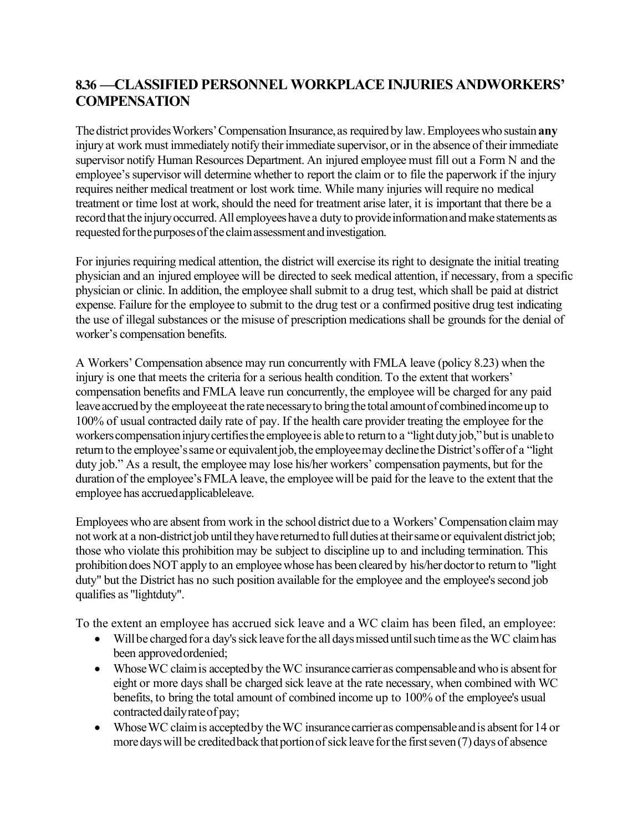# **8.36 —CLASSIFIED PERSONNEL WORKPLACE INJURIES ANDWORKERS' COMPENSATION**

The district provides Workers' Compensation Insurance, as required by law. Employees who sustain **any** injury at work must immediately notify their immediate supervisor, or in the absence of their immediate supervisor notify Human Resources Department. An injured employee must fill out a Form N and the employee's supervisor will determine whether to report the claim or to file the paperwork if the injury requires neither medical treatment or lost work time. While many injuries will require no medical treatment or time lost at work, should the need for treatment arise later, it is important that there be a record that the injury occurred. All employees have a duty to provide information and make statements as requested for the purposes of the claim assessment and investigation.

For injuries requiring medical attention, the district will exercise its right to designate the initial treating physician and an injured employee will be directed to seek medical attention, if necessary, from a specific physician or clinic. In addition, the employee shall submit to a drug test, which shall be paid at district expense. Failure for the employee to submit to the drug test or a confirmed positive drug test indicating the use of illegal substances or the misuse of prescription medications shall be grounds for the denial of worker's compensation benefits.

A Workers' Compensation absence may run concurrently with FMLA leave (policy 8.23) when the injury is one that meets the criteria for a serious health condition. To the extent that workers' compensation benefits and FMLA leave run concurrently, the employee will be charged for any paid leave accrued by the employee at the rate necessary to bring the total amount of combined income up to 100% of usual contracted daily rate of pay. If the health care provider treating the employee for the workers compensation injury certifies the employee is able to return to a "light duty job," but is unable to return to the employee's same or equivalent job, the employee may decline the District's offer of a "light" duty job." As a result, the employee may lose his/her workers' compensation payments, but for the duration of the employee's FMLA leave, the employee will be paid for the leave to the extent that the employee has accruedapplicableleave.

Employees who are absent from work in the school district due to a Workers'Compensation claimmay not work at a non-district job until they have returned to full duties at their same or equivalent district job; those who violate this prohibition may be subject to discipline up to and including termination. This prohibition does NOT apply to an employee whose has been cleared by his/her doctor to return to "light duty" but the District has no such position available for the employee and the employee's second job qualifies as "lightduty".

To the extent an employee has accrued sick leave and a WC claim has been filed, an employee:

- Will be charged for a day's sick leave for the all days missed until such time as the WC claim has been approvedordenied;
- Whose WC claim is accepted by the WC insurance carrier as compensable and who is absent for eight or more days shall be charged sick leave at the rate necessary, when combined with WC benefits, to bring the total amount of combined income up to 100% of the employee's usual contracted daily rate of pay;
- Whose WC claim is accepted by the WC insurance carrier as compensable and is absent for 14 or more days will be credited back that portion of sick leave for the first seven (7) days of absence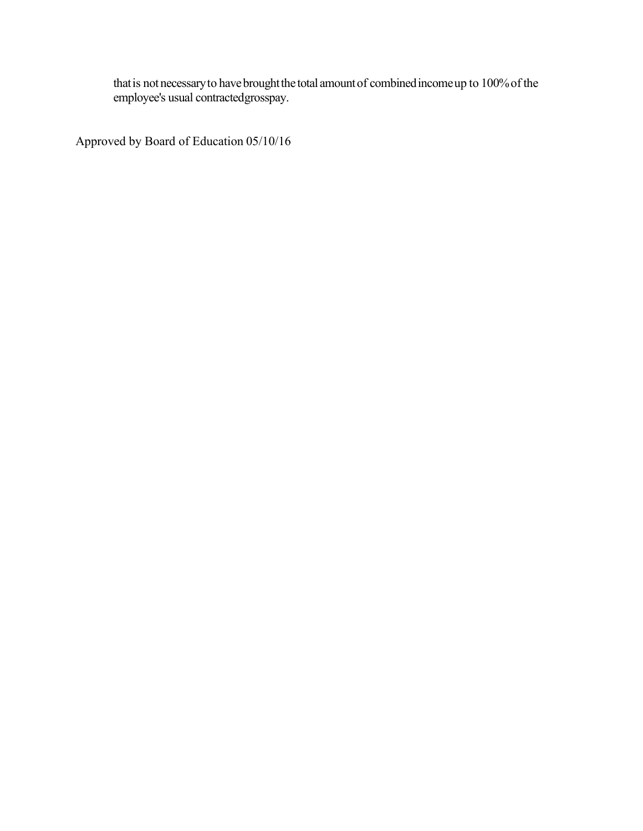that is not necessary to have brought the total amount of combined income up to 100% of the employee's usual contractedgrosspay.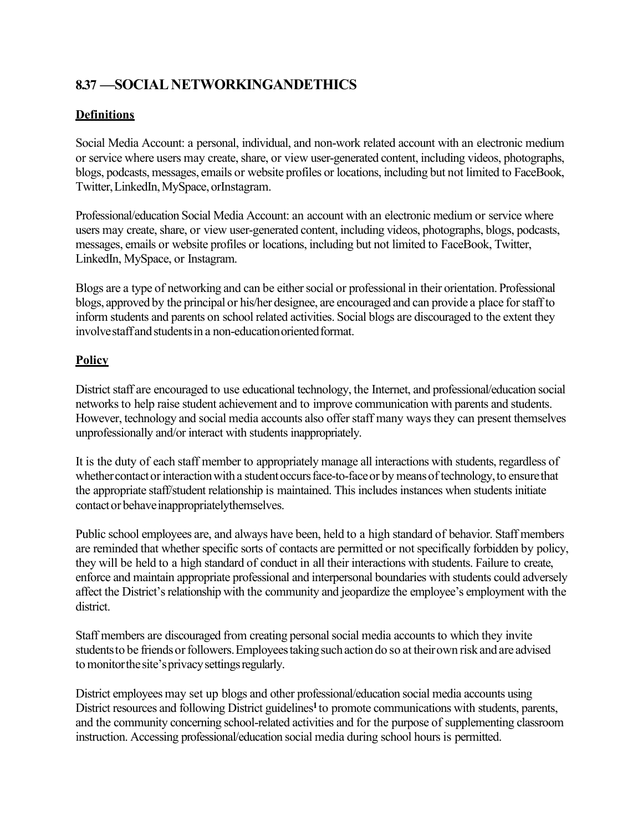# **8.37 —SOCIAL NETWORKINGANDETHICS**

#### **Definitions**

Social Media Account: a personal, individual, and non-work related account with an electronic medium or service where users may create, share, or view user-generated content, including videos, photographs, blogs, podcasts, messages, emails or website profiles or locations, including but not limited to FaceBook, Twitter,LinkedIn,MySpace, orInstagram.

Professional/education Social Media Account: an account with an electronic medium or service where users may create, share, or view user-generated content, including videos, photographs, blogs, podcasts, messages, emails or website profiles or locations, including but not limited to FaceBook, Twitter, LinkedIn, MySpace, or Instagram.

Blogs are a type of networking and can be either social or professional in their orientation. Professional blogs, approved by the principal or his/her designee, are encouraged and can provide a place forstaffto inform students and parents on school related activities. Social blogs are discouraged to the extent they involve staff and students in a non-education oriented format.

#### **Policy**

District staff are encouraged to use educational technology, the Internet, and professional/education social networks to help raise student achievement and to improve communication with parents and students. However, technology and social media accounts also offer staff many ways they can present themselves unprofessionally and/or interact with students inappropriately.

It is the duty of each staff member to appropriately manage all interactions with students, regardless of whether contact or interaction with a student occurs face-to-face or by means of technology, to ensure that the appropriate staff/student relationship is maintained. This includes instances when students initiate contactor behaveinappropriatelythemselves.

Public school employees are, and always have been, held to a high standard of behavior. Staff members are reminded that whether specific sorts of contacts are permitted or not specifically forbidden by policy, they will be held to a high standard of conduct in all their interactions with students. Failure to create, enforce and maintain appropriate professional and interpersonal boundaries with students could adversely affect the District's relationship with the community and jeopardize the employee's employment with the district.

Staff members are discouraged from creating personal social media accounts to which they invite students to be friends or followers. Employees taking such action do so at their own risk and are advised to monitor the site's privacy settings regularly.

District employees may set up blogs and other professional/education social media accounts using District resources and following District guidelines<sup>1</sup> to promote communications with students, parents, and the community concerning school-related activities and for the purpose of supplementing classroom instruction. Accessing professional/education social media during school hours is permitted.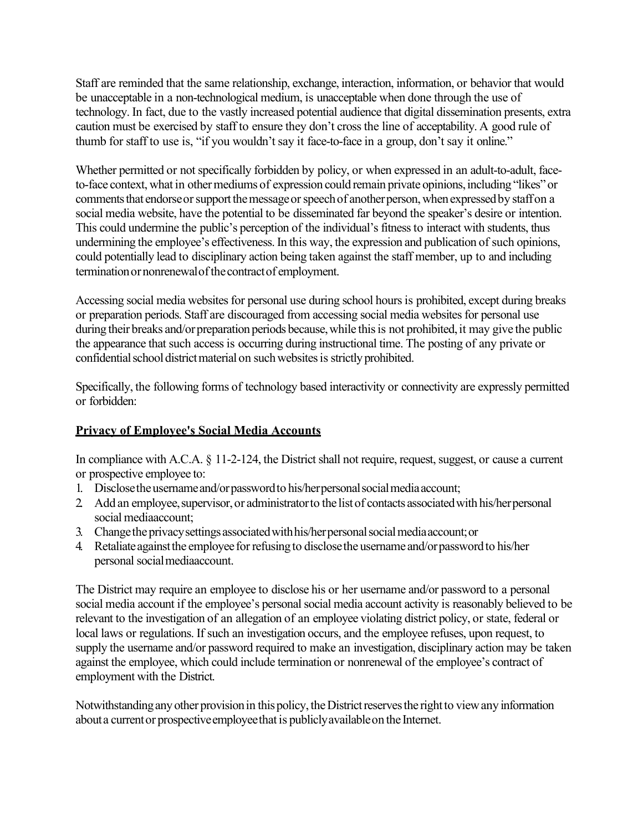Staff are reminded that the same relationship, exchange, interaction, information, or behavior that would be unacceptable in a non-technological medium, is unacceptable when done through the use of technology. In fact, due to the vastly increased potential audience that digital dissemination presents, extra caution must be exercised by staff to ensure they don't cross the line of acceptability. A good rule of thumb for staff to use is, "if you wouldn't say it face-to-face in a group, don't say it online."

Whether permitted or not specifically forbidden by policy, or when expressed in an adult-to-adult, faceto-face context, what in other mediums of expression could remain private opinions, including "likes" or comments that endorse or support the message or speech of another person, when expressed by staff on a social media website, have the potential to be disseminated far beyond the speaker's desire or intention. This could undermine the public's perception of the individual's fitness to interact with students, thus undermining the employee's effectiveness. In this way, the expression and publication of such opinions, could potentially lead to disciplinary action being taken against the staff member, up to and including termination or nonrenewal of the contract of employment.

Accessing social media websites for personal use during school hours is prohibited, except during breaks or preparation periods. Staff are discouraged from accessing social media websites for personal use during their breaks and/or preparation periods because, while this is not prohibited, it may give the public the appearance that such access is occurring during instructional time. The posting of any private or confidential school district material on such websites is strictly prohibited.

Specifically, the following forms of technology based interactivity or connectivity are expressly permitted or forbidden:

#### **Privacy of Employee's Social Media Accounts**

In compliance with A.C.A. § 11-2-124, the District shall not require, request, suggest, or cause a current or prospective employee to:

- 1. Disclose the username and/or password to his/her personal social media account;
- 2. Add an employee, supervisor, or administrator to the list of contacts associated with his/herpersonal social mediaaccount;
- 3. Changetheprivacysettingsassociatedwithhis/herpersonalsocialmediaaccount;or
- 4. Retaliate against the employee for refusing to disclose the username and/or password to his/her personal socialmediaaccount.

The District may require an employee to disclose his or her username and/or password to a personal social media account if the employee's personal social media account activity is reasonably believed to be relevant to the investigation of an allegation of an employee violating district policy, or state, federal or local laws or regulations. If such an investigation occurs, and the employee refuses, upon request, to supply the username and/or password required to make an investigation, disciplinary action may be taken against the employee, which could include termination or nonrenewal of the employee's contract of employment with the District.

Notwithstanding any other provision in this policy, the District reserves the right to view any information abouta currentor prospectiveemployeethat is publiclyavailableon the Internet.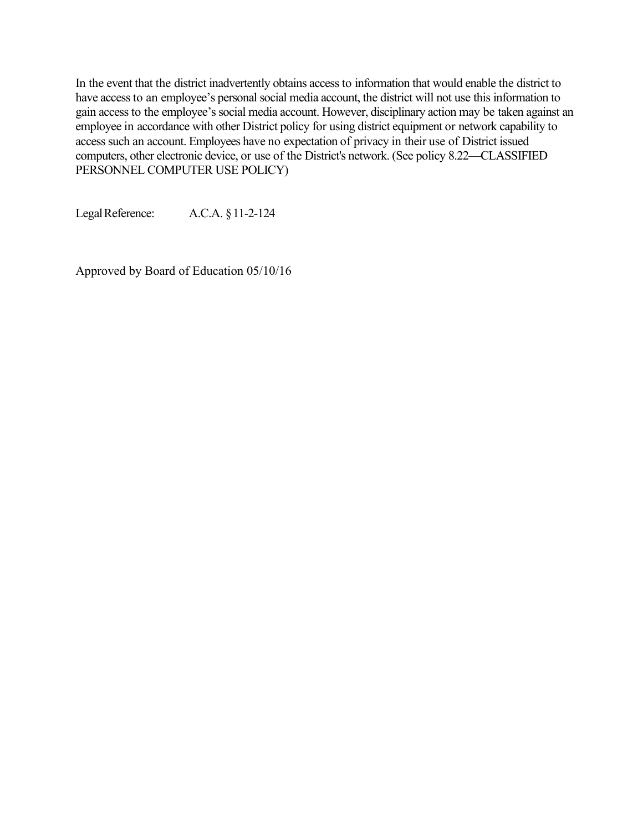In the event that the district inadvertently obtains access to information that would enable the district to have access to an employee's personal social media account, the district will not use this information to gain access to the employee's social media account. However, disciplinary action may be taken against an employee in accordance with other District policy for using district equipment or network capability to access such an account. Employees have no expectation of privacy in their use of District issued computers, other electronic device, or use of the District's network. (See policy 8.22—CLASSIFIED PERSONNEL COMPUTER USE POLICY)

LegalReference: A.C.A. §11-2-124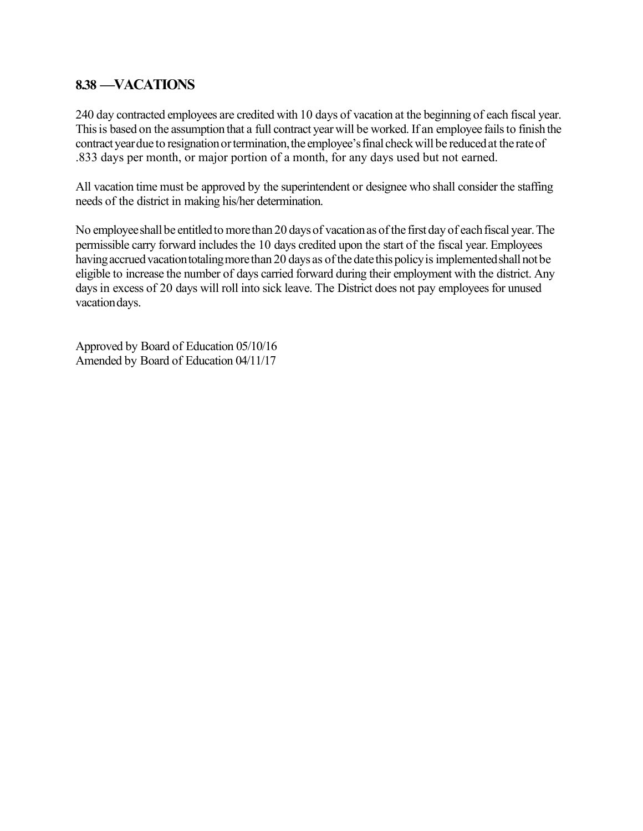#### **8.38 —VACATIONS**

240 day contracted employees are credited with 10 days of vacation at the beginning of each fiscal year. This is based on the assumption that a full contract year will be worked. If an employee fails to finish the contract year due to resignation or termination, the employee's final check will be reduced at the rate of .833 days per month, or major portion of a month, for any days used but not earned.

All vacation time must be approved by the superintendent or designee who shall consider the staffing needs of the district in making his/her determination.

No employee shall be entitled to more than 20 days of vacation as of the first day of each fiscal year. The permissible carry forward includes the 10 days credited upon the start of the fiscal year. Employees having accrued vacation totaling more than 20 days as of the date this policy is implemented shall not be eligible to increase the number of days carried forward during their employment with the district. Any days in excess of 20 days will roll into sick leave. The District does not pay employees for unused vacation days.

Approved by Board of Education 05/10/16 Amended by Board of Education 04/11/17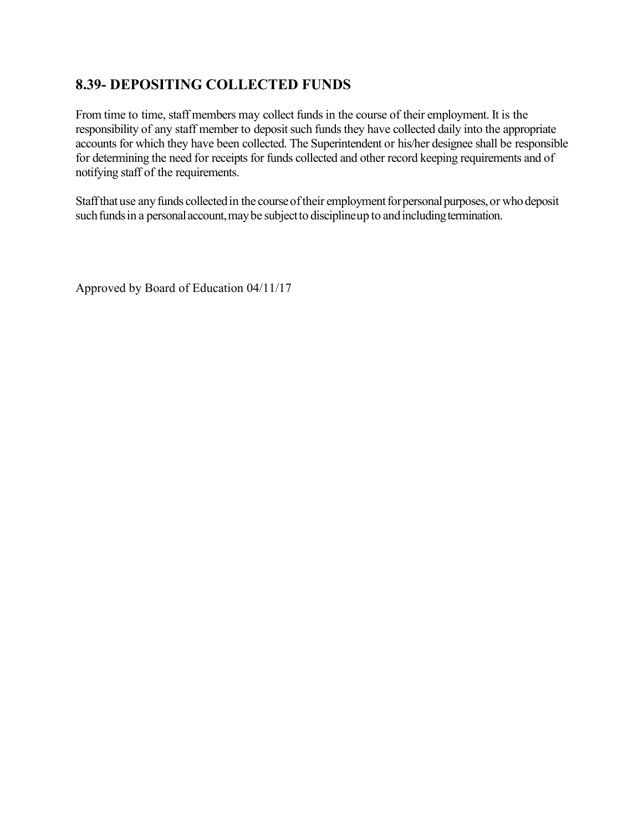## **8.39- DEPOSITING COLLECTED FUNDS**

From time to time, staff members may collect funds in the course of their employment. It is the responsibility of any staff member to deposit such funds they have collected daily into the appropriate accounts for which they have been collected. The Superintendent or his/her designee shall be responsible for determining the need for receipts for funds collected and other record keeping requirements and of notifying staff of the requirements.

Staff that use any funds collected in the course of their employment for personal purposes, or who deposit such funds in a personal account, may be subject to disciplineup to and including termination.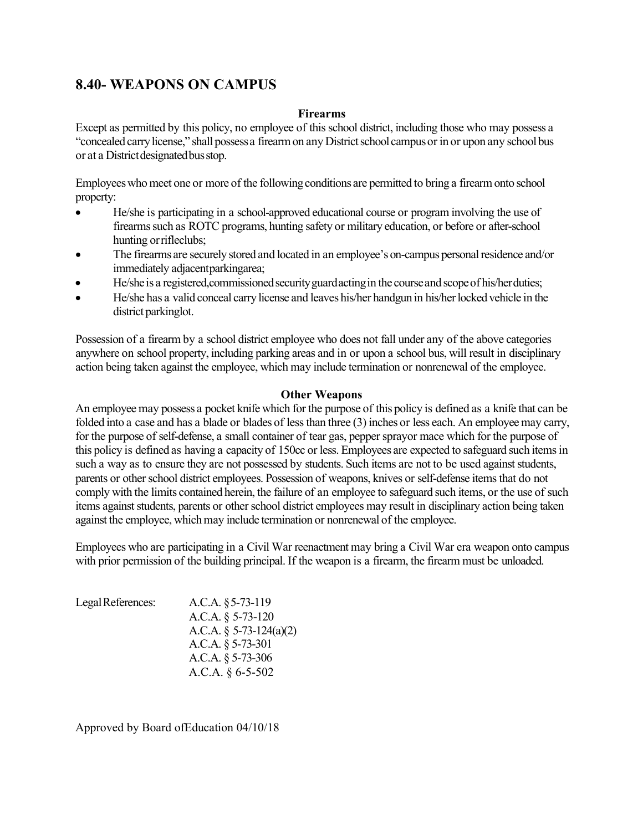### **8.40- WEAPONS ON CAMPUS**

#### **Firearms**

Except as permitted by this policy, no employee of this school district, including those who may possess a "concealed carrylicense," shall possessa firearmon any Districtschool campusor in or upon any school bus or at a District designated bus stop.

Employees who meet one or more of the following conditions are permitted to bring a firearm onto school property:

- He/she is participating in a school-approved educational course or program involving the use of firearms such as ROTC programs, hunting safety or military education, or before or after-school hunting orrifleclubs;
- The firearms are securely stored and located in an employee's on-campus personal residence and/or immediately adjacentparkingarea;
- He/she is a registered, commissioned security guard acting in the course and scope of his/her duties;
- He/she has a valid conceal carry license and leaves his/her handgun in his/her locked vehicle in the district parkinglot.

Possession of a firearm by a school district employee who does not fall under any of the above categories anywhere on school property, including parking areas and in or upon a school bus, will result in disciplinary action being taken against the employee, which may include termination or nonrenewal of the employee.

#### **Other Weapons**

An employee may possess a pocket knife which for the purpose of this policy is defined as a knife that can be folded into a case and has a blade or blades of less than three (3) inches or less each. An employee may carry, for the purpose of self-defense, a small container of tear gas, pepper sprayor mace which for the purpose of this policy is defined as having a capacity of 150cc or less. Employees are expected to safeguard such items in such a way as to ensure they are not possessed by students. Such items are not to be used against students, parents or other school district employees. Possession of weapons, knives or self-defense items that do not comply with the limits contained herein, the failure of an employee to safeguard such items, or the use of such items against students, parents or other school district employees may result in disciplinary action being taken against the employee, which may include termination or nonrenewal of the employee.

Employees who are participating in a Civil War reenactment may bring a Civil War era weapon onto campus with prior permission of the building principal. If the weapon is a firearm, the firearm must be unloaded.

| A.C.A. $§$ 5-73-119     |
|-------------------------|
| A.C.A. § 5-73-120       |
| A.C.A. § 5-73-124(a)(2) |
| A.C.A. $\S 5-73-301$    |
| A.C.A. $\S 5-73-306$    |
| A.C.A. $§$ 6-5-502      |
|                         |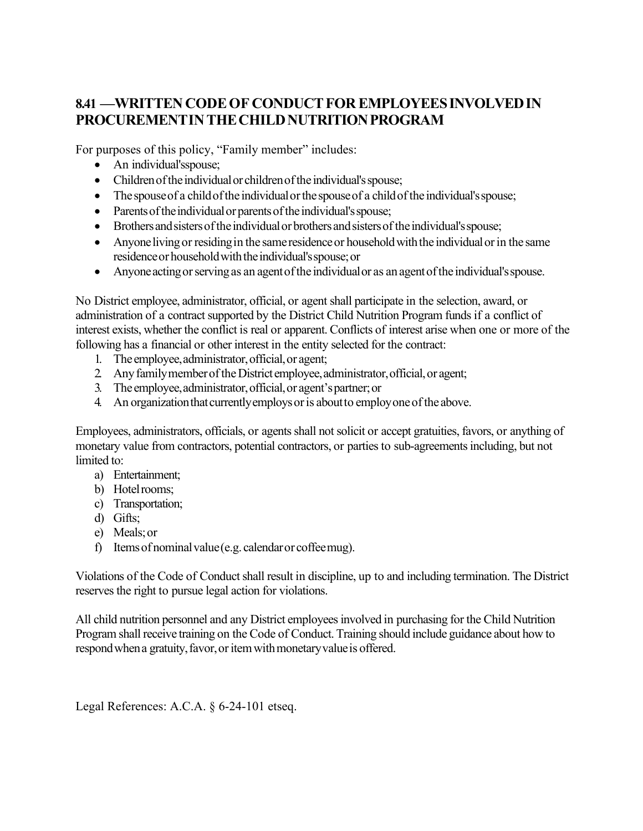# **8.41 —WRITTEN CODEOF CONDUCTFOR EMPLOYEESINVOLVEDIN PROCUREMENTINTHECHILDNUTRITIONPROGRAM**

For purposes of this policy, "Family member" includes:

- An individual's spouse;
- Children of the individual or children of the individual's spouse;
- The spouse of a child of the individual or the spouse of a child of the individual's spouse;
- Parents of the individual or parents of the individual's spouse;
- Brothers and sisters of the individual or brothers and sisters of the individual's spouse;
- Anyone living or residing in the same residence or household with the individual or in the same residenceor householdwiththeindividual'sspouse;or
- Anyone acting or serving as an agent of the individual or as an agent of the individual's spouse.

No District employee, administrator, official, or agent shall participate in the selection, award, or administration of a contract supported by the District Child Nutrition Program funds if a conflict of interest exists, whether the conflict is real or apparent. Conflicts of interest arise when one or more of the following has a financial or other interest in the entity selected for the contract:

- 1. The employee,administrator,official,or agent;
- 2. AnyfamilymemberoftheDistrict employee,administrator,official,or agent;
- 3. The employee,administrator,official,or agent'spartner;or
- 4. An organization that currently employs or is about to employ one of the above.

Employees, administrators, officials, or agents shall not solicit or accept gratuities, favors, or anything of monetary value from contractors, potential contractors, or parties to sub-agreements including, but not limited to:

- a) Entertainment;
- b) Hotelrooms;
- c) Transportation;
- d) Gifts;
- e) Meals;or
- f) Itemsof nominalvalue(e.g. calendaror coffeemug).

Violations of the Code of Conduct shall result in discipline, up to and including termination. The District reserves the right to pursue legal action for violations.

All child nutrition personnel and any District employees involved in purchasing for the Child Nutrition Program shall receive training on the Code of Conduct. Training should include guidance about how to respond when a gratuity, favor, or item with monetary value is offered.

Legal References: A.C.A. § 6-24-101 etseq.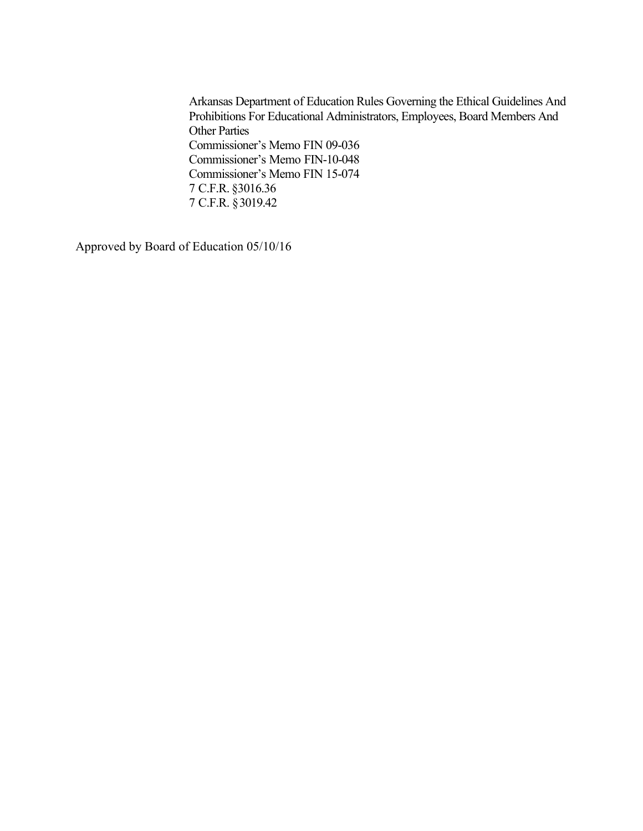Arkansas Department of Education Rules Governing the Ethical Guidelines And Prohibitions For Educational Administrators, Employees, Board Members And Other Parties Commissioner's Memo FIN 09-036 Commissioner's Memo FIN-10-048 Commissioner's Memo FIN 15-074 7 C.F.R. §3016.36 7 C.F.R. §3019.42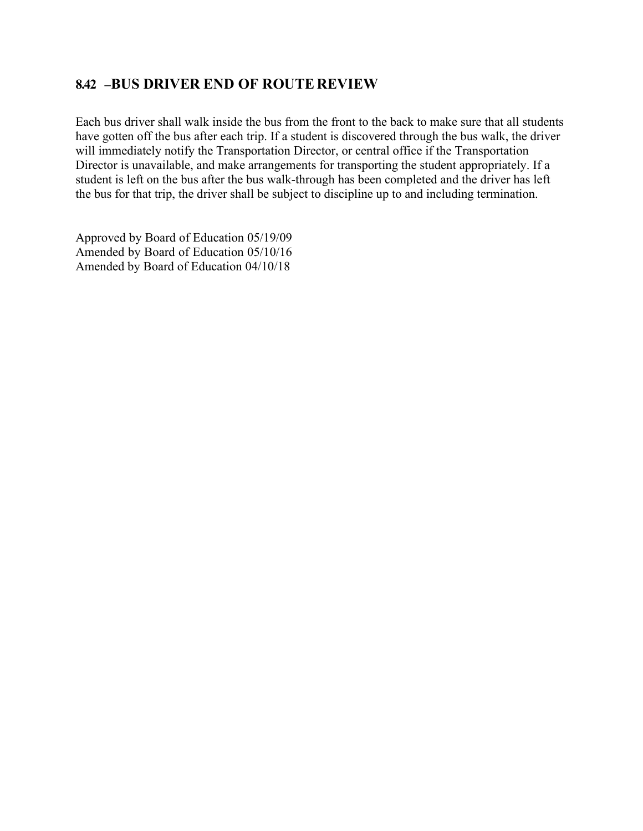#### **8.42 –BUS DRIVER END OF ROUTE REVIEW**

Each bus driver shall walk inside the bus from the front to the back to make sure that all students have gotten off the bus after each trip. If a student is discovered through the bus walk, the driver will immediately notify the Transportation Director, or central office if the Transportation Director is unavailable, and make arrangements for transporting the student appropriately. If a student is left on the bus after the bus walk-through has been completed and the driver has left the bus for that trip, the driver shall be subject to discipline up to and including termination.

Approved by Board of Education 05/19/09 Amended by Board of Education 05/10/16 Amended by Board of Education 04/10/18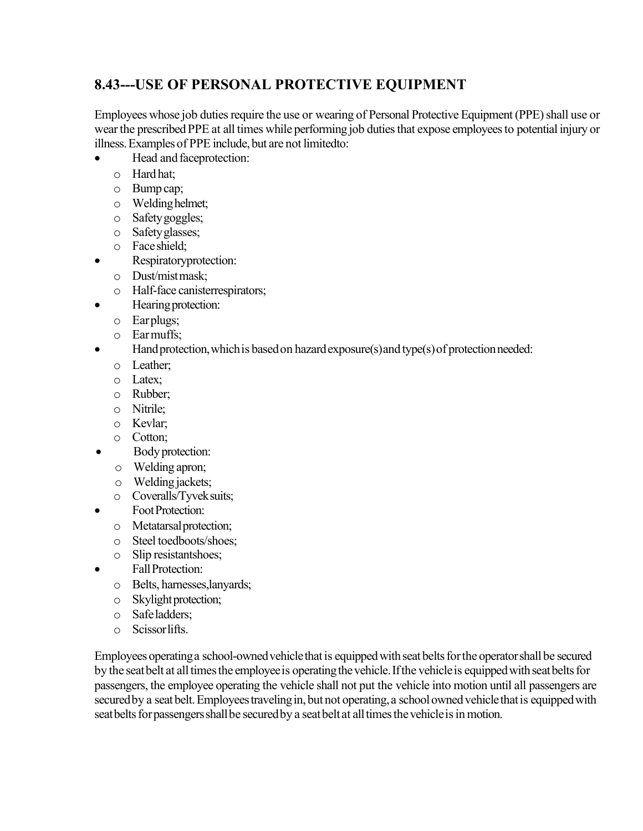# **8.43---USE OF PERSONAL PROTECTIVE EQUIPMENT**

Employees whose job duties require the use or wearing of Personal Protective Equipment (PPE) shall use or wear the prescribed PPE at all times while performing job duties that expose employees to potential injury or illness. Examples of PPE include, but are not limitedto:

- Head and faceprotection:
	- o Hardhat;
	- o Bump cap;
	- o Weldinghelmet;
	- o Safetygoggles;
	- o Safetyglasses;
	- o Faceshield;
- Respiratoryprotection:
	- o Dust/mistmask;
	- o Half-face canisterrespirators;
	- Hearing protection:
		- o Earplugs;
		- o Earmuffs;
- Hand protection, which is based on hazard exposure(s) and type(s) of protection needed:
	- o Leather;
	- o Latex;
	- o Rubber;
	- o Nitrile;
	- o Kevlar;
	- o Cotton;
- Body protection:
	- o Welding apron;
	- o Welding jackets;
	- o Coveralls/Tyveksuits;
- **Foot Protection:** 
	- o Metatarsalprotection;
	- o Steel toedboots/shoes;
	- o Slip resistantshoes;
- FallProtection:
	- o Belts, harnesses,lanyards;
	- o Skylight protection;
	- o Safeladders;
	- o Scissorlifts.

Employees operating a school-owned vehicle that is equipped with seat belts for the operator shall be secured by the seat belt at all times the employee is operating the vehicle. If the vehicle is equipped with seat belts for passengers, the employee operating the vehicle shall not put the vehicle into motion until all passengers are secured by a seat belt. Employees traveling in, but not operating, a school owned vehicle that is equipped with seat belts for passengers shall be secured by a seat belt at all times the vehicle is in motion.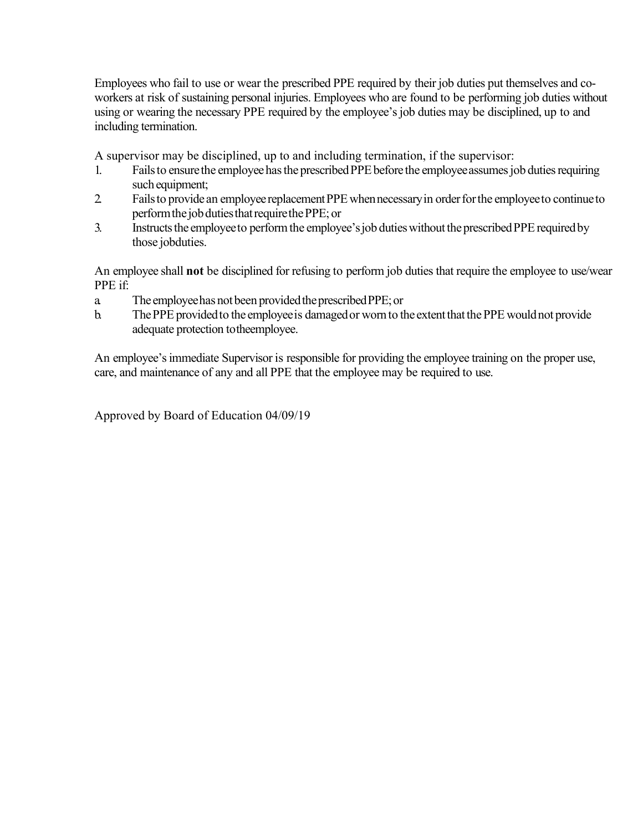Employees who fail to use or wear the prescribed PPE required by their job duties put themselves and coworkers at risk of sustaining personal injuries. Employees who are found to be performing job duties without using or wearing the necessary PPE required by the employee's job duties may be disciplined, up to and including termination.

A supervisor may be disciplined, up to and including termination, if the supervisor:

- 1. Fails to ensure the employee has the prescribed PPE before the employee assumes job duties requiring such equipment;
- 2. Fails to provide an employee replacement PPE when necessary in order for the employee to continue to perform the job duties that require the PPE; or
- 3. Instructs the employee to perform the employee's job duties without the prescribed PPE required by those jobduties.

An employee shall **not** be disciplined for refusing to perform job duties that require the employee to use/wear PPE if:

- a. The employeehas notbeen providedtheprescribedPPE;or
- b. The PPE provided to the employee is damaged or worn to the extent that the PPE would not provide adequate protection totheemployee.

An employee's immediate Supervisor is responsible for providing the employee training on the proper use, care, and maintenance of any and all PPE that the employee may be required to use.